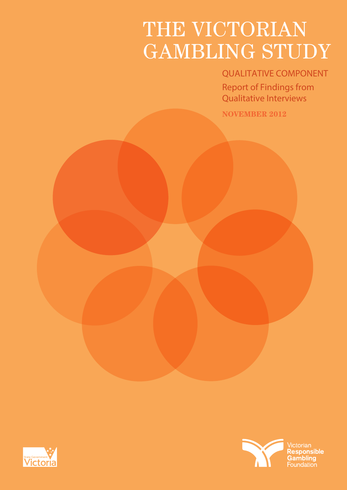# THE VICTORIAN GAMBLING STUDY

# **QUALITATIVE COMPONENT**

**Report of Findings from Qualitative Interviews**

**NOVEMBER 2012**



Victorian<br>**Responsible** Gambling Foundation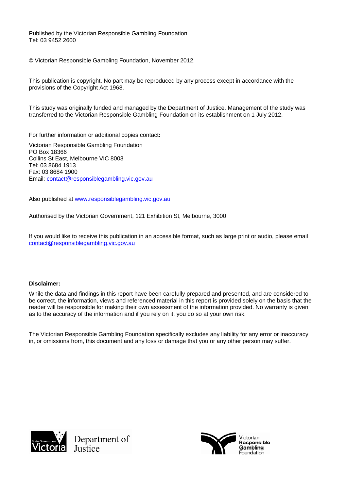Published by the Victorian Responsible Gambling Foundation Tel: 03 9452 2600

© Victorian Responsible Gambling Foundation, November 2012.

This publication is copyright. No part may be reproduced by any process except in accordance with the provisions of the Copyright Act 1968.

This study was originally funded and managed by the Department of Justice. Management of the study was transferred to the Victorian Responsible Gambling Foundation on its establishment on 1 July 2012.

For further information or additional copies contact**:** 

Victorian Responsible Gambling Foundation PO Box 18366 Collins St East, Melbourne VIC 8003 Tel: 03 8684 1913 Fax: 03 8684 1900 Email: contact@responsiblegambling.vic.gov.au

Also published at [www.responsiblegambling.vic.gov.au](http://www.responsiblegambling.vic.gov.au/)

Authorised by the Victorian Government, 121 Exhibition St, Melbourne, 3000

If you would like to receive this publication in an accessible format, such as large print or audio, please email [contact@responsiblegambling.vic.gov.au](mailto:contact@responsiblegambling.vic.gov.au)

#### **Disclaimer:**

While the data and findings in this report have been carefully prepared and presented, and are considered to be correct, the information, views and referenced material in this report is provided solely on the basis that the reader will be responsible for making their own assessment of the information provided. No warranty is given as to the accuracy of the information and if you rely on it, you do so at your own risk.

The Victorian Responsible Gambling Foundation specifically excludes any liability for any error or inaccuracy in, or omissions from, this document and any loss or damage that you or any other person may suffer.



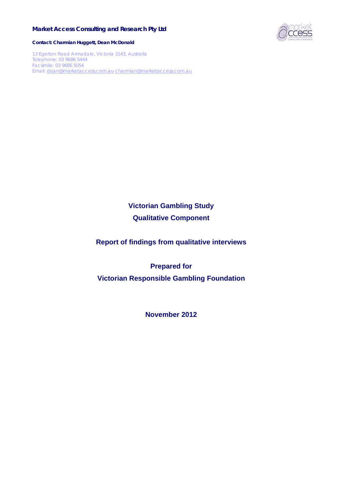# **Market Access Consulting and Research Pty Ltd**



**Contact: Charmian Huggett, Dean McDonald** 

13 Egerton Road Armadale, Victoria 3143, Australia Telephone: 03 9686 5444 Facsimile: 03 9686 5054 Email: [dean@marketaccess.com.au](mailto:dean@marketaccess.com.au) [charmian@marketaccess.com.au](mailto:charmian@marketaccess.com.au)

> **Victorian Gambling Study Qualitative Component**

**Report of findings from qualitative interviews** 

**Prepared for Victorian Responsible Gambling Foundation** 

**November 2012**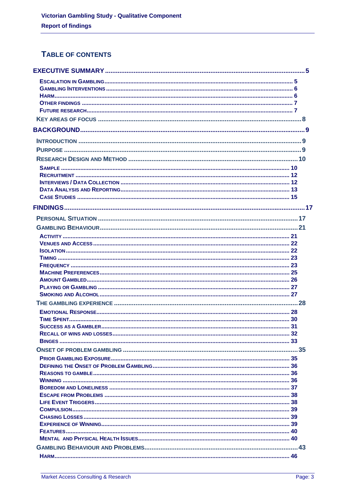# TABLE OF CONTENTS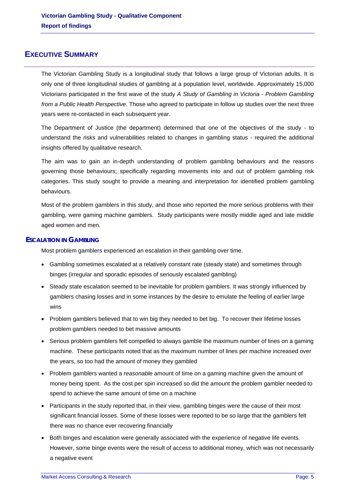# <span id="page-5-0"></span>**EXECUTIVE SUMMARY**

The Victorian Gambling Study is a longitudinal study that follows a large group of Victorian adults. It is only one of three longitudinal studies of gambling at a population level, worldwide. Approximately 15,000 Victorians participated in the first wave of the study *A Study of Gambling in Victoria - Problem Gambling from a Public Health Perspective*. Those who agreed to participate in follow up studies over the next three years were re-contacted in each subsequent year.

The Department of Justice (the department) determined that one of the objectives of the study - to understand the risks and vulnerabilities related to changes in gambling status - required the additional insights offered by qualitative research.

The aim was to gain an in-depth understanding of problem gambling behaviours and the reasons governing those behaviours; specifically regarding movements into and out of problem gambling risk categories. This study sought to provide a meaning and interpretation for identified problem gambling behaviours.

Most of the problem gamblers in this study, and those who reported the more serious problems with their gambling, were gaming machine gamblers. Study participants were mostly middle aged and late middle aged women and men.

# <span id="page-5-1"></span>**ESCALATION IN GAMBLING**

Most problem gamblers experienced an escalation in their gambling over time.

- Gambling sometimes escalated at a relatively constant rate (steady state) and sometimes through binges (irregular and sporadic episodes of seriously escalated gambling)
- Steady state escalation seemed to be inevitable for problem gamblers. It was strongly influenced by gamblers chasing losses and in some instances by the desire to emulate the feeling of earlier large wins
- Problem gamblers believed that to win big they needed to bet big. To recover their lifetime losses problem gamblers needed to bet massive amounts
- Serious problem gamblers felt compelled to always gamble the maximum number of lines on a gaming machine. These participants noted that as the maximum number of lines per machine increased over the years, so too had the amount of money they gambled
- Problem gamblers wanted a *reasonable* amount of time on a gaming machine given the amount of money being spent. As the cost per spin increased so did the amount the problem gambler needed to spend to achieve the same amount of time on a machine
- Participants in the study reported that, in their view, gambling binges were the cause of their most significant financial losses. Some of these losses were reported to be so large that the gamblers felt there was no chance ever recovering financially
- <span id="page-5-2"></span> Both binges and escalation were generally associated with the experience of negative life events. However, some binge events were the result of access to additional money, which was not necessarily a negative event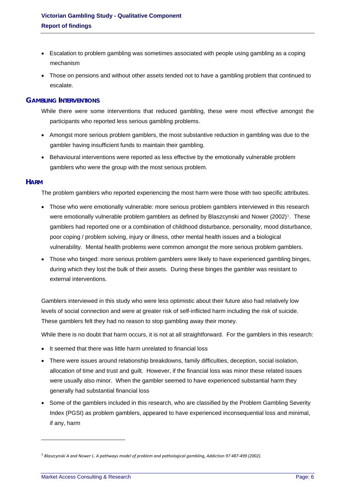- Escalation to problem gambling was sometimes associated with people using gambling as a coping mechanism
- Those on pensions and without other assets tended not to have a gambling problem that continued to escalate.

# <span id="page-6-0"></span>**GAMBLING INTERVENTIONS**

- While there were some interventions that reduced gambling, these were most effective amongst the participants who reported less serious gambling problems.
- Amongst more serious problem gamblers, the most substantive reduction in gambling was due to the gambler having insufficient funds to maintain their gambling.
- Behavioural interventions were reported as less effective by the emotionally vulnerable problem gamblers who were the group with the most serious problem.

# <span id="page-6-1"></span>**HARM**

The problem gamblers who reported experiencing the most harm were those with two specific attributes.

- Those who were emotionally vulnerable: more serious problem gamblers interviewed in this research were emotionally vulnerable problem gamblers as defined by Blaszcynski and Nower (2002)<sup>[1](#page-5-2)</sup>. These gamblers had reported one or a combination of childhood disturbance, personality, mood disturbance, poor coping / problem solving, injury or illness, other mental health issues and a biological vulnerability. Mental health problems were common amongst the more serious problem gamblers.
- Those who binged: more serious problem gamblers were likely to have experienced gambling binges, during which they lost the bulk of their assets. During these binges the gambler was resistant to external interventions.

Gamblers interviewed in this study who were less optimistic about their future also had relatively low levels of social connection and were at greater risk of self-inflicted harm including the risk of suicide. These gamblers felt they had no reason to stop gambling away their money.

While there is no doubt that harm occurs, it is not at all straightforward. For the gamblers in this research:

- It seemed that there was little harm unrelated to financial loss
- There were issues around relationship breakdowns, family difficulties, deception, social isolation, allocation of time and trust and guilt. However, if the financial loss was minor these related issues were usually also minor. When the gambler seemed to have experienced substantial harm they generally had substantial financial loss
- Some of the gamblers included in this research, who are classified by the Problem Gambling Severity Index (PGSI) as problem gamblers, appeared to have experienced inconsequential loss and minimal, if any, harm

-

<span id="page-6-2"></span> $^1$  Blaszcynski A and Nower L. A pathways model of problem and pathological gambling, Addiction 97 487-499 (2002).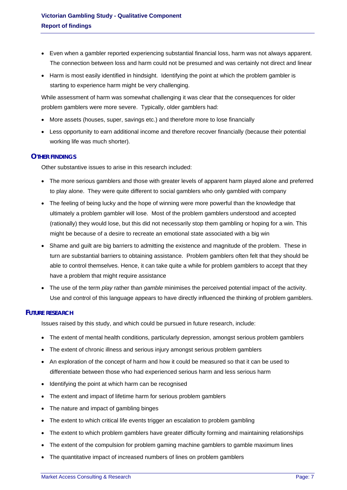- Even when a gambler reported experiencing substantial financial loss, harm was not always apparent. The connection between loss and harm could not be presumed and was certainly not direct and linear
- Harm is most easily identified in hindsight. Identifying the point at which the problem gambler is starting to experience harm might be very challenging.

While assessment of harm was somewhat challenging it was clear that the consequences for older problem gamblers were more severe. Typically, older gamblers had:

- More assets (houses, super, savings etc.) and therefore more to lose financially
- Less opportunity to earn additional income and therefore recover financially (because their potential working life was much shorter).

# <span id="page-7-0"></span>**OTHER FINDINGS**

Other substantive issues to arise in this research included:

- The more serious gamblers and those with greater levels of apparent harm played alone and preferred to play alone. They were quite different to social gamblers who only gambled with company
- The feeling of being lucky and the hope of winning were more powerful than the knowledge that ultimately a problem gambler will lose. Most of the problem gamblers understood and accepted (rationally) they would lose, but this did not necessarily stop them gambling or hoping for a win. This might be because of a desire to recreate an emotional state associated with a big win
- Shame and guilt are big barriers to admitting the existence and magnitude of the problem. These in turn are substantial barriers to obtaining assistance. Problem gamblers often felt that they should be able to control themselves. Hence, it can take quite a while for problem gamblers to accept that they have a problem that might require assistance
- The use of the term *play* rather than *gamble* minimises the perceived potential impact of the activity. Use and control of this language appears to have directly influenced the thinking of problem gamblers.

# <span id="page-7-1"></span>**FUTURE RESEARCH**

Issues raised by this study, and which could be pursued in future research, include:

- The extent of mental health conditions, particularly depression, amongst serious problem gamblers
- The extent of chronic illness and serious injury amongst serious problem gamblers
- An exploration of the concept of harm and how it could be measured so that it can be used to differentiate between those who had experienced serious harm and less serious harm
- Identifying the point at which harm can be recognised
- The extent and impact of lifetime harm for serious problem gamblers
- The nature and impact of gambling binges
- The extent to which critical life events trigger an escalation to problem gambling
- The extent to which problem gamblers have greater difficulty forming and maintaining relationships
- The extent of the compulsion for problem gaming machine gamblers to gamble maximum lines
- The quantitative impact of increased numbers of lines on problem gamblers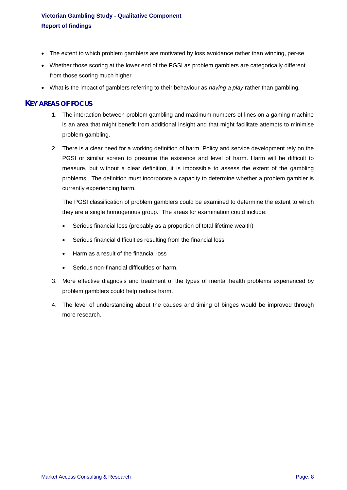- The extent to which problem gamblers are motivated by loss avoidance rather than winning, per-se
- Whether those scoring at the lower end of the PGSI as problem gamblers are categorically different from those scoring much higher
- What is the impact of gamblers referring to their behaviour as *having a play* rather than gambling*.*

# <span id="page-8-0"></span>**KEY AREAS OF FOCUS**

- 1. The interaction between problem gambling and maximum numbers of lines on a gaming machine is an area that might benefit from additional insight and that might facilitate attempts to minimise problem gambling.
- 2. There is a clear need for a working definition of harm. Policy and service development rely on the PGSI or similar screen to presume the existence and level of harm. Harm will be difficult to measure, but without a clear definition, it is impossible to assess the extent of the gambling problems. The definition must incorporate a capacity to determine whether a problem gambler is currently experiencing harm.

The PGSI classification of problem gamblers could be examined to determine the extent to which they are a single homogenous group. The areas for examination could include:

- Serious financial loss (probably as a proportion of total lifetime wealth)
- Serious financial difficulties resulting from the financial loss
- Harm as a result of the financial loss
- Serious non-financial difficulties or harm.
- 3. More effective diagnosis and treatment of the types of mental health problems experienced by problem gamblers could help reduce harm.
- 4. The level of understanding about the causes and timing of binges would be improved through more research.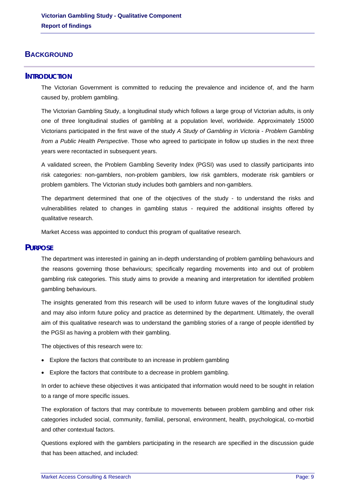# <span id="page-9-0"></span>**BACKGROUND**

# <span id="page-9-1"></span>**INTRODUCTION**

The Victorian Government is committed to reducing the prevalence and incidence of, and the harm caused by, problem gambling.

The Victorian Gambling Study, a longitudinal study which follows a large group of Victorian adults, is only one of three longitudinal studies of gambling at a population level, worldwide. Approximately 15000 Victorians participated in the first wave of the study *A Study of Gambling in Victoria - Problem Gambling from a Public Health Perspective*. Those who agreed to participate in follow up studies in the next three years were recontacted in subsequent years.

A validated screen, the Problem Gambling Severity Index (PGSI) was used to classify participants into risk categories: non-gamblers, non-problem gamblers, low risk gamblers, moderate risk gamblers or problem gamblers. The Victorian study includes both gamblers and non-gamblers.

The department determined that one of the objectives of the study - to understand the risks and vulnerabilities related to changes in gambling status - required the additional insights offered by qualitative research.

Market Access was appointed to conduct this program of qualitative research.

# <span id="page-9-2"></span>**PURPOSE**

The department was interested in gaining an in-depth understanding of problem gambling behaviours and the reasons governing those behaviours; specifically regarding movements into and out of problem gambling risk categories. This study aims to provide a meaning and interpretation for identified problem gambling behaviours.

The insights generated from this research will be used to inform future waves of the longitudinal study and may also inform future policy and practice as determined by the department. Ultimately, the overall aim of this qualitative research was to understand the gambling stories of a range of people identified by the PGSI as having a problem with their gambling.

The objectives of this research were to:

- Explore the factors that contribute to an increase in problem gambling
- Explore the factors that contribute to a decrease in problem gambling.

In order to achieve these objectives it was anticipated that information would need to be sought in relation to a range of more specific issues.

The exploration of factors that may contribute to movements between problem gambling and other risk categories included social, community, familial, personal, environment, health, psychological, co-morbid and other contextual factors.

Questions explored with the gamblers participating in the research are specified in the discussion guide that has been attached, and included: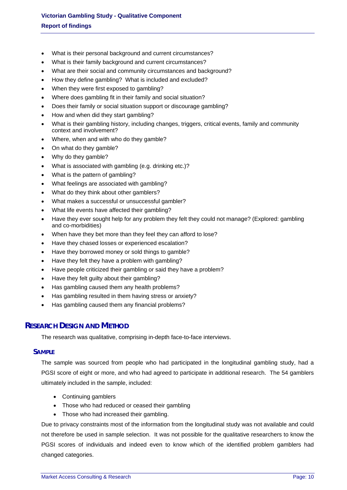- What is their personal background and current circumstances?
- What is their family background and current circumstances?
- What are their social and community circumstances and background?
- How they define gambling? What is included and excluded?
- When they were first exposed to gambling?
- Where does gambling fit in their family and social situation?
- Does their family or social situation support or discourage gambling?
- How and when did they start gambling?
- What is their gambling history, including changes, triggers, critical events, family and community context and involvement?
- Where, when and with who do they gamble?
- On what do they gamble?
- Why do they gamble?
- What is associated with gambling (e.g. drinking etc.)?
- What is the pattern of gambling?
- What feelings are associated with gambling?
- What do they think about other gamblers?
- What makes a successful or unsuccessful gambler?
- What life events have affected their gambling?
- Have they ever sought help for any problem they felt they could not manage? (Explored: gambling and co-morbidities)
- When have they bet more than they feel they can afford to lose?
- Have they chased losses or experienced escalation?
- Have they borrowed money or sold things to gamble?
- Have they felt they have a problem with gambling?
- Have people criticized their gambling or said they have a problem?
- Have they felt quilty about their gambling?
- Has gambling caused them any health problems?
- Has gambling resulted in them having stress or anxiety?
- Has gambling caused them any financial problems?

# <span id="page-10-0"></span>**RESEARCH DESIGN AND METHOD**

The research was qualitative, comprising in-depth face-to-face interviews.

#### <span id="page-10-1"></span>**SAMPLE**

The sample was sourced from people who had participated in the longitudinal gambling study, had a PGSI score of eight or more, and who had agreed to participate in additional research. The 54 gamblers ultimately included in the sample, included:

- Continuing gamblers
- Those who had reduced or ceased their gambling
- Those who had increased their gambling.

Due to privacy constraints most of the information from the longitudinal study was not available and could not therefore be used in sample selection. It was not possible for the qualitative researchers to know the PGSI scores of individuals and indeed even to know which of the identified problem gamblers had changed categories.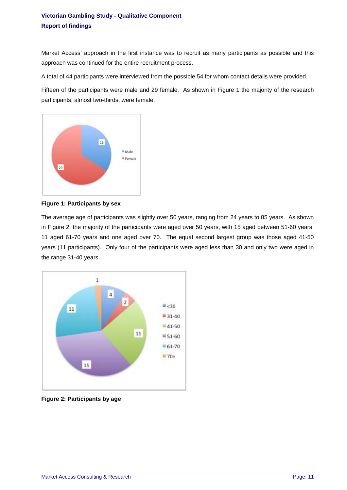Market Access' approach in the first instance was to recruit as many participants as possible and this approach was continued for the entire recruitment process.

A total of 44 participants were interviewed from the possible 54 for whom contact details were provided.

Fifteen of the participants were male and 29 female. As shown in [Figure 1](#page-11-0) the majority of the research participants, almost two-thirds, were female.



<span id="page-11-0"></span>**Figure 1: Participants by sex** 

The average age of participants was slightly over 50 years, ranging from 24 years to 85 years. As shown in [Figure 2:](#page-11-1) the majority of the participants were aged over 50 years, with 15 aged between 51-60 years, 11 aged 61-70 years and one aged over 70. The equal second largest group was those aged 41-50 years (11 participants). Only four of the participants were aged less than 30 and only two were aged in the range 31-40 years.



<span id="page-11-1"></span>**Figure 2: Participants by age**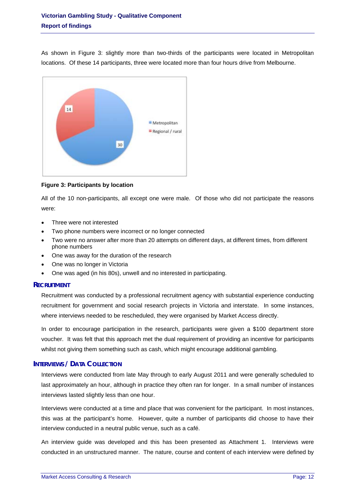As shown in [Figure 3:](#page-12-2) slightly more than two-thirds of the participants were located in Metropolitan locations. Of these 14 participants, three were located more than four hours drive from Melbourne.



<span id="page-12-2"></span>**Figure 3: Participants by location** 

All of the 10 non-participants, all except one were male. Of those who did not participate the reasons were:

- Three were not interested
- Two phone numbers were incorrect or no longer connected
- Two were no answer after more than 20 attempts on different days, at different times, from different phone numbers
- One was away for the duration of the research
- One was no longer in Victoria
- One was aged (in his 80s), unwell and no interested in participating.

# <span id="page-12-0"></span>**RECRUITMENT**

Recruitment was conducted by a professional recruitment agency with substantial experience conducting recruitment for government and social research projects in Victoria and interstate. In some instances, where interviews needed to be rescheduled, they were organised by Market Access directly.

In order to encourage participation in the research, participants were given a \$100 department store voucher. It was felt that this approach met the dual requirement of providing an incentive for participants whilst not giving them something such as cash, which might encourage additional gambling.

# <span id="page-12-1"></span>**INTERVIEWS / DATA COLLECTION**

Interviews were conducted from late May through to early August 2011 and were generally scheduled to last approximately an hour, although in practice they often ran for longer. In a small number of instances interviews lasted slightly less than one hour.

Interviews were conducted at a time and place that was convenient for the participant. In most instances, this was at the participant's home. However, quite a number of participants did choose to have their interview conducted in a neutral public venue, such as a café.

An interview guide was developed and this has been presented as Attachment 1. Interviews were conducted in an unstructured manner. The nature, course and content of each interview were defined by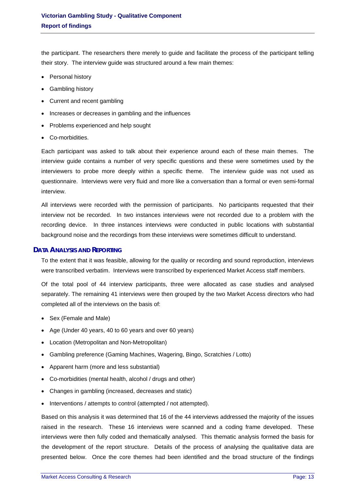the participant. The researchers there merely to guide and facilitate the process of the participant telling their story. The interview guide was structured around a few main themes:

- Personal history
- Gambling history
- Current and recent gambling
- Increases or decreases in gambling and the influences
- Problems experienced and help sought
- Co-morbidities.

Each participant was asked to talk about their experience around each of these main themes. The interview guide contains a number of very specific questions and these were sometimes used by the interviewers to probe more deeply within a specific theme. The interview guide was not used as questionnaire. Interviews were very fluid and more like a conversation than a formal or even semi-formal interview.

interview not be recorded. In two instances interviews were not recorded due to a problem with the All interviews were recorded with the permission of participants. No participants requested that their recording device. In three instances interviews were conducted in public locations with substantial background noise and the recordings from these interviews were sometimes difficult to understand.

# <span id="page-13-0"></span>**DATA ANALYSIS AND REPORTING**

were transcribed verbatim. Interviews were transcribed by experienced Market Access staff members. To the extent that it was feasible, allowing for the quality or recording and sound reproduction, interviews

separately. The remaining 41 interviews were then grouped by the two Market Access directors who had Of the total pool of 44 interview participants, three were allocated as case studies and analysed completed all of the interviews on the basis of:

- Sex (Female and Male)
- Age (Under 40 years, 40 to 60 years and over 60 years)
- Location (Metropolitan and Non-Metropolitan)
- Gambling preference (Gaming Machines, Wagering, Bingo, Scratchies / Lotto)
- Apparent harm (more and less substantial)
- Co-morbidities (mental health, alcohol / drugs and other)
- Changes in gambling (increased, decreases and static)
- Interventions / attempts to control (attempted / not attempted).

Based on this analysis it was determined that 16 of the 44 interviews addressed the majority of the issues raised in the research. These 16 interviews were scanned and a coding frame developed. These interviews were then fully coded and thematically analysed. This thematic analysis formed the basis for the development of the report structure. Details of the process of analysing the qualitative data are presented below. Once the core themes had been identified and the broad structure of the findings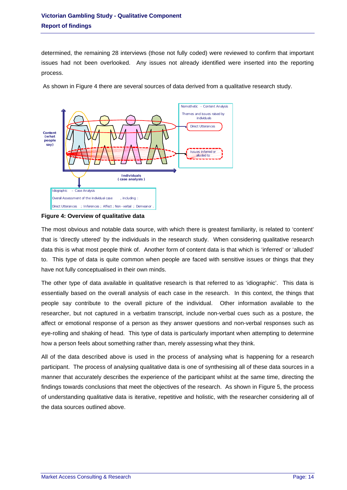determined, the remaining 28 interviews (those not fully coded) were reviewed to confirm that important issues had not been overlooked. Any issues not already identified were inserted into the reporting process.

As shown in Figure 4 there are several sources of data derived from a qualitative research study.



#### **Figure 4: Overview of qualitative data**

The most obvious and notable data source, with which there is greatest familiarity, is related to 'content' that is 'directly uttered' by the individuals in the research study. When considering qualitative research data this is what most people think of. Another form of content data is that which is 'inferred' or 'alluded' to. This type of data is quite common when people are faced with sensitive issues or things that they have not fully conceptualised in their own minds.

essentially based on the overall analysis of each case in the research. In this context, the things that The other type of data available in qualitative research is that referred to as 'idiographic'. This data is people say contribute to the overall picture of the individual. Other information available to the researcher, but not captured in a verbatim transcript, include non-verbal cues such as a posture, the affect or emotional response of a person as they answer questions and non-verbal responses such as eye-rolling and shaking of head. This type of data is particularly important when attempting to determine how a person feels about something rather than, merely assessing what they think.

participant. The process of analysing qualitative data is one of synthesising all of these data sources in a All of the data described above is used in the process of analysing what is happening for a research manner that accurately describes the experience of the participant whilst at the same time, directing the findings towards conclusions that meet the objectives of the research. As shown in [Figure 5,](#page-15-1) the process of understanding qualitative data is iterative, repetitive and holistic, with the researcher considering all of the data sources outlined above.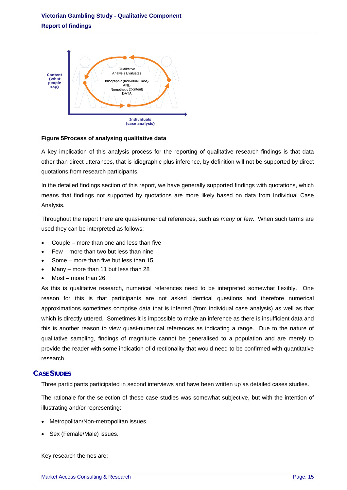

# <span id="page-15-1"></span>**Figure 5Process of analysing qualitative data**

A key implication of this analysis process for the reporting of qualitative research findings is that data other than direct utterances, that is idiographic plus inference, by definition will not be supported by direct quotations from research participants.

In the detailed findings section of this report, we have generally supported findings with quotations, which means that findings not supported by quotations are more likely based on data from Individual Case Analysis.

Throughout the report there are quasi-numerical references, such as *many* or *few*. When such terms are used they can be interpreted as follows:

- Couple more than one and less than five
- Few more than two but less than nine
- Some more than five but less than 15
- Many more than 11 but less than 28
- Most more than 26.

As this is qualitative research, numerical references need to be interpreted somewhat flexibly. One reason for this is that participants are not asked identical questions and therefore numerical approximations sometimes comprise data that is inferred (from individual case analysis) as well as that which is directly uttered. Sometimes it is impossible to make an inference as there is insufficient data and this is another reason to view quasi-numerical references as indicating a range. Due to the nature of qualitative sampling, findings of magnitude cannot be generalised to a population and are merely to provide the reader with some indication of directionality that would need to be confirmed with quantitative research.

# <span id="page-15-0"></span>**CASE STUDIES**

Three participants participated in second interviews and have been written up as detailed cases studies.

The rationale for the selection of these case studies was somewhat subjective, but with the intention of illustrating and/or representing:

- Metropolitan/Non-metropolitan issues
- Sex (Female/Male) issues.

Key research themes are: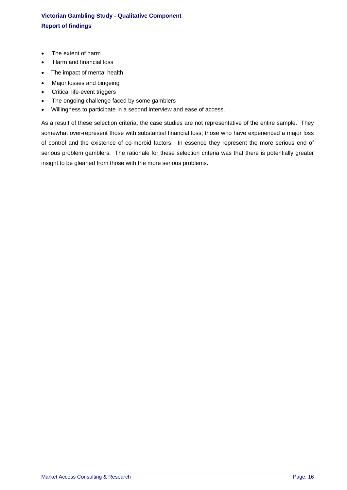- The extent of harm
- Harm and financial loss
- The impact of mental health
- Major losses and bingeing
- Critical life-event triggers
- The ongoing challenge faced by some gamblers
- Willingness to participate in a second interview and ease of access.

As a result of these selection criteria, the case studies are not representative of the entire sample. They somewhat over-represent those with substantial financial loss; those who have experienced a major loss of control and the existence of co-morbid factors. In essence they represent the more serious end of serious problem gamblers. The rationale for these selection criteria was that there is potentially greater insight to be gleaned from those with the more serious problems.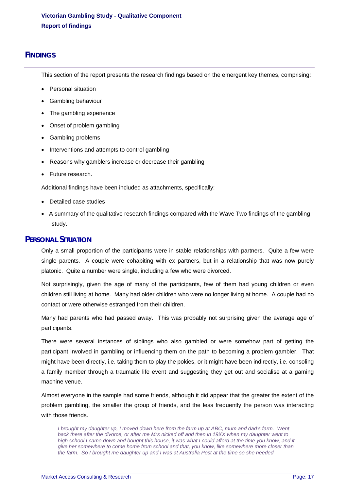# <span id="page-17-0"></span>**FINDINGS**

This section of the report presents the research findings based on the emergent key themes, comprising:

- Personal situation
- Gambling behaviour
- The gambling experience
- Onset of problem gambling
- Gambling problems
- Interventions and attempts to control gambling
- Reasons why gamblers increase or decrease their gambling
- Future research.

Additional findings have been included as attachments, specifically:

- Detailed case studies
- A summary of the qualitative research findings compared with the Wave Two findings of the gambling study.

# <span id="page-17-1"></span>**PERSONAL SITUATION**

Only a small proportion of the participants were in stable relationships with partners. Quite a few were single parents. A couple were cohabiting with ex partners, but in a relationship that was now purely platonic. Quite a number were single, including a few who were divorced.

Not surprisingly, given the age of many of the participants, few of them had young children or even children still living at home. Many had older children who were no longer living at home. A couple had no contact or were otherwise estranged from their children.

Many had parents who had passed away. This was probably not surprising given the average age of participants.

There were several instances of siblings who also gambled or were somehow part of getting the participant involved in gambling or influencing them on the path to becoming a problem gambler. That might have been directly, i.e. taking them to play the pokies, or it might have been indirectly, i.e. consoling a family member through a traumatic life event and suggesting they get out and socialise at a gaming machine venue.

Almost everyone in the sample had some friends, although it did appear that the greater the extent of the problem gambling, the smaller the group of friends, and the less frequently the person was interacting with those friends.

*I brought my daughter up, I moved down here from the farm up at ABC, mum and dad's farm. Went back there after the divorce, or after me Mrs nicked off and then in 19XX when my daughter went to high school I came down and bought this house, it was what I could afford at the time you know, and it give her somewhere to come home from school and that, you know, like somewhere more closer than the farm. So I brought me daughter up and I was at Australia Post at the time so she needed*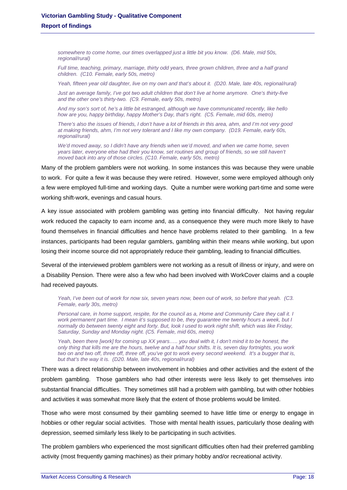*somewhere to come home, our times overlapped just a little bit you know. (D6. Male, mid 50s, regional/rural)* 

*Full time, teaching, primary, marriage, thirty odd years, three grown children, three and a half grand children. (C10. Female, early 50s, metro)* 

*Yeah, fifteen year old daughter, live on my own and that's about it. (D20. Male, late 40s, regional/rural)* 

*Just an average family, I've got two adult children that don't live at home anymore. One's thirty-five and the other one's thirty-two. (C9. Female, early 50s, metro)* 

*And my son's sort of, he's a little bit estranged, although we have communicated recently, like hello how are you, happy birthday, happy Mother's Day, that's right. (C5. Female, mid 60s, metro)* 

*There's also the issues of friends, I don't have a lot of friends in this area, ahm, and I'm not very good at making friends, ahm, I'm not very tolerant and I like my own company. (D19. Female, early 60s, regional/rural)* 

*We'd moved away, so I didn't have any friends when we'd moved, and when we came home, seven years later, everyone else had their you know, set routines and group of friends, so we still haven't moved back into any of those circles. (C10. Female, early 50s, metro)* 

Many of the problem gamblers were not working. In some instances this was because they were unable to work. For quite a few it was because they were retired. However, some were employed although only a few were employed full-time and working days. Quite a number were working part-time and some were working shift-work, evenings and casual hours.

A key issue associated with problem gambling was getting into financial difficulty. Not having regular work reduced the capacity to earn income and, as a consequence they were much more likely to have found themselves in financial difficulties and hence have problems related to their gambling. In a few instances, participants had been regular gamblers, gambling within their means while working, but upon losing their income source did not appropriately reduce their gambling, leading to financial difficulties.

Several of the interviewed problem gamblers were not working as a result of illness or injury, and were on a Disability Pension. There were also a few who had been involved with WorkCover claims and a couple had received payouts.

*Yeah, I've been out of work for now six, seven years now, been out of work, so before that yeah. (C3. Female, early 30s, metro)* 

*Personal care, in home support, respite, for the council as a, Home and Community Care they call it. I work permanent part time. I mean it's supposed to be, they guarantee me twenty hours a week, but I normally do between twenty eight and forty. But, look I used to work night shift, which was like Friday, Saturday, Sunday and Monday night. (C5. Female, mid 60s, metro)* 

*Yeah, been there [work] for coming up XX years….. you deal with it, I don't mind it to be honest, the only thing that kills me are the hours, twelve and a half hour shifts. It is, seven day fortnights, you work two on and two off, three off, three off, you've got to work every second weekend. It's a bugger that is, but that's the way it is. (D20. Male, late 40s, regional/rural)* 

There was a direct relationship between involvement in hobbies and other activities and the extent of the problem gambling. Those gamblers who had other interests were less likely to get themselves into substantial financial difficulties. They sometimes still had a problem with gambling, but with other hobbies and activities it was somewhat more likely that the extent of those problems would be limited.

Those who were most consumed by their gambling seemed to have little time or energy to engage in hobbies or other regular social activities. Those with mental health issues, particularly those dealing with depression, seemed similarly less likely to be participating in such activities.

The problem gamblers who experienced the most significant difficulties often had their preferred gambling activity (most frequently gaming machines) as their primary hobby and/or recreational activity.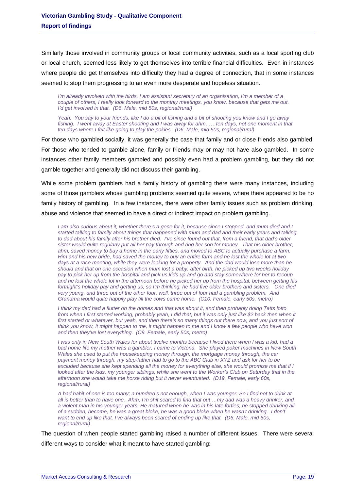Similarly those involved in community groups or local community activities, such as a local sporting club or local church, seemed less likely to get themselves into terrible financial difficulties. Even in instances where people did get themselves into difficulty they had a degree of connection, that in some instances seemed to stop them progressing to an even more desperate and hopeless situation.

*I'm already involved with the birds, I am assistant secretary of an organisation, I'm a member of a couple of others, I really look forward to the monthly meetings, you know, because that gets me out. I'd get involved in that. (D6. Male, mid 50s, regional/rural)* 

*Yeah. You say to your friends, like I do a bit of fishing and a bit of shooting you know and I go away fishing. I went away at Easter shooting and I was away for ahm……ten days, not one moment in that ten days where I felt like going to play the pokies. (D6. Male, mid 50s, regional/rural)* 

For those who gambled socially, it was generally the case that family and or close friends also gambled. For those who tended to gamble alone, family or friends may or may not have also gambled. In some instances other family members gambled and possibly even had a problem gambling, but they did not gamble together and generally did not discuss their gambling.

While some problem gamblers had a family history of gambling there were many instances, including some of those gamblers whose gambling problems seemed quite severe, where there appeared to be no family history of gambling. In a few instances, there were other family issues such as problem drinking, abuse and violence that seemed to have a direct or indirect impact on problem gambling.

*I am also curious about it, whether there's a gene for it, because since I stopped, and mum died and I started talking to family about things that happened with mum and dad and their early years and talking to dad about his family after his brother died. I've since found out that, from a friend, that dad's older sister would quite regularly put all her pay through and ring her son for money. That his older brother, ahm, saved money to buy a home in the early fifties, and moved to ABC to actually purchase a farm. Him and his new bride, had saved the money to buy an entire farm and he lost the whole lot at two days at a race meeting, while they were looking for a property. And the dad would lose more than he should and that on one occasion when mum lost a baby, after birth, he picked up two weeks holiday pay to pick her up from the hospital and pick us kids up and go and stay somewhere for her to recoup and he lost the whole lot in the afternoon before he picked her up from the hospital, between getting his fortnight's holiday pay and getting us, so I'm thinking, he had five older brothers and sisters. One died very young, and three out of the other four, well, three out of four had a gambling problem. And Grandma would quite happily play till the cows came home. (C10. Female, early 50s, metro)* 

*I think my dad had a flutter on the horses and that was about it, and then probably doing Tatts lotto from when I first started working, probably yeah, I did that, but it was only just like \$2 back then when it first started or whatever, but yeah, and then there's so many things out there now, and you just sort of think you know, it might happen to me, it might happen to me and I know a few people who have won and then they've lost everything. (C9. Female, early 50s, metro)* 

*I* was only in New South Wales for about twelve months because I lived there when I was a kid, had a *bad home life my mother was a gambler, I came to Victoria. She played poker machines in New South Wales she used to put the housekeeping money through, the mortgage money through, the car payment money through, my step-father had to go to the ABC Club in XYZ and ask for her to be excluded because she kept spending all the money for everything else, she would promise me that if I looked after the kids, my younger siblings, while she went to the Worker's Club on Saturday that in the afternoon she would take me horse riding but it never eventuated. (D19. Female, early 60s, regional/rural)* 

*A bad habit of one is too many; a hundred's not enough, when I was younger. So I find not to drink at all is better than to have one. Ahm, I'm shit scared to find that out….my dad was a heavy drinker, and a violent man in his younger years. He matured when he was in his late forties, he stopped drinking all of a sudden, become, he was a great bloke, he was a good bloke when he wasn't drinking. I don't want to end up like that. I've always been scared of ending up like that. (D6. Male, mid 50s, regional/rural)* 

The question of when people started gambling raised a number of different issues. There were several different ways to consider what it meant to have started gambling: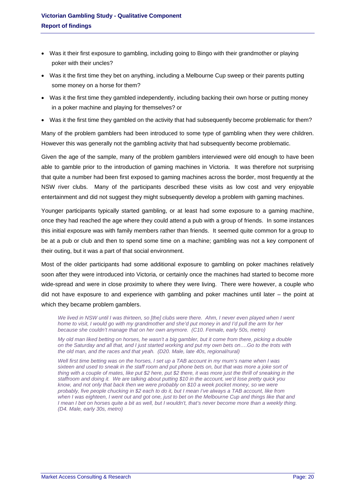- Was it their first exposure to gambling, including going to Bingo with their grandmother or playing poker with their uncles?
- Was it the first time they bet on anything, including a Melbourne Cup sweep or their parents putting some money on a horse for them?
- Was it the first time they gambled independently, including backing their own horse or putting money in a poker machine and playing for themselves? or
- Was it the first time they gambled on the activity that had subsequently become problematic for them?

Many of the problem gamblers had been introduced to some type of gambling when they were children. However this was generally not the gambling activity that had subsequently become problematic.

Given the age of the sample, many of the problem gamblers interviewed were old enough to have been able to gamble prior to the introduction of gaming machines in Victoria. It was therefore not surprising that quite a number had been first exposed to gaming machines across the border, most frequently at the NSW river clubs. Many of the participants described these visits as low cost and very enjoyable entertainment and did not suggest they might subsequently develop a problem with gaming machines.

Younger participants typically started gambling, or at least had some exposure to a gaming machine, once they had reached the age where they could attend a pub with a group of friends. In some instances this initial exposure was with family members rather than friends. It seemed quite common for a group to be at a pub or club and then to spend some time on a machine; gambling was not a key component of their outing, but it was a part of that social environment.

Most of the older participants had some additional exposure to gambling on poker machines relatively soon after they were introduced into Victoria, or certainly once the machines had started to become more wide-spread and were in close proximity to where they were living. There were however, a couple who did not have exposure to and experience with gambling and poker machines until later – the point at which they became problem gamblers.

*We lived in NSW until I was thirteen, so [the] clubs were there. Ahm, I never even played when I went home to visit, I would go with my grandmother and she'd put money in and I'd pull the arm for her because she couldn't manage that on her own anymore. (C10. Female, early 50s, metro)* 

*My old man liked betting on horses, he wasn't a big gambler, but it come from there, picking a double on the Saturday and all that, and I just started working and put my own bets on….Go to the trots with the old man, and the races and that yeah. (D20. Male, late 40s, regional/rural)* 

*Well first time betting was on the horses, I set up a TAB account in my mum's name when I was sixteen and used to sneak in the staff room and put phone bets on, but that was more a joke sort of thing with a couple of mates, like put \$2 here, put \$2 there, it was more just the thrill of sneaking in the staffroom and doing it. We are talking about putting \$10 in the account, we'd lose pretty quick you know, and not only that back then we were probably on \$10 a week pocket money, so we were probably, five people chucking in \$2 each to do it, but I mean I've always a TAB account, like from when I was eighteen, I went out and got one, just to bet on the Melbourne Cup and things like that and I* mean *I* bet on horses quite a bit as well, but *I* wouldn't, that's never become more than a weekly thing. *(D4. Male, early 30s, metro)*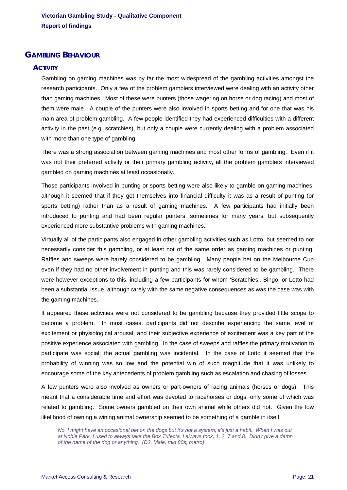# <span id="page-21-1"></span><span id="page-21-0"></span>**GAMBLING BEHAVIOUR**

# **ACTIVITY**

Gambling on gaming machines was by far the most widespread of the gambling activities amongst the research participants. Only a few of the problem gamblers interviewed were dealing with an activity other than gaming machines. Most of these were punters (those wagering on horse or dog racing) and most of them were male. A couple of the punters were also involved in sports betting and for one that was his main area of problem gambling. A few people identified they had experienced difficulties with a different activity in the past (e.g. scratchies), but only a couple were currently dealing with a problem associated with more than one type of gambling.

There was a strong association between gaming machines and most other forms of gambling. Even if it was not their preferred activity or their primary gambling activity, all the problem gamblers interviewed gambled on gaming machines at least occasionally.

Those participants involved in punting or sports betting were also likely to gamble on gaming machines, although it seemed that if they got themselves into financial difficulty it was as a result of punting (or sports betting) rather than as a result of gaming machines. A few participants had initially been introduced to punting and had been regular punters, sometimes for many years, but subsequently experienced more substantive problems with gaming machines.

Virtually all of the participants also engaged in other gambling activities such as Lotto, but seemed to not necessarily consider this gambling, or at least not of the same order as gaming machines or punting. Raffles and sweeps were barely considered to be gambling. Many people bet on the Melbourne Cup even if they had no other involvement in punting and this was rarely considered to be gambling. There were however exceptions to this, including a few participants for whom 'Scratchies', Bingo, or Lotto had been a substantial issue, although rarely with the same negative consequences as was the case was with the gaming machines.

It appeared these activities were not considered to be gambling because they provided little scope to become a problem. In most cases, participants did not describe experiencing the same level of excitement or physiological arousal, and their subjective experience of excitement was a key part of the positive experience associated with gambling. In the case of sweeps and raffles the primary motivation to participate was social; the actual gambling was incidental. In the case of Lotto it seemed that the probability of winning was so low and the potential win of such magnitude that it was unlikely to encourage some of the key antecedents of problem gambling such as escalation and chasing of losses.

A few punters were also involved as owners or part-owners of racing animals (horses or dogs). This meant that a considerable time and effort was devoted to racehorses or dogs, only some of which was related to gambling. Some owners gambled on their own animal while others did not. Given the low likelihood of owning a wining animal ownership seemed to be something of a gamble in itself.

*No, I might have an occasional bet on the dogs but it's not a system, it's just a habit. When I was out at Noble Park, I used to always take the Box Trifecta, I always took, 1, 2, 7 and 8. Didn't give a damn of the name of the dog or anything. (D2. Male, mid 80s, metro)*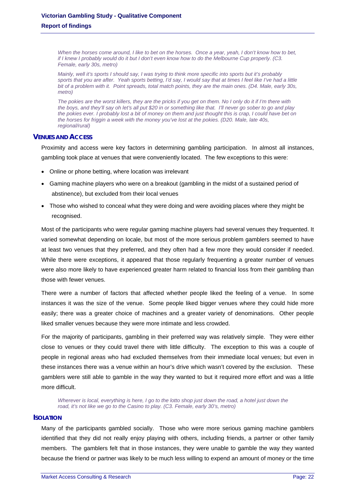*When the horses come around, I like to bet on the horses. Once a year, yeah, I don't know how to bet, if I knew I probably would do it but I don't even know how to do the Melbourne Cup properly. (C3. Female, early 30s, metro)* 

*Mainly, well it's sports I should say, I was trying to think more specific into sports but it's probably*  sports that you are after. Yeah sports betting, I'd say, I would say that at times I feel like I've had a little *bit of a problem with it. Point spreads, total match points, they are the main ones. (D4. Male, early 30s, metro)* 

*The pokies are the worst killers, they are the pricks if you get on them. No I only do it if I'm there with the boys, and they'll say oh let's all put \$20 in or something like that. I'll never go sober to go and play the pokies ever. I probably lost a bit of money on them and just thought this is crap, I could have bet on the horses for friggin a week with the money you've lost at the pokies. (D20. Male, late 40s, regional/rural)* 

# <span id="page-22-0"></span>**VENUES AND ACCESS**

Proximity and access were key factors in determining gambling participation. In almost all instances, gambling took place at venues that were conveniently located. The few exceptions to this were:

- Online or phone betting, where location was irrelevant
- Gaming machine players who were on a breakout (gambling in the midst of a sustained period of abstinence), but excluded from their local venues
- Those who wished to conceal what they were doing and were avoiding places where they might be recognised.

Most of the participants who were regular gaming machine players had several venues they frequented. It varied somewhat depending on locale, but most of the more serious problem gamblers seemed to have at least two venues that they preferred, and they often had a few more they would consider if needed. While there were exceptions, it appeared that those regularly frequenting a greater number of venues were also more likely to have experienced greater harm related to financial loss from their gambling than those with fewer venues.

There were a number of factors that affected whether people liked the feeling of a venue. In some instances it was the size of the venue. Some people liked bigger venues where they could hide more easily; there was a greater choice of machines and a greater variety of denominations. Other people liked smaller venues because they were more intimate and less crowded.

For the majority of participants, gambling in their preferred way was relatively simple. They were either close to venues or they could travel there with little difficulty. The exception to this was a couple of people in regional areas who had excluded themselves from their immediate local venues; but even in these instances there was a venue within an hour's drive which wasn't covered by the exclusion. These gamblers were still able to gamble in the way they wanted to but it required more effort and was a little more difficult.

*Wherever is local, everything is here, I go to the lotto shop just down the road, a hotel just down the road, it's not like we go to the Casino to play. (C3. Female, early 30's, metro)* 

#### <span id="page-22-1"></span>**ISOLATION**

Many of the participants gambled socially. Those who were more serious gaming machine gamblers identified that they did not really enjoy playing with others, including friends, a partner or other family members. The gamblers felt that in those instances, they were unable to gamble the way they wanted because the friend or partner was likely to be much less willing to expend an amount of money or the time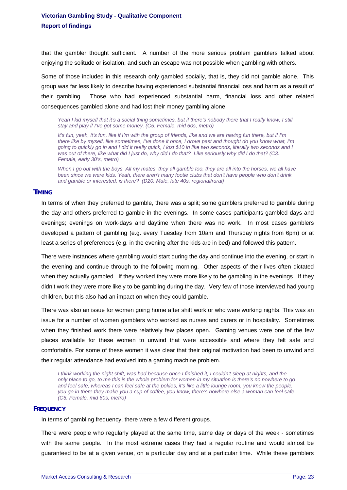that the gambler thought sufficient. A number of the more serious problem gamblers talked about enjoying the solitude or isolation, and such an escape was not possible when gambling with others.

Some of those included in this research only gambled socially, that is, they did not gamble alone. This group was far less likely to describe having experienced substantial financial loss and harm as a result of their gambling. Those who had experienced substantial harm, financial loss and other related consequences gambled alone and had lost their money gambling alone.

Yeah I kid myself that it's a social thing sometimes, but if there's nobody there that I really know, I still *stay and play if I've got some money. (C5. Female, mid 60s, metro)* 

*It's fun, yeah, it's fun, like if I'm with the group of friends, like and we are having fun there, but if I'm there like by myself, like sometimes, I've done it once, I drove past and thought do you know what, I'm going to quickly go in and I did it really quick, I lost \$10 in like two seconds, literally two seconds and I was out of there, like what did I just do, why did I do that? Like seriously why did I do that? (C3. Female, early 30's, metro)* 

*When I go out with the boys. All my mates, they all gamble too, they are all into the horses, we all have been since we were kids. Yeah, there aren't many footie clubs that don't have people who don't drink and gamble or interested, is there? (D20. Male, late 40s, regional/rural)* 

#### <span id="page-23-0"></span>**TIMING**

In terms of when they preferred to gamble, there was a split; some gamblers preferred to gamble during the day and others preferred to gamble in the evenings. In some cases participants gambled days and evenings; evenings on work-days and daytime when there was no work. In most cases gamblers developed a pattern of gambling (e.g. every Tuesday from 10am and Thursday nights from 6pm) or at least a series of preferences (e.g. in the evening after the kids are in bed) and followed this pattern.

There were instances where gambling would start during the day and continue into the evening, or start in the evening and continue through to the following morning. Other aspects of their lives often dictated when they actually gambled. If they worked they were more likely to be gambling in the evenings. If they didn't work they were more likely to be gambling during the day. Very few of those interviewed had young children, but this also had an impact on when they could gamble.

There was also an issue for women going home after shift work or who were working nights. This was an issue for a number of women gamblers who worked as nurses and carers or in hospitality. Sometimes when they finished work there were relatively few places open. Gaming venues were one of the few places available for these women to unwind that were accessible and where they felt safe and comfortable. For some of these women it was clear that their original motivation had been to unwind and their regular attendance had evolved into a gaming machine problem.

*I think working the night shift, was bad because once I finished it, I couldn't sleep at nights, and the only place to go, to me this is the whole problem for women in my situation is there's no nowhere to go and feel safe, whereas I can feel safe at the pokies, it's like a little lounge room, you know the people, you go in there they make you a cup of coffee, you know, there's nowhere else a woman can feel safe. (C5. Female, mid 60s, metro)* 

#### <span id="page-23-1"></span>**FREQUENCY**

In terms of gambling frequency, there were a few different groups.

There were people who regularly played at the same time, same day or days of the week - sometimes with the same people. In the most extreme cases they had a regular routine and would almost be guaranteed to be at a given venue, on a particular day and at a particular time. While these gamblers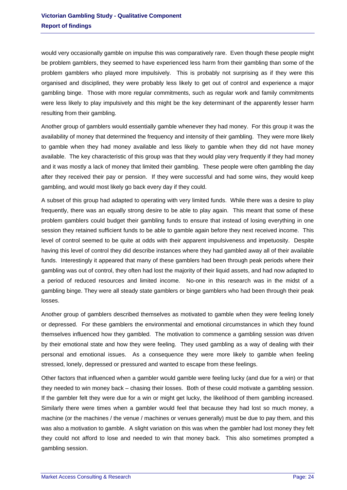would very occasionally gamble on impulse this was comparatively rare. Even though these people might be problem gamblers, they seemed to have experienced less harm from their gambling than some of the problem gamblers who played more impulsively. This is probably not surprising as if they were this organised and disciplined, they were probably less likely to get out of control and experience a major gambling binge. Those with more regular commitments, such as regular work and family commitments were less likely to play impulsively and this might be the key determinant of the apparently lesser harm resulting from their gambling.

Another group of gamblers would essentially gamble whenever they had money. For this group it was the availability of money that determined the frequency and intensity of their gambling. They were more likely to gamble when they had money available and less likely to gamble when they did not have money available. The key characteristic of this group was that they would play very frequently if they had money and it was mostly a lack of money that limited their gambling. These people were often gambling the day after they received their pay or pension. If they were successful and had some wins, they would keep gambling, and would most likely go back every day if they could.

A subset of this group had adapted to operating with very limited funds. While there was a desire to play frequently, there was an equally strong desire to be able to play again. This meant that some of these problem gamblers could budget their gambling funds to ensure that instead of losing everything in one session they retained sufficient funds to be able to gamble again before they next received income. This level of control seemed to be quite at odds with their apparent impulsiveness and impetuosity. Despite having this level of control they did describe instances where they had gambled away all of their available funds. Interestingly it appeared that many of these gamblers had been through peak periods where their gambling was out of control, they often had lost the majority of their liquid assets, and had now adapted to a period of reduced resources and limited income. No-one in this research was in the midst of a gambling binge. They were all steady state gamblers or binge gamblers who had been through their peak losses.

Another group of gamblers described themselves as motivated to gamble when they were feeling lonely or depressed. For these gamblers the environmental and emotional circumstances in which they found themselves influenced how they gambled. The motivation to commence a gambling session was driven by their emotional state and how they were feeling. They used gambling as a way of dealing with their personal and emotional issues. As a consequence they were more likely to gamble when feeling stressed, lonely, depressed or pressured and wanted to escape from these feelings.

Other factors that influenced when a gambler would gamble were feeling lucky (and due for a win) or that they needed to win money back – chasing their losses. Both of these could motivate a gambling session. If the gambler felt they were due for a win or might get lucky, the likelihood of them gambling increased. Similarly there were times when a gambler would feel that because they had lost so much money, a machine (or the machines / the venue / machines or venues generally) must be due to pay them, and this was also a motivation to gamble. A slight variation on this was when the gambler had lost money they felt they could not afford to lose and needed to win that money back. This also sometimes prompted a gambling session.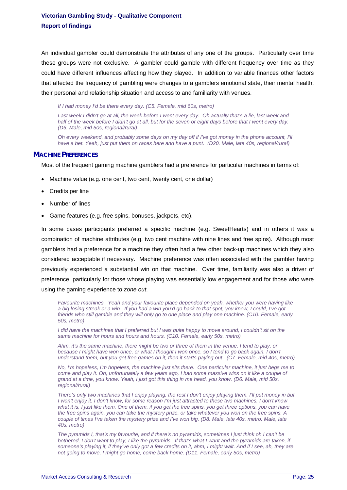An individual gambler could demonstrate the attributes of any one of the groups. Particularly over time these groups were not exclusive. A gambler could gamble with different frequency over time as they could have different influences affecting how they played. In addition to variable finances other factors that affected the frequency of gambling were changes to a gamblers emotional state, their mental health, their personal and relationship situation and access to and familiarity with venues.

*If I had money I'd be there every day. (C5. Female, mid 60s, metro)* 

Last week I didn't go at all, the week before I went every day. Oh actually that's a lie, last week and *half of the week before I didn't go at all, but for the seven or eight days before that I went every day. (D6. Male, mid 50s, regional/rural)* 

*Oh every weekend, and probably some days on my day off if I've got money in the phone account, I'll*  have a bet. Yeah, just put them on races here and have a punt. (D20. Male, late 40s, regional/rural)

#### <span id="page-25-0"></span>**MACHINE PREFERENCES**

Most of the frequent gaming machine gamblers had a preference for particular machines in terms of:

- Machine value (e.g. one cent, two cent, twenty cent, one dollar)
- Credits per line
- Number of lines
- Game features (e.g. free spins, bonuses, jackpots, etc).

In some cases participants preferred a specific machine (e.g. SweetHearts) and in others it was a combination of machine attributes (e.g. two cent machine with nine lines and free spins). Although most gamblers had a preference for a machine they often had a few other back-up machines which they also considered acceptable if necessary. Machine preference was often associated with the gambler having previously experienced a substantial win on that machine. Over time, familiarity was also a driver of preference, particularly for those whose playing was essentially low engagement and for those who were using the gaming experience to *zone out*.

*Favourite machines. Yeah and your favourite place depended on yeah, whether you were having like a big losing streak or a win. If you had a win you'd go back to that spot, you know, I could, I've got friends who still gamble and they will only go to one place and play one machine. (C10. Female, early 50s, metro)* 

*I did have the machines that I preferred but I was quite happy to move around, I couldn't sit on the same machine for hours and hours and hours. (C10. Female, early 50s, metro)* 

*Ahm, it's the same machine, there might be two or three of them in the venue, I tend to play, or because I might have won once, or what I thought I won once, so I tend to go back again. I don't understand them, but you get free games on it, then it starts paying out. (C7. Female, mid 40s, metro)* 

*No, I'm hopeless, I'm hopeless, the machine just sits there. One particular machine, it just begs me to come and play it. Oh, unfortunately a few years ago, I had some massive wins on it like a couple of grand at a time, you know. Yeah, I just got this thing in me head, you know. (D6. Male, mid 50s, regional/rural)* 

*There's only two machines that I enjoy playing, the rest I don't enjoy playing them. I'll put money in but I won't enjoy it. I don't know, for some reason I'm just attracted to these two machines, I don't know what it is, I just like them. One of them, if you get the free spins, you get three options, you can have the free spins again, you can take the mystery prize, or take whatever you won on the free spins. A couple of times I've taken the mystery prize and I've won big. (D8. Male, late 40s, metro. Male, late 40s, metro)* 

*The pyramids I, that's my favourite, and if there's no pyramids, sometimes I just think oh I can't be bothered, I don't want to play, I like the pyramids. If that's what I want and the pyramids are taken, if someone's playing it, if they've only got a few credits on it, ahm, I might wait. And if I see, ah, they are not going to move, I might go home, come back home. (D11. Female, early 50s, metro)*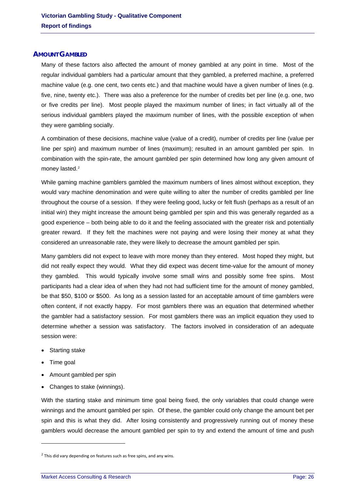#### <span id="page-26-0"></span>**AMOUNT GAMBLED**

Many of these factors also affected the amount of money gambled at any point in time. Most of the regular individual gamblers had a particular amount that they gambled, a preferred machine, a preferred machine value (e.g. one cent, two cents etc.) and that machine would have a given number of lines (e.g. five, nine, twenty etc.). There was also a preference for the number of credits bet per line (e.g. one, two or five credits per line). Most people played the maximum number of lines; in fact virtually all of the serious individual gamblers played the maximum number of lines, with the possible exception of when they were gambling socially.

A combination of these decisions, machine value (value of a credit), number of credits per line (value per line per spin) and maximum number of lines (maximum); resulted in an amount gambled per spin. In combination with the spin-rate, the amount gambled per spin determined how long any given amount of money lasted.<sup>[2](#page-6-2)</sup>

While gaming machine gamblers gambled the maximum numbers of lines almost without exception, they would vary machine denomination and were quite willing to alter the number of credits gambled per line throughout the course of a session. If they were feeling good, lucky or felt flush (perhaps as a result of an initial win) they might increase the amount being gambled per spin and this was generally regarded as a good experience – both being able to do it and the feeling associated with the greater risk and potentially greater reward. If they felt the machines were not paying and were losing their money at what they considered an unreasonable rate, they were likely to decrease the amount gambled per spin.

Many gamblers did not expect to leave with more money than they entered. Most hoped they might, but did not really expect they would. What they did expect was decent time-value for the amount of money they gambled. This would typically involve some small wins and possibly some free spins. Most participants had a clear idea of when they had not had sufficient time for the amount of money gambled, be that \$50, \$100 or \$500. As long as a session lasted for an acceptable amount of time gamblers were often content, if not exactly happy. For most gamblers there was an equation that determined whether the gambler had a satisfactory session. For most gamblers there was an implicit equation they used to determine whether a session was satisfactory. The factors involved in consideration of an adequate session were:

- Starting stake
- Time goal

-

- Amount gambled per spin
- Changes to stake (winnings).

With the starting stake and minimum time goal being fixed, the only variables that could change were winnings and the amount gambled per spin. Of these, the gambler could only change the amount bet per spin and this is what they did. After losing consistently and progressively running out of money these gamblers would decrease the amount gambled per spin to try and extend the amount of time and push

 $2$  This did vary depending on features such as free spins, and any wins.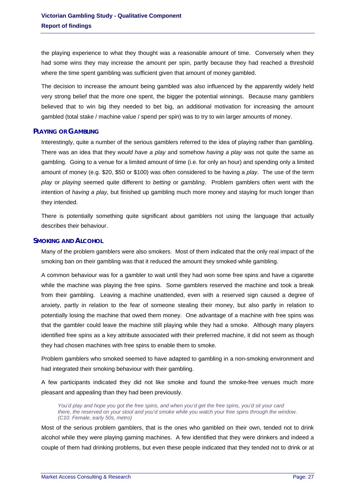the playing experience to what they thought was a reasonable amount of time. Conversely when they had some wins they may increase the amount per spin, partly because they had reached a threshold where the time spent gambling was sufficient given that amount of money gambled.

The decision to increase the amount being gambled was also influenced by the apparently widely held very strong belief that the more one spent, the bigger the potential winnings. Because many gamblers believed that to win big they needed to bet big, an additional motivation for increasing the amount gambled (total stake / machine value / spend per spin) was to try to win larger amounts of money.

#### <span id="page-27-0"></span>**PLAYING OR GAMBLING**

Interestingly, quite a number of the serious gamblers referred to the idea of playing rather than gambling. There was an idea that they *would have a play* and somehow *having a play* was not quite the same as gambling. Going to a venue for a limited amount of time (i.e. for only an hour) and spending only a limited amount of money (e.g. \$20, \$50 or \$100) was often considered to be having a *play*. The use of the term *play* or *playing* seemed quite different to *betting* or *gambling*. Problem gamblers often went with the intention of *having a play,* but finished up gambling much more money and staying for much longer than they intended.

There is potentially something quite significant about gamblers not using the language that actually describes their behaviour.

# <span id="page-27-1"></span>**SMOKING AND ALCOHOL**

Many of the problem gamblers were also smokers. Most of them indicated that the only real impact of the smoking ban on their gambling was that it reduced the amount they smoked while gambling.

A common behaviour was for a gambler to wait until they had won some free spins and have a cigarette while the machine was playing the free spins. Some gamblers reserved the machine and took a break from their gambling. Leaving a machine unattended, even with a reserved sign caused a degree of anxiety, partly in relation to the fear of someone stealing their money, but also partly in relation to potentially losing the machine that owed them money. One advantage of a machine with free spins was that the gambler could leave the machine still playing while they had a smoke. Although many players identified free spins as a key attribute associated with their preferred machine, it did not seem as though they had chosen machines with free spins to enable them to smoke.

Problem gamblers who smoked seemed to have adapted to gambling in a non-smoking environment and had integrated their smoking behaviour with their gambling.

A few participants indicated they did not like smoke and found the smoke-free venues much more pleasant and appealing than they had been previously.

*You'd play and hope you got the free spins, and when you'd get the free spins, you'd sit your card there, the reserved on your stool and you'd smoke while you watch your free spins through the window. (C10. Female, early 50s, metro)* 

Most of the serious problem gamblers, that is the ones who gambled on their own, tended not to drink alcohol while they were playing gaming machines. A few identified that they were drinkers and indeed a couple of them had drinking problems, but even these people indicated that they tended not to drink or at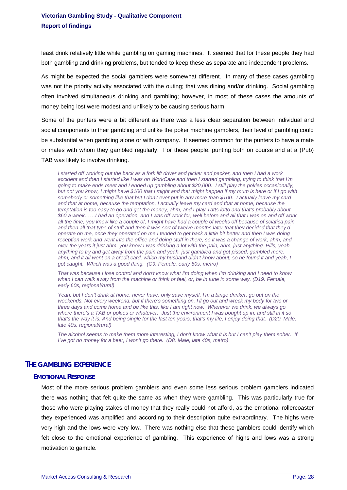least drink relatively little while gambling on gaming machines. It seemed that for these people they had both gambling and drinking problems, but tended to keep these as separate and independent problems.

As might be expected the social gamblers were somewhat different. In many of these cases gambling was not the priority activity associated with the outing; that was dining and/or drinking. Social gambling often involved simultaneous drinking and gambling; however, in most of these cases the amounts of money being lost were modest and unlikely to be causing serious harm.

Some of the punters were a bit different as there was a less clear separation between individual and social components to their gambling and unlike the poker machine gamblers, their level of gambling could be substantial when gambling alone or with company. It seemed common for the punters to have a mate or mates with whom they gambled regularly. For these people, punting both on course and at a (Pub) TAB was likely to involve drinking.

*I started off working out the back as a fork lift driver and picker and packer, and then I had a work accident and then I started like I was on WorkCare and then I started gambling, trying to think that I'm going to make ends meet and I ended up gambling about \$20,000. I still play the pokies occasionally, but not you know, I might have \$100 that I might and that might happen if my mum is here or if I go with somebody or something like that but I don't ever put in any more than \$100. I actually leave my card and that at home, because the temptation, I actually leave my card and that at home, because the temptation is too easy to go and get the money, ahm, and I play Tatts lotto and that's probably about \$60 a week……I had an operation, and I was off work for, well before and all that I was on and off work all the time, you know like a couple of, I might have had a couple of weeks off because of sciatica pain and then all that type of stuff and then it was sort of twelve months later that they decided that they'd operate on me, once they operated on me I tended to get back a little bit better and then I was doing reception work and went into the office and doing stuff in there, so it was a change of work, ahm, and over the years it just ahm, you know I was drinking a lot with the pain, ahm, just anything. Pills, yeah*  anything to try and get away from the pain and yeah, just gambled and got pissed, gambled more, *ahm, and it all went on a credit card, which my husband didn't know about, so he found it and yeah, I got caught. Which was a good thing. (C9. Female, early 50s, metro)* 

*That was because I lose control and don't know what I'm doing when I'm drinking and I need to know when I can walk away from the machine or think or feel, or, be in tune in some way. (D19. Female, early 60s, regional/rural)* 

*Yeah, but I don't drink at home, never have, only save myself, I'm a binge drinker, go out on the weekends. Not every weekend, but if there's something on, I'll go out and wreck my body for two or three days and come home and be like this, like I am right now. Wherever we drink, we always go where there's a TAB or pokies or whatever. Just the environment I was bought up in, and still in it so that's the way it is. And being single for the last ten years, that's my life, I enjoy doing that. (D20. Male, late 40s, regional/rural)* 

*The alcohol seems to make them more interesting, I don't know what it is but I can't play them sober. If I've got no money for a beer, I won't go there. (D8. Male, late 40s, metro)* 

# <span id="page-28-1"></span><span id="page-28-0"></span>**THE GAMBLING EXPERIENCE**

#### **EMOTIONAL RESPONSE**

Most of the more serious problem gamblers and even some less serious problem gamblers indicated there was nothing that felt quite the same as when they were gambling. This was particularly true for those who were playing stakes of money that they really could not afford, as the emotional rollercoaster they experienced was amplified and according to their description quite extraordinary. The highs were very high and the lows were very low. There was nothing else that these gamblers could identify which felt close to the emotional experience of gambling. This experience of highs and lows was a strong motivation to gamble.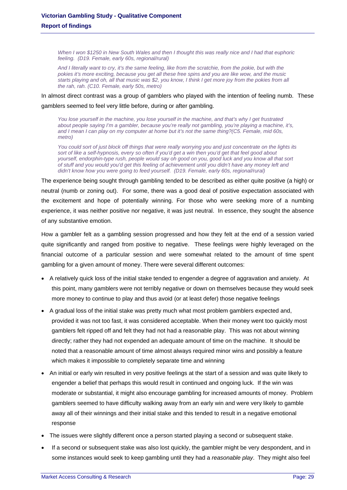*When I won \$1250 in New South Wales and then I thought this was really nice and I had that euphoric feeling. (D19. Female, early 60s, regional/rural)* 

*And I literally want to cry, it's the same feeling, like from the scratchie, from the pokie, but with the pokies it's more exciting, because you get all these free spins and you are like wow, and the music starts playing and oh, all that music was \$2, you know, I think I get more joy from the pokies from all the rah, rah. (C10. Female, early 50s, metro)* 

In almost direct contrast was a group of gamblers who played with the intention of feeling numb. These gamblers seemed to feel very little before, during or after gambling.

*You lose yourself in the machine, you lose yourself in the machine, and that's why I get frustrated about people saying I'm a gambler, because you're really not gambling, you're playing a machine, it's, and I mean I can play on my computer at home but it's not the same thing?(C5. Female, mid 60s, metro)* 

*You could sort of just block off things that were really worrying you and just concentrate on the lights its sort of like a self-hypnosis, every so often if you'd get a win then you'd get that feel good about yourself, endorphin-type rush, people would say oh good on you, good luck and you know all that sort of stuff and you would you'd get this feeling of achievement until you didn't have any money left and didn't know how you were going to feed yourself. (D19. Female, early 60s, regional/rural)* 

The experience being sought through gambling tended to be described as either quite positive (a high) or neutral (numb or zoning out). For some, there was a good deal of positive expectation associated with the excitement and hope of potentially winning. For those who were seeking more of a numbing experience, it was neither positive nor negative, it was just neutral. In essence, they sought the absence of any substantive emotion.

How a gambler felt as a gambling session progressed and how they felt at the end of a session varied quite significantly and ranged from positive to negative. These feelings were highly leveraged on the financial outcome of a particular session and were somewhat related to the amount of time spent gambling for a given amount of money. There were several different outcomes:

- A relatively quick loss of the initial stake tended to engender a degree of aggravation and anxiety. At this point, many gamblers were not terribly negative or down on themselves because they would seek more money to continue to play and thus avoid (or at least defer) those negative feelings
- A gradual loss of the initial stake was pretty much what most problem gamblers expected and, provided it was not too fast, it was considered acceptable. When their money went too quickly most gamblers felt ripped off and felt they had not had a reasonable play. This was not about winning directly; rather they had not expended an adequate amount of time on the machine. It should be noted that a reasonable amount of time almost always required minor wins and possibly a feature which makes it impossible to completely separate time and winning
- An initial or early win resulted in very positive feelings at the start of a session and was quite likely to engender a belief that perhaps this would result in continued and ongoing luck. If the win was moderate or substantial, it might also encourage gambling for increased amounts of money. Problem gamblers seemed to have difficulty walking away from an early win and were very likely to gamble away all of their winnings and their initial stake and this tended to result in a negative emotional response
- The issues were slightly different once a person started playing a second or subsequent stake.
- If a second or subsequent stake was also lost quickly, the gambler might be very despondent, and in some instances would seek to keep gambling until they had a *reasonable play*. They might also feel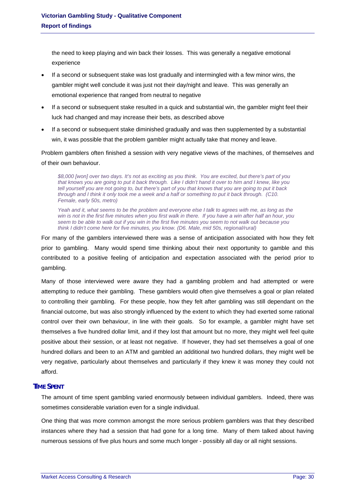the need to keep playing and win back their losses. This was generally a negative emotional experience

- If a second or subsequent stake was lost gradually and intermingled with a few minor wins, the gambler might well conclude it was just not their day/night and leave. This was generally an emotional experience that ranged from neutral to negative
- If a second or subsequent stake resulted in a quick and substantial win, the gambler might feel their luck had changed and may increase their bets, as described above
- If a second or subsequent stake diminished gradually and was then supplemented by a substantial win, it was possible that the problem gambler might actually take that money and leave.

Problem gamblers often finished a session with very negative views of the machines, of themselves and of their own behaviour.

*\$8,000 [won] over two days. It's not as exciting as you think. You are excited, but there's part of you that knows you are going to put it back through. Like I didn't hand it over to him and I knew, like you tell yourself you are not going to, but there's part of you that knows that you are going to put it back through and I think it only took me a week and a half or something to put it back through. (C10. Female, early 50s, metro)* 

*Yeah and it, what seems to be the problem and everyone else I talk to agrees with me, as long as the win is not in the first five minutes when you first walk in there. If you have a win after half an hour, you seem to be able to walk out if you win in the first five minutes you seem to not walk out because you think I didn't come here for five minutes, you know. (D6. Male, mid 50s, regional/rural)* 

For many of the gamblers interviewed there was a sense of anticipation associated with how they felt prior to gambling. Many would spend time thinking about their next opportunity to gamble and this contributed to a positive feeling of anticipation and expectation associated with the period prior to gambling.

Many of those interviewed were aware they had a gambling problem and had attempted or were attempting to reduce their gambling. These gamblers would often give themselves a goal or plan related to controlling their gambling. For these people, how they felt after gambling was still dependant on the financial outcome, but was also strongly influenced by the extent to which they had exerted some rational control over their own behaviour, in line with their goals. So for example, a gambler might have set themselves a five hundred dollar limit, and if they lost that amount but no more, they might well feel quite positive about their session, or at least not negative. If however, they had set themselves a goal of one hundred dollars and been to an ATM and gambled an additional two hundred dollars, they might well be very negative, particularly about themselves and particularly if they knew it was money they could not afford.

# <span id="page-30-0"></span>**TIME SPENT**

The amount of time spent gambling varied enormously between individual gamblers. Indeed, there was sometimes considerable variation even for a single individual.

One thing that was more common amongst the more serious problem gamblers was that they described instances where they had a session that had gone for a long time. Many of them talked about having numerous sessions of five plus hours and some much longer - possibly all day or all night sessions.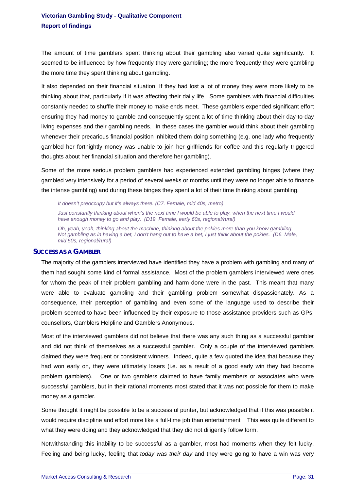The amount of time gamblers spent thinking about their gambling also varied quite significantly. It seemed to be influenced by how frequently they were gambling; the more frequently they were gambling the more time they spent thinking about gambling.

It also depended on their financial situation. If they had lost a lot of money they were more likely to be thinking about that, particularly if it was affecting their daily life. Some gamblers with financial difficulties constantly needed to shuffle their money to make ends meet. These gamblers expended significant effort ensuring they had money to gamble and consequently spent a lot of time thinking about their day-to-day living expenses and their gambling needs. In these cases the gambler would think about their gambling whenever their precarious financial position inhibited them doing something (e.g. one lady who frequently gambled her fortnightly money was unable to join her girlfriends for coffee and this regularly triggered thoughts about her financial situation and therefore her gambling).

Some of the more serious problem gamblers had experienced extended gambling binges (where they gambled very intensively for a period of several weeks or months until they were no longer able to finance the intense gambling) and during these binges they spent a lot of their time thinking about gambling.

*It doesn't preoccupy but it's always there. (C7. Female, mid 40s, metro)* 

*Just constantly thinking about when's the next time I would be able to play, when the next time I would have enough money to go and play. (D19. Female, early 60s, regional/rural)* 

*Oh, yeah, yeah, thinking about the machine, thinking about the pokies more than you know gambling. Not gambling as in having a bet, I don't hang out to have a bet, I just think about the pokies. (D6. Male, mid 50s, regional/rural)* 

#### <span id="page-31-0"></span>**SUCCESS AS A GAMBLER**

The majority of the gamblers interviewed have identified they have a problem with gambling and many of them had sought some kind of formal assistance. Most of the problem gamblers interviewed were ones for whom the peak of their problem gambling and harm done were in the past. This meant that many were able to evaluate gambling and their gambling problem somewhat dispassionately. As a consequence, their perception of gambling and even some of the language used to describe their problem seemed to have been influenced by their exposure to those assistance providers such as GPs, counsellors, Gamblers Helpline and Gamblers Anonymous.

Most of the interviewed gamblers did not believe that there was any such thing as a successful gambler and did not think of themselves as a successful gambler. Only a couple of the interviewed gamblers claimed they were frequent or consistent winners. Indeed, quite a few quoted the idea that because they had won early on, they were ultimately losers (i.e. as a result of a good early win they had become problem gamblers). One or two gamblers claimed to have family members or associates who were successful gamblers, but in their rational moments most stated that it was not possible for them to make money as a gambler.

Some thought it might be possible to be a successful punter, but acknowledged that if this was possible it would require discipline and effort more like a full-time job than entertainment. This was quite different to what they were doing and they acknowledged that they did not diligently follow form.

Notwithstanding this inability to be successful as a gambler, most had moments when they felt lucky. Feeling and being lucky, feeling that *today was their day* and they were going to have a win was very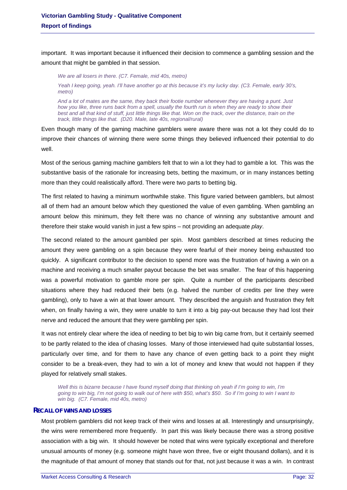important. It was important because it influenced their decision to commence a gambling session and the amount that might be gambled in that session.

*We are all losers in there. (C7. Female, mid 40s, metro) Yeah I keep going, yeah. I'll have another go at this because it's my lucky day. (C3. Female, early 30's, metro)* 

*And a lot of mates are the same, they back their footie number whenever they are having a punt. Just how you like, three runs back from a spell, usually the fourth run is when they are ready to show their best and all that kind of stuff, just little things like that. Won on the track, over the distance, train on the track, little things like that. (D20. Male, late 40s, regional/rural)* 

Even though many of the gaming machine gamblers were aware there was not a lot they could do to improve their chances of winning there were some things they believed influenced their potential to do well.

Most of the serious gaming machine gamblers felt that to win a lot they had to gamble a lot. This was the substantive basis of the rationale for increasing bets, betting the maximum, or in many instances betting more than they could realistically afford. There were two parts to betting big.

The first related to having a minimum worthwhile stake. This figure varied between gamblers, but almost all of them had an amount below which they questioned the value of even gambling. When gambling an amount below this minimum, they felt there was no chance of winning any substantive amount and therefore their stake would vanish in just a few spins – not providing an adequate *play*.

The second related to the amount gambled per spin. Most gamblers described at times reducing the amount they were gambling on a spin because they were fearful of their money being exhausted too quickly. A significant contributor to the decision to spend more was the frustration of having a win on a machine and receiving a much smaller payout because the bet was smaller. The fear of this happening was a powerful motivation to gamble more per spin. Quite a number of the participants described situations where they had reduced their bets (e.g. halved the number of credits per line they were gambling), only to have a win at that lower amount. They described the anguish and frustration they felt when, on finally having a win, they were unable to turn it into a big pay-out because they had lost their nerve and reduced the amount that they were gambling per spin.

It was not entirely clear where the idea of needing to bet big to win big came from, but it certainly seemed to be partly related to the idea of chasing losses. Many of those interviewed had quite substantial losses, particularly over time, and for them to have any chance of even getting back to a point they might consider to be a break-even, they had to win a lot of money and knew that would not happen if they played for relatively small stakes.

*Well this is bizarre because I have found myself doing that thinking oh yeah if I'm going to win, I'm going to win big, I'm not going to walk out of here with \$50, what's \$50. So if I'm going to win I want to win big. (C7. Female, mid 40s, metro)* 

#### <span id="page-32-0"></span>**RECALL OF WINS AND LOSSES**

Most problem gamblers did not keep track of their wins and losses at all. Interestingly and unsurprisingly, the wins were remembered more frequently. In part this was likely because there was a strong positive association with a big win. It should however be noted that wins were typically exceptional and therefore unusual amounts of money (e.g. someone might have won three, five or eight thousand dollars), and it is the magnitude of that amount of money that stands out for that, not just because it was a win. In contrast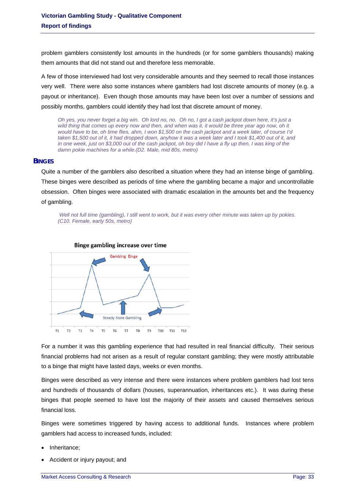problem gamblers consistently lost amounts in the hundreds (or for some gamblers thousands) making them amounts that did not stand out and therefore less memorable.

A few of those interviewed had lost very considerable amounts and they seemed to recall those instances very well. There were also some instances where gamblers had lost discrete amounts of money (e.g. a payout or inheritance). Even though those amounts may have been lost over a number of sessions and possibly months, gamblers could identify they had lost that discrete amount of money.

*Oh yes, you never forget a big win. Oh lord no, no. Oh no, I got a cash jackpot down here, it's just a wild thing that comes up every now and then, and when was it, it would be three year ago now, oh it would have to be, oh time flies, ahm, I won \$1,500 on the cash jackpot and a week later, of course I'd taken \$1,500 out of it, it had dropped down, anyhow it was a week later and I took \$1,400 out of it, and in one week, just on \$3,000 out of the cash jackpot, oh boy did I have a fly up then, I was king of the damn pokie machines for a while.(D2. Male, mid 80s, metro)* 

#### <span id="page-33-0"></span>**BINGES**

Quite a number of the gamblers also described a situation where they had an intense binge of gambling. These binges were described as periods of time where the gambling became a major and uncontrollable obsession. Often binges were associated with dramatic escalation in the amounts bet and the frequency of gambling.

 *Well not full time (gambling), I still went to work, but it was every other minute was taken up by pokies. (C10. Female, early 50s, metro)* 





For a number it was this gambling experience that had resulted in real financial difficulty. Their serious financial problems had not arisen as a result of regular constant gambling; they were mostly attributable to a binge that might have lasted days, weeks or even months.

Binges were described as very intense and there were instances where problem gamblers had lost tens and hundreds of thousands of dollars (houses, superannuation, inheritances etc.). It was during these binges that people seemed to have lost the majority of their assets and caused themselves serious financial loss.

Binges were sometimes triggered by having access to additional funds. Instances where problem gamblers had access to increased funds, included:

- Inheritance;
- Accident or injury payout; and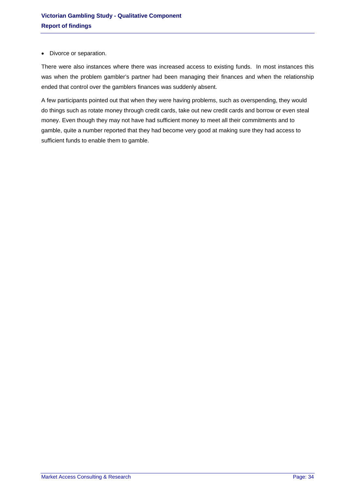• Divorce or separation.

There were also instances where there was increased access to existing funds. In most instances this was when the problem gambler's partner had been managing their finances and when the relationship ended that control over the gamblers finances was suddenly absent.

A few participants pointed out that when they were having problems, such as overspending, they would do things such as rotate money through credit cards, take out new credit cards and borrow or even steal money. Even though they may not have had sufficient money to meet all their commitments and to gamble, quite a number reported that they had become very good at making sure they had access to sufficient funds to enable them to gamble.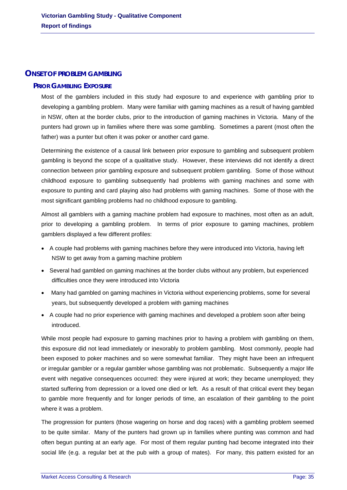# <span id="page-35-1"></span><span id="page-35-0"></span>**ONSET OF PROBLEM GAMBLING**

# **PRIOR GAMBLING EXPOSURE**

Most of the gamblers included in this study had exposure to and experience with gambling prior to developing a gambling problem. Many were familiar with gaming machines as a result of having gambled in NSW, often at the border clubs, prior to the introduction of gaming machines in Victoria. Many of the punters had grown up in families where there was some gambling. Sometimes a parent (most often the father) was a punter but often it was poker or another card game.

Determining the existence of a causal link between prior exposure to gambling and subsequent problem gambling is beyond the scope of a qualitative study. However, these interviews did not identify a direct connection between prior gambling exposure and subsequent problem gambling. Some of those without childhood exposure to gambling subsequently had problems with gaming machines and some with exposure to punting and card playing also had problems with gaming machines. Some of those with the most significant gambling problems had no childhood exposure to gambling.

Almost all gamblers with a gaming machine problem had exposure to machines, most often as an adult, prior to developing a gambling problem. In terms of prior exposure to gaming machines, problem gamblers displayed a few different profiles:

- A couple had problems with gaming machines before they were introduced into Victoria, having left NSW to get away from a gaming machine problem
- Several had gambled on gaming machines at the border clubs without any problem, but experienced difficulties once they were introduced into Victoria
- Many had gambled on gaming machines in Victoria without experiencing problems, some for several years, but subsequently developed a problem with gaming machines
- A couple had no prior experience with gaming machines and developed a problem soon after being introduced.

While most people had exposure to gaming machines prior to having a problem with gambling on them, this exposure did not lead immediately or inexorably to problem gambling. Most commonly, people had been exposed to poker machines and so were somewhat familiar. They might have been an infrequent or irregular gambler or a regular gambler whose gambling was not problematic. Subsequently a major life event with negative consequences occurred: they were injured at work; they became unemployed; they started suffering from depression or a loved one died or left. As a result of that critical event they began to gamble more frequently and for longer periods of time, an escalation of their gambling to the point where it was a problem.

The progression for punters (those wagering on horse and dog races) with a gambling problem seemed to be quite similar. Many of the punters had grown up in families where punting was common and had often begun punting at an early age. For most of them regular punting had become integrated into their social life (e.g. a regular bet at the pub with a group of mates). For many, this pattern existed for an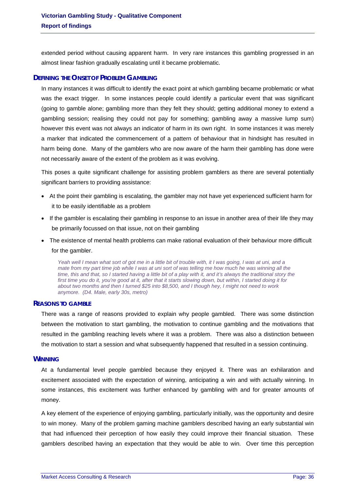extended period without causing apparent harm. In very rare instances this gambling progressed in an almost linear fashion gradually escalating until it became problematic.

### **DEFINING THE ONSET OF PROBLEM GAMBLING**

In many instances it was difficult to identify the exact point at which gambling became problematic or what was the exact trigger. In some instances people could identify a particular event that was significant (going to gamble alone; gambling more than they felt they should; getting additional money to extend a gambling session; realising they could not pay for something; gambling away a massive lump sum) however this event was not always an indicator of harm in its own right. In some instances it was merely a marker that indicated the commencement of a pattern of behaviour that in hindsight has resulted in harm being done. Many of the gamblers who are now aware of the harm their gambling has done were not necessarily aware of the extent of the problem as it was evolving.

This poses a quite significant challenge for assisting problem gamblers as there are several potentially significant barriers to providing assistance:

- At the point their gambling is escalating, the gambler may not have yet experienced sufficient harm for it to be easily identifiable as a problem
- If the gambler is escalating their gambling in response to an issue in another area of their life they may be primarily focussed on that issue, not on their gambling
- The existence of mental health problems can make rational evaluation of their behaviour more difficult for the gambler.

*Yeah well I mean what sort of got me in a little bit of trouble with, it I was going, I was at uni, and a mate from my part time job while I was at uni sort of was telling me how much he was winning all the time, this and that, so I started having a little bit of a play with it, and it's always the traditional story the first time you do it, you're good at it, after that it starts slowing down, but within, I started doing it for about two months and then I turned \$25 into \$8,500, and I though hey, I might not need to work anymore. (D4. Male, early 30s, metro)* 

### **REASONS TO GAMBLE**

There was a range of reasons provided to explain why people gambled. There was some distinction between the motivation to start gambling, the motivation to continue gambling and the motivations that resulted in the gambling reaching levels where it was a problem. There was also a distinction between the motivation to start a session and what subsequently happened that resulted in a session continuing.

### **WINNING**

At a fundamental level people gambled because they enjoyed it. There was an exhilaration and excitement associated with the expectation of winning, anticipating a win and with actually winning. In some instances, this excitement was further enhanced by gambling with and for greater amounts of money.

A key element of the experience of enjoying gambling, particularly initially, was the opportunity and desire to win money. Many of the problem gaming machine gamblers described having an early substantial win that had influenced their perception of how easily they could improve their financial situation. These gamblers described having an expectation that they would be able to win. Over time this perception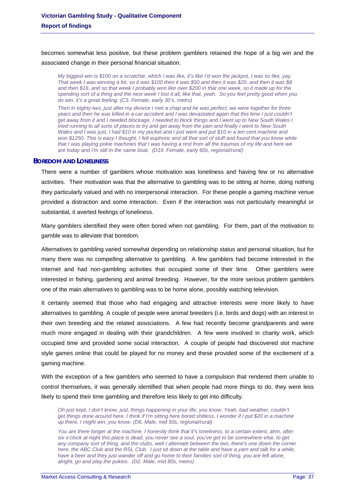becomes somewhat less positive, but these problem gamblers retained the hope of a big win and the associated change in their personal financial situation.

*My biggest win is \$100 on a scratchie, which I was like, it's like I'd won the jackpot, I was so like, yay. That week I was winning a lot, so it was \$100 then it was \$50 and then it was \$20, and then it was \$8 and then \$16, and so that week I probably won like over \$200 in that one week, so it made up for the spending sort of a thing and the next week I lost it all, like that, yeah. So you feel pretty good when you do win, it's a great feeling. (C3. Female, early 30's, metro)* 

*Then in eighty-two, just after my divorce I met a chap and he was perfect, we were together for three years and then he was killed in a car accident and I was devastated again that this time I just couldn't get away from it and I needed blockage, I needed to block things and I went up to New South Wales I tried running to all sorts of places to try and get away from the pain and finally I went to New South Wales and I was just, I had \$10 in my pocket and I just went and put \$10 in a ten cent machine and won \$1250. This is easy I thought, I felt euphoric and all that sort of stuff and found that you know while that I was playing pokie machines that I was having a rest from all the traumas of my life and here we are today and I'm still in the same boat. (D19. Female, early 60s, regional/rural)* 

### **BOREDOM AND LONELINESS**

There were a number of gamblers whose motivation was loneliness and having few or no alternative activities. Their motivation was that the alternative to gambling was to be sitting at home, doing nothing they particularly valued and with no interpersonal interaction. For these people a gaming machine venue provided a distraction and some interaction. Even if the interaction was not particularly meaningful or substantial, it averted feelings of loneliness.

Many gamblers identified they were often bored when not gambling. For them, part of the motivation to gamble was to alleviate that boredom.

Alternatives to gambling varied somewhat depending on relationship status and personal situation, but for many there was no compelling alternative to gambling. A few gamblers had become interested in the internet and had non-gambling activities that occupied some of their time. Other gamblers were interested in fishing, gardening and animal breeding. However, for the more serious problem gamblers one of the main alternatives to gambling was to be home alone, possibly watching television.

It certainly seemed that those who had engaging and attractive interests were more likely to have alternatives to gambling. A couple of people were animal breeders (i.e. birds and dogs) with an interest in their own breeding and the related associations. A few had recently become grandparents and were much more engaged in dealing with their grandchildren. A few were involved in charity work, which occupied time and provided some social interaction. A couple of people had discovered slot machine style games online that could be played for no money and these provided some of the excitement of a gaming machine.

With the exception of a few gamblers who seemed to have a compulsion that rendered them unable to control themselves, it was generally identified that when people had more things to do, they were less likely to spend their time gambling and therefore less likely to get into difficulty.

*Oh just kept, I don't know, just, things happening in your life, you know. Yeah, bad weather, couldn't get things done around here. I think if I'm sitting here bored shitless, I wonder if I put \$20 in a machine up there, I might win, you know. (D6. Male, mid 50s, regional/rural)* 

*You are there longer at the machine, I honestly think that it's loneliness, to a certain extent, ahm, after six o'clock at night this place is dead, you never see a soul, you've got to be somewhere else, to get*  any company sort of thing, and the clubs, well I alternate between the two, there's one down the corner *here, the ABC Club and the RSL Club. I just sit down at the table and have a yarn and talk for a while,* have a beer and they just wander off and go home to their families sort of thing, you are left alone, *alright, go and play the pokies. (D2. Male, mid 80s, metro)*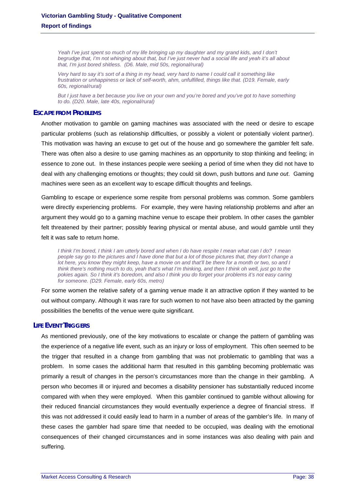Yeah I've just spent so much of my life bringing up my daughter and my grand kids, and I don't *begrudge that, I'm not whinging about that, but I've just never had a social life and yeah it's all about that, I'm just bored shitless. (D6. Male, mid 50s, regional/rural)* 

*Very hard to say it's sort of a thing in my head, very hard to name I could call it something like frustration or unhappiness or lack of self-worth, ahm, unfulfilled, things like that. (D19. Female, early 60s, regional/rural)* 

*But I just have a bet because you live on your own and you're bored and you've got to have something to do. (D20. Male, late 40s, regional/rural)* 

### **ESCAPE FROM PROBLEMS**

Another motivation to gamble on gaming machines was associated with the need or desire to escape particular problems (such as relationship difficulties, or possibly a violent or potentially violent partner). This motivation was having an excuse to get out of the house and go somewhere the gambler felt safe. There was often also a desire to use gaming machines as an opportunity to stop thinking and feeling; in essence to zone out. In these instances people were seeking a period of time when they did not have to deal with any challenging emotions or thoughts; they could sit down, push buttons and *tune out*. Gaming machines were seen as an excellent way to escape difficult thoughts and feelings.

Gambling to escape or experience some respite from personal problems was common. Some gamblers were directly experiencing problems. For example, they were having relationship problems and after an argument they would go to a gaming machine venue to escape their problem. In other cases the gambler felt threatened by their partner; possibly fearing physical or mental abuse, and would gamble until they felt it was safe to return home.

*I think I'm bored, I think I am utterly bored and when I do have respite I mean what can I do? I mean people say go to the pictures and I have done that but a lot of those pictures that, they don't change a lot here, you know they might keep, have a movie on and that'll be there for a month or two, so and I think there's nothing much to do, yeah that's what I'm thinking, and then I think oh well, just go to the pokies again. So I think it's boredom, and also I think you do forget your problems it's not easy caring for someone. (D29. Female, early 60s, metro)* 

For some women the relative safety of a gaming venue made it an attractive option if they wanted to be out without company. Although it was rare for such women to not have also been attracted by the gaming possibilities the benefits of the venue were quite significant.

### **LIFE EVENT TRIGGERS**

As mentioned previously, one of the key motivations to escalate or change the pattern of gambling was the experience of a negative life event, such as an injury or loss of employment. This often seemed to be the trigger that resulted in a change from gambling that was not problematic to gambling that was a problem. In some cases the additional harm that resulted in this gambling becoming problematic was primarily a result of changes in the person's circumstances more than the change in their gambling. A person who becomes ill or injured and becomes a disability pensioner has substantially reduced income compared with when they were employed. When this gambler continued to gamble without allowing for their reduced financial circumstances they would eventually experience a degree of financial stress. If this was not addressed it could easily lead to harm in a number of areas of the gambler's life. In many of these cases the gambler had spare time that needed to be occupied, was dealing with the emotional consequences of their changed circumstances and in some instances was also dealing with pain and suffering.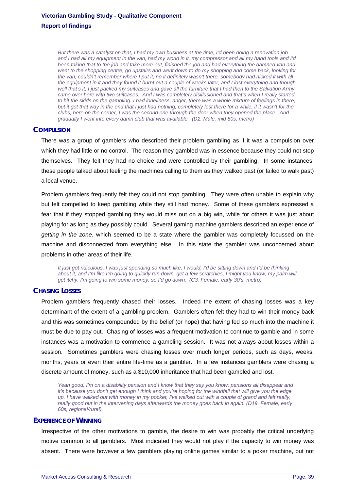*But there was a catalyst on that, I had my own business at the time, I'd been doing a renovation job and I had all my equipment in the van, had my world in it, my compressor and all my hand tools and I'd been taking that to the job and take more out, finished the job and had everything the damned van and went to the shopping centre, go upstairs and went down to do my shopping and come back, looking for the van, couldn't remember where I put it, no it definitely wasn't there, somebody had nicked it with all the equipment in it and they found it burnt out a couple of weeks later, and I lost everything and though*  well that's it, I just packed my suitcases and gave all the furniture that I had then to the Salvation Army, *came over here with two suitcases. And I was completely disillusioned and that's when I really started to hit the skids on the gambling. I had loneliness, anger, there was a whole mixture of feelings in there, but it got that way in the end that I just had nothing, completely lost there for a while, if it wasn't for the clubs, here on the corner, I was the second one through the door when they opened the place. And gradually I went into every damn club that was available. (D2. Male, mid 80s, metro)* 

### **COMPULSION**

There was a group of gamblers who described their problem gambling as if it was a compulsion over which they had little or no control. The reason they gambled was in essence because they could not stop themselves. They felt they had no choice and were controlled by their gambling. In some instances, these people talked about feeling the machines calling to them as they walked past (or failed to walk past) a local venue.

Problem gamblers frequently felt they could not stop gambling. They were often unable to explain why but felt compelled to keep gambling while they still had money. Some of these gamblers expressed a fear that if they stopped gambling they would miss out on a big win, while for others it was just about playing for as long as they possibly could. Several gaming machine gamblers described an experience of *getting in the zone*, which seemed to be a state where the gambler was completely focussed on the machine and disconnected from everything else. In this state the gambler was unconcerned about problems in other areas of their life.

*It just got ridiculous, I was just spending so much like, I would, I'd be sitting down and I'd be thinking*  about it, and I'm like I'm going to quickly run down, get a few scratchies, I might you know, my palm will *get itchy, I'm going to win some money, so I'd go down. (C3. Female, early 30's, metro)* 

### **CHASING LOSSES**

Problem gamblers frequently chased their losses. Indeed the extent of chasing losses was a key determinant of the extent of a gambling problem. Gamblers often felt they had to win their money back and this was sometimes compounded by the belief (or hope) that having fed so much into the machine it must be due to pay out. Chasing of losses was a frequent motivation to continue to gamble and in some instances was a motivation to commence a gambling session. It was not always about losses within a session. Sometimes gamblers were chasing losses over much longer periods, such as days, weeks, months, years or even their entire life-time as a gambler. In a few instances gamblers were chasing a discrete amount of money, such as a \$10,000 inheritance that had been gambled and lost.

*Yeah good, I'm on a disability pension and I know that they say you know, pensions all disappear and it's because you don't get enough I think and you're hoping for the windfall that will give you the edge up, I have walked out with money in my pocket, I've walked out with a couple of grand and felt really, really good but in the intervening days afterwards the money goes back in again. (D19. Female, early 60s, regional/rural)* 

### **EXPERIENCE OF WINNING**

Irrespective of the other motivations to gamble, the desire to win was probably the critical underlying motive common to all gamblers. Most indicated they would not play if the capacity to win money was absent. There were however a few gamblers playing online games similar to a poker machine, but not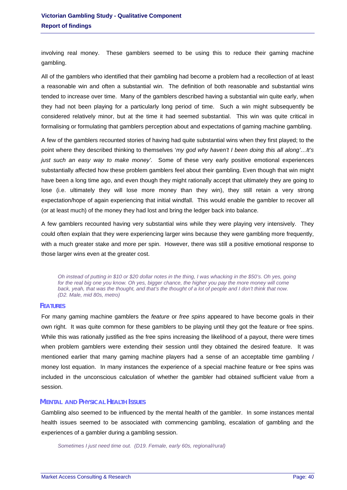involving real money. These gamblers seemed to be using this to reduce their gaming machine gambling.

All of the gamblers who identified that their gambling had become a problem had a recollection of at least a reasonable win and often a substantial win. The definition of both reasonable and substantial wins tended to increase over time. Many of the gamblers described having a substantial win quite early, when they had not been playing for a particularly long period of time. Such a win might subsequently be considered relatively minor, but at the time it had seemed substantial. This win was quite critical in formalising or formulating that gamblers perception about and expectations of gaming machine gambling.

A few of the gamblers recounted stories of having had quite substantial wins when they first played; to the point where they described thinking to themselves '*my god why haven't I been doing this all along'…It's just such an easy way to make money'*. Some of these very early positive emotional experiences substantially affected how these problem gamblers feel about their gambling. Even though that win might have been a long time ago, and even though they might rationally accept that ultimately they are going to lose (i.e. ultimately they will lose more money than they win), they still retain a very strong expectation/hope of again experiencing that initial windfall. This would enable the gambler to recover all (or at least much) of the money they had lost and bring the ledger back into balance.

A few gamblers recounted having very substantial wins while they were playing very intensively. They could often explain that they were experiencing larger wins because they were gambling more frequently, with a much greater stake and more per spin. However, there was still a positive emotional response to those larger wins even at the greater cost.

*Oh instead of putting in \$10 or \$20 dollar notes in the thing, I was whacking in the \$50's. Oh yes, going*  for the real big one you know. Oh yes, bigger chance, the higher you pay the more money will come *back, yeah, that was the thought, and that's the thought of a lot of people and I don't think that now. (D2. Male, mid 80s, metro)* 

### **FEATURES**

For many gaming machine gamblers the *feature* or *free spins* appeared to have become goals in their own right. It was quite common for these gamblers to be playing until they got the feature or free spins. While this was rationally justified as the free spins increasing the likelihood of a payout, there were times when problem gamblers were extending their session until they obtained the desired feature. It was mentioned earlier that many gaming machine players had a sense of an acceptable time gambling / money lost equation. In many instances the experience of a special machine feature or free spins was included in the unconscious calculation of whether the gambler had obtained sufficient value from a session.

### **MENTAL AND PHYSICAL HEALTH ISSUES**

Gambling also seemed to be influenced by the mental health of the gambler. In some instances mental health issues seemed to be associated with commencing gambling, escalation of gambling and the experiences of a gambler during a gambling session.

*Sometimes I just need time out. (D19. Female, early 60s, regional/rural)*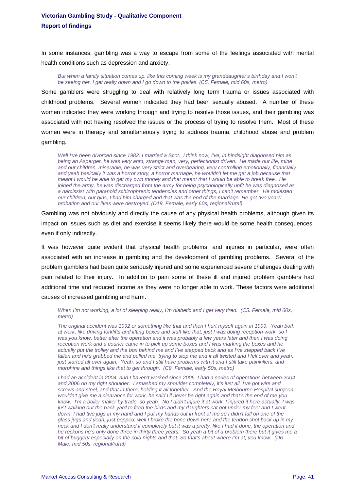In some instances, gambling was a way to escape from some of the feelings associated with mental health conditions such as depression and anxiety.

#### But when a family situation comes up, like this coming week is my granddaughter's birthday and I won't *be seeing her, I get really down and I go down to the pokies. (C5. Female, mid 60s, metro)*

Some gamblers were struggling to deal with relatively long term trauma or issues associated with childhood problems. Several women indicated they had been sexually abused. A number of these women indicated they were working through and trying to resolve those issues, and their gambling was associated with not having resolved the issues or the process of trying to resolve them. Most of these women were in therapy and simultaneously trying to address trauma, childhood abuse and problem gambling.

*Well I've been divorced since 1982. I married a Scot. I think now, I've, in hindsight diagnosed him as being an Asperger, he was very ahm, strange man, very, perfectionist driven. He made our life, mine and our children, miserable, he was very strict and overbearing, very controlling emotionally, financially and yeah basically it was a horror story, a horror marriage, he wouldn't let me get a job because that meant I would be able to get my own money and that meant that I would be able to break free. He joined the army, he was discharged from the army for being psychologically unfit he was diagnosed as a narcissist with paranoid schizophrenic tendencies and other things, I can't remember. He molested our children, our girls, I had him charged and that was the end of the marriage. He got two years' probation and our lives were destroyed. (D19. Female, early 60s, regional/rural)* 

Gambling was not obviously and directly the cause of any physical health problems, although given its impact on issues such as diet and exercise it seems likely there would be some health consequences, even if only indirectly.

It was however quite evident that physical health problems, and injuries in particular, were often associated with an increase in gambling and the development of gambling problems. Several of the problem gamblers had been quite seriously injured and some experienced severe challenges dealing with pain related to their injury. In addition to pain some of these ill and injured problem gamblers had additional time and reduced income as they were no longer able to work. These factors were additional causes of increased gambling and harm.

*When I'm not working, a lot of sleeping really, I'm diabetic and I get very tired. (C5. Female, mid 60s, metro)* 

*The original accident was 1992 or something like that and then I hurt myself again in 1999. Yeah both at work, like driving forklifts and lifting boxes and stuff like that, just I was doing reception work, so I was you know, better after the operation and it was probably a few years later and then I was doing reception work and a courier came in to pick up some boxes and I was marking the boxes and he*  actually put the trolley and the box behind me and I've stepped back and as I've stepped back I've *fallen and he's grabbed me and pulled me, trying to stop me and it all twisted and I fell over and yeah, just started all over again. Yeah, so and I still have problems with it and I still take painkillers, and morphine and things like that to get through. (C9. Female, early 50s, metro)* 

*I had an accident in 2004, and I haven't worked since 2006, I had a series of operations between 2004 and 2006 on my right shoulder. I smashed my shoulder completely, it's just all, I've got wire and screws and steel, and that in there, holding it all together. And the Royal Melbourne Hospital surgeon wouldn't give me a clearance for work, he said I'll never be right again and that's the end of me you know. I'm a boiler maker by trade, so yeah. No I didn't injure it at work, I injured it here actually, I was just walking out the back yard to feed the birds and my daughters cat got under my feet and I went* down, I had two jugs in my hand and I put my hands out in front of me so I didn't fall on one of the *glass jugs and yeah, just popped, well I broke the bone down here and the tendon shot back up in my neck and I don't really understand it completely but it was a pretty, like I had it done, the operation and he reckons he's only done three in thirty three years. So yeah a bit of a problem there but it gives me a bit of buggery especially on the cold nights and that. So that's about where I'm at, you know. (D6. Male, mid 50s, regional/rural)*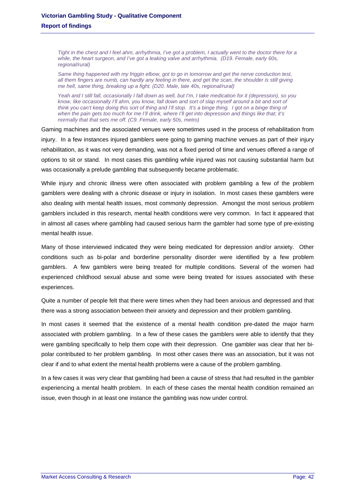*Tight in the chest and I feel ahm, arrhythmia, I've got a problem, I actually went to the doctor there for a while, the heart surgeon, and I've got a leaking valve and arrhythmia. (D19. Female, early 60s, regional/rural)* 

*Same thing happened with my friggin elbow, got to go in tomorrow and get the nerve conduction test, all them fingers are numb, can hardly any feeling in there, and get the scan, the shoulder is still giving me hell, same thing, breaking up a fight. (D20. Male, late 40s, regional/rural)* 

*Yeah and I still fall, occasionally I fall down as well, but I'm, I take medication for it (depression), so you know, like occasionally I'll ahm, you know, fall down and sort of slap myself around a bit and sort of think you can't keep doing this sort of thing and I'll stop. It's a binge thing. I got on a binge thing of when the pain gets too much for me I'll drink, where I'll get into depression and things like that; it's normally that that sets me off. (C9. Female, early 50s, metro)* 

Gaming machines and the associated venues were sometimes used in the process of rehabilitation from injury. In a few instances injured gamblers were going to gaming machine venues as part of their injury rehabilitation, as it was not very demanding, was not a fixed period of time and venues offered a range of options to sit or stand. In most cases this gambling while injured was not causing substantial harm but was occasionally a prelude gambling that subsequently became problematic.

While injury and chronic illness were often associated with problem gambling a few of the problem gamblers were dealing with a chronic disease or injury in isolation. In most cases these gamblers were also dealing with mental health issues, most commonly depression. Amongst the most serious problem gamblers included in this research, mental health conditions were very common. In fact it appeared that in almost all cases where gambling had caused serious harm the gambler had some type of pre-existing mental health issue.

Many of those interviewed indicated they were being medicated for depression and/or anxiety. Other conditions such as bi-polar and borderline personality disorder were identified by a few problem gamblers. A few gamblers were being treated for multiple conditions. Several of the women had experienced childhood sexual abuse and some were being treated for issues associated with these experiences.

Quite a number of people felt that there were times when they had been anxious and depressed and that there was a strong association between their anxiety and depression and their problem gambling.

In most cases it seemed that the existence of a mental health condition pre-dated the major harm associated with problem gambling. In a few of these cases the gamblers were able to identify that they were gambling specifically to help them cope with their depression. One gambler was clear that her bipolar contributed to her problem gambling. In most other cases there was an association, but it was not clear if and to what extent the mental health problems were a cause of the problem gambling.

In a few cases it was very clear that gambling had been a cause of stress that had resulted in the gambler experiencing a mental health problem. In each of these cases the mental health condition remained an issue, even though in at least one instance the gambling was now under control.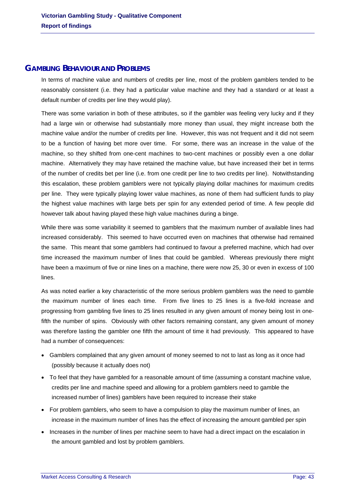## **GAMBLING BEHAVIOUR AND PROBLEMS**

In terms of machine value and numbers of credits per line, most of the problem gamblers tended to be reasonably consistent (i.e. they had a particular value machine and they had a standard or at least a default number of credits per line they would play).

There was some variation in both of these attributes, so if the gambler was feeling very lucky and if they had a large win or otherwise had substantially more money than usual, they might increase both the machine value and/or the number of credits per line. However, this was not frequent and it did not seem to be a function of having bet more over time. For some, there was an increase in the value of the machine, so they shifted from one-cent machines to two-cent machines or possibly even a one dollar machine. Alternatively they may have retained the machine value, but have increased their bet in terms of the number of credits bet per line (i.e. from one credit per line to two credits per line). Notwithstanding this escalation, these problem gamblers were not typically playing dollar machines for maximum credits per line. They were typically playing lower value machines, as none of them had sufficient funds to play the highest value machines with large bets per spin for any extended period of time. A few people did however talk about having played these high value machines during a binge.

While there was some variability it seemed to gamblers that the maximum number of available lines had increased considerably. This seemed to have occurred even on machines that otherwise had remained the same. This meant that some gamblers had continued to favour a preferred machine, which had over time increased the maximum number of lines that could be gambled. Whereas previously there might have been a maximum of five or nine lines on a machine, there were now 25, 30 or even in excess of 100 lines.

As was noted earlier a key characteristic of the more serious problem gamblers was the need to gamble the maximum number of lines each time. From five lines to 25 lines is a five-fold increase and progressing from gambling five lines to 25 lines resulted in any given amount of money being lost in onefifth the number of spins. Obviously with other factors remaining constant, any given amount of money was therefore lasting the gambler one fifth the amount of time it had previously. This appeared to have had a number of consequences:

- Gamblers complained that any given amount of money seemed to not to last as long as it once had (possibly because it actually does not)
- To feel that they have gambled for a reasonable amount of time (assuming a constant machine value, credits per line and machine speed and allowing for a problem gamblers need to gamble the increased number of lines) gamblers have been required to increase their stake
- For problem gamblers, who seem to have a compulsion to play the maximum number of lines, an increase in the maximum number of lines has the effect of increasing the amount gambled per spin
- Increases in the number of lines per machine seem to have had a direct impact on the escalation in the amount gambled and lost by problem gamblers.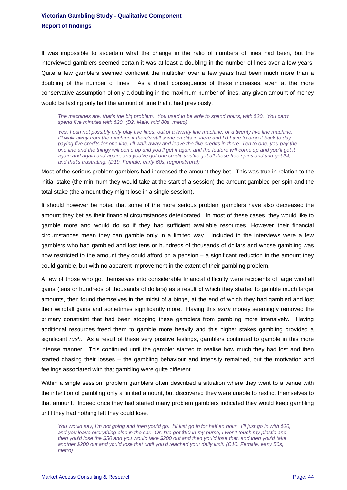It was impossible to ascertain what the change in the ratio of numbers of lines had been, but the interviewed gamblers seemed certain it was at least a doubling in the number of lines over a few years. Quite a few gamblers seemed confident the multiplier over a few years had been much more than a doubling of the number of lines. As a direct consequence of these increases, even at the more conservative assumption of only a doubling in the maximum number of lines, any given amount of money would be lasting only half the amount of time that it had previously.

*The machines are, that's the big problem. You used to be able to spend hours, with \$20. You can't spend five minutes with \$20. (D2. Male, mid 80s, metro)* 

*Yes, I can not possibly only play five lines, out of a twenty line machine, or a twenty five line machine. I'll walk away from the machine if there's still some credits in there and I'd have to drop it back to day*  paying five credits for one line, I'll walk away and leave the five credits in there. Ten to one, you pay the *one line and the thingy will come up and you'll get it again and the feature will come up and you'll get it again and again and again, and you've got one credit, you've got all these free spins and you get \$4, and that's frustrating. (D19. Female, early 60s, regional/rural)* 

Most of the serious problem gamblers had increased the amount they bet. This was true in relation to the initial stake (the minimum they would take at the start of a session) the amount gambled per spin and the total stake (the amount they might lose in a single session).

It should however be noted that some of the more serious problem gamblers have also decreased the amount they bet as their financial circumstances deteriorated. In most of these cases, they would like to gamble more and would do so if they had sufficient available resources. However their financial circumstances mean they can gamble only in a limited way. Included in the interviews were a few gamblers who had gambled and lost tens or hundreds of thousands of dollars and whose gambling was now restricted to the amount they could afford on a pension – a significant reduction in the amount they could gamble, but with no apparent improvement in the extent of their gambling problem.

A few of those who got themselves into considerable financial difficulty were recipients of large windfall gains (tens or hundreds of thousands of dollars) as a result of which they started to gamble much larger amounts, then found themselves in the midst of a binge, at the end of which they had gambled and lost their windfall gains and sometimes significantly more. Having this *extra* money seemingly removed the primary constraint that had been stopping these gamblers from gambling more intensively. Having additional resources freed them to gamble more heavily and this higher stakes gambling provided a significant *rush*. As a result of these very positive feelings, gamblers continued to gamble in this more intense manner. This continued until the gambler started to realise how much they had lost and then started chasing their losses – the gambling behaviour and intensity remained, but the motivation and feelings associated with that gambling were quite different.

Within a single session, problem gamblers often described a situation where they went to a venue with the intention of gambling only a limited amount, but discovered they were unable to restrict themselves to that amount. Indeed once they had started many problem gamblers indicated they would keep gambling until they had nothing left they could lose.

*You would say, I'm not going and then you'd go. I'll just go in for half an hour. I'll just go in with \$20, and you leave everything else in the car. Or, I've got \$50 in my purse, I won't touch my plastic and then you'd lose the \$50 and you would take \$200 out and then you'd lose that, and then you'd take another \$200 out and you'd lose that until you'd reached your daily limit. (C10. Female, early 50s, metro)*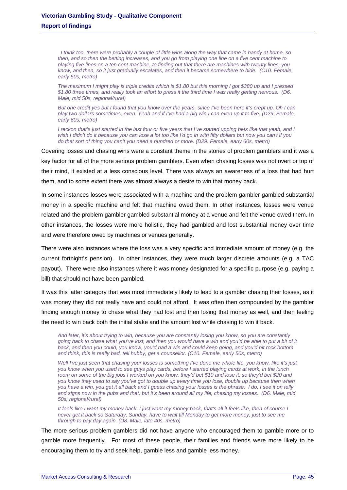*I think too, there were probably a couple of little wins along the way that came in handy at home, so then, and so then the betting increases, and you go from playing one line on a five cent machine to playing five lines on a ten cent machine, to finding out that there are machines with twenty lines, you know, and then, so it just gradually escalates, and then it became somewhere to hide. (C10. Female, early 50s, metro)* 

*The maximum I might play is triple credits which is \$1.80 but this morning I got \$380 up and I pressed \$1.80 three times, and really took an effort to press it the third time I was really getting nervous. (D6. Male, mid 50s, regional/rural)* 

*But one credit yes but I found that you know over the years, since I've been here it's crept up. Oh I can play two dollars sometimes, even. Yeah and if I've had a big win I can even up it to five. (D29. Female, early 60s, metro)* 

*I reckon that's just started in the last four or five years that I've started upping bets like that yeah, and I wish I didn't do it because you can lose a lot too like I'd go in with fifty dollars but now you can't if you do that sort of thing you can't you need a hundred or more. (D29. Female, early 60s, metro)* 

Covering losses and chasing wins were a constant theme in the stories of problem gamblers and it was a key factor for all of the more serious problem gamblers. Even when chasing losses was not overt or top of their mind, it existed at a less conscious level. There was always an awareness of a loss that had hurt them, and to some extent there was almost always a desire to win that money back.

In some instances losses were associated with a machine and the problem gambler gambled substantial money in a specific machine and felt that machine owed them. In other instances, losses were venue related and the problem gambler gambled substantial money at a venue and felt the venue owed them. In other instances, the losses were more holistic, they had gambled and lost substantial money over time and were therefore owed by machines or venues generally.

There were also instances where the loss was a very specific and immediate amount of money (e.g. the current fortnight's pension). In other instances, they were much larger discrete amounts (e.g. a TAC payout). There were also instances where it was money designated for a specific purpose (e.g. paying a bill) that should not have been gambled.

It was this latter category that was most immediately likely to lead to a gambler chasing their losses, as it was money they did not really have and could not afford. It was often then compounded by the gambler finding enough money to chase what they had lost and then losing that money as well, and then feeling the need to win back both the initial stake and the amount lost while chasing to win it back.

*And later, it's about trying to win, because you are constantly losing you know, so you are constantly going back to chase what you've lost, and then you would have a win and you'd be able to put a bit of it back, and then you could, you know, you'd had a win and could keep going, and you'd hit rock bottom and think, this is really bad, tell hubby, get a counsellor. (C10. Female, early 50s, metro)* 

*Well I've just seen that chasing your losses is something I've done me whole life, you know, like it's just you know when you used to see guys play cards, before I started playing cards at work, in the lunch*  room on some of the big jobs I worked on you know, they'd bet \$10 and lose it, so they'd bet \$20 and *you know they used to say you've got to double up every time you lose, double up because then when you have a win, you get it all back and I guess chasing your losses is the phrase. I do, I see it on telly and signs now in the pubs and that, but it's been around all my life, chasing my losses. (D6. Male, mid 50s, regional/rural)* 

*It feels like I want my money back. I just want my money back, that's all it feels like, then of course I never get it back so Saturday, Sunday, have to wait till Monday to get more money, just to see me through to pay day again. (D8. Male, late 40s, metro)* 

The more serious problem gamblers did not have anyone who encouraged them to gamble more or to gamble more frequently. For most of these people, their families and friends were more likely to be encouraging them to try and seek help, gamble less and gamble less money.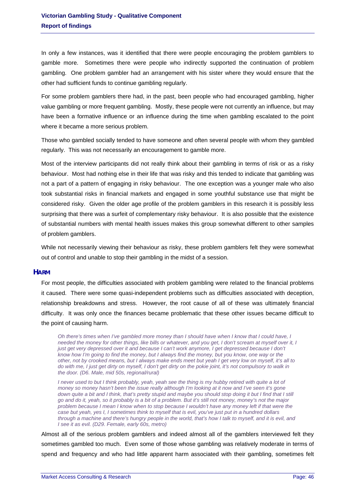In only a few instances, was it identified that there were people encouraging the problem gamblers to gamble more. Sometimes there were people who indirectly supported the continuation of problem gambling. One problem gambler had an arrangement with his sister where they would ensure that the other had sufficient funds to continue gambling regularly.

For some problem gamblers there had, in the past, been people who had encouraged gambling, higher value gambling or more frequent gambling. Mostly, these people were not currently an influence, but may have been a formative influence or an influence during the time when gambling escalated to the point where it became a more serious problem.

Those who gambled socially tended to have someone and often several people with whom they gambled regularly. This was not necessarily an encouragement to gamble more.

Most of the interview participants did not really think about their gambling in terms of risk or as a risky behaviour. Most had nothing else in their life that was risky and this tended to indicate that gambling was not a part of a pattern of engaging in risky behaviour. The one exception was a younger male who also took substantial risks in financial markets and engaged in some youthful substance use that might be considered risky. Given the older age profile of the problem gamblers in this research it is possibly less surprising that there was a surfeit of complementary risky behaviour. It is also possible that the existence of substantial numbers with mental health issues makes this group somewhat different to other samples of problem gamblers.

While not necessarily viewing their behaviour as risky, these problem gamblers felt they were somewhat out of control and unable to stop their gambling in the midst of a session.

### **HARM**

For most people, the difficulties associated with problem gambling were related to the financial problems it caused. There were some quasi-independent problems such as difficulties associated with deception, relationship breakdowns and stress. However, the root cause of all of these was ultimately financial difficulty. It was only once the finances became problematic that these other issues became difficult to the point of causing harm.

*Oh there's times when I've gambled more money than I should have when I know that I could have, I needed the money for other things, like bills or whatever, and you get, I don't scream at myself over it, I just get very depressed over it and because I can't work anymore, I get depressed because I don't know how I'm going to find the money, but I always find the money, but you know, one way or the other, not by crooked means, but I always make ends meet but yeah I get very low on myself, it's all to do with me, I just get dirty on myself, I don't get dirty on the pokie joint, it's not compulsory to walk in the door. (D6. Male, mid 50s, regional/rural)* 

*I* never used to but *I think probably, yeah, yeah see the thing is my hubby retired with quite a lot of money so money hasn't been the issue really although I'm looking at it now and I've seen it's gone down quite a bit and I think, that's pretty stupid and maybe you should stop doing it but I find that I still go and do it, yeah, so it probably is a bit of a problem. But it's still not money, money's not the major problem because I mean I know when to stop because I wouldn't have any money left if that were the case but yeah, yes I, I sometimes think to myself that is evil, you've just put in a hundred dollars through a machine and there's hungry people in the world, that's how I talk to myself, and it is evil, and I see it as evil. (D29. Female, early 60s, metro)* 

Almost all of the serious problem gamblers and indeed almost all of the gamblers interviewed felt they sometimes gambled too much. Even some of those whose gambling was relatively moderate in terms of spend and frequency and who had little apparent harm associated with their gambling, sometimes felt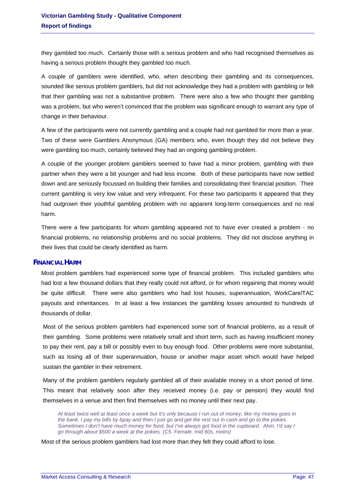they gambled too much. Certainly those with a serious problem and who had recognised themselves as having a serious problem thought they gambled too much.

A couple of gamblers were identified, who, when describing their gambling and its consequences, sounded like serious problem gamblers, but did not acknowledge they had a problem with gambling or felt that their gambling was not a substantive problem. There were also a few who thought their gambling was a problem, but who weren't convinced that the problem was significant enough to warrant any type of change in their behaviour.

A few of the participants were not currently gambling and a couple had not gambled for more than a year. Two of these were Gamblers Anonymous (GA) members who, even though they did not believe they were gambling too much, certainly believed they had an ongoing gambling problem.

A couple of the younger problem gamblers seemed to have had a minor problem, gambling with their partner when they were a bit younger and had less income. Both of these participants have now settled down and are seriously focussed on building their families and consolidating their financial position. Their current gambling is very low value and very infrequent. For these two participants it appeared that they had *outgrown* their youthful gambling problem with no apparent long-term consequences and no real harm.

There were a few participants for whom gambling appeared not to have ever created a problem - no financial problems, no relationship problems and no social problems. They did not disclose anything in their lives that could be clearly identified as harm.

### **FINANCIAL HARM**

Most problem gamblers had experienced some type of financial problem. This included gamblers who had lost a few thousand dollars that they really could not afford, or for whom regaining that money would be quite difficult. There were also gamblers who had lost houses, superannuation, WorkCare/TAC payouts and inheritances. In at least a few instances the gambling losses amounted to hundreds of thousands of dollar.

Most of the serious problem gamblers had experienced some sort of financial problems, as a result of their gambling. Some problems were relatively small and short term, such as having insufficient money to pay their rent, pay a bill or possibly even to buy enough food. Other problems were more substantial, such as losing all of their superannuation, house or another major asset which would have helped sustain the gambler in their retirement.

Many of the problem gamblers regularly gambled all of their available money in a short period of time. This meant that relatively soon after they received money (i.e. pay or pension) they would find themselves in a venue and then find themselves with no money until their next pay.

*At least twice well at least once a week but it's only because I run out of money, like my money goes in the bank, I pay my bills by bpay and then I just go and get the rest out in cash and go to the pokies. Sometimes I don't have much money for food, but I've always got food in the cupboard. Ahm, I'd say I go through about \$500 a week at the pokies. (C5. Female, mid 60s, metro)* 

Most of the serious problem gamblers had lost more than they felt they could afford to lose.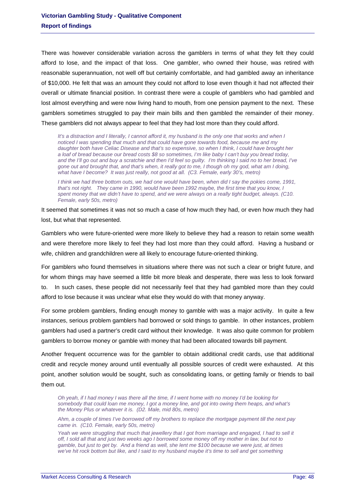There was however considerable variation across the gamblers in terms of what they felt they could afford to lose, and the impact of that loss. One gambler, who owned their house, was retired with reasonable superannuation, not well off but certainly comfortable, and had gambled away an inheritance of \$10,000. He felt that was an amount they could not afford to lose even though it had not affected their overall or ultimate financial position. In contrast there were a couple of gamblers who had gambled and lost almost everything and were now living hand to mouth, from one pension payment to the next. These gamblers sometimes struggled to pay their main bills and then gambled the remainder of their money. These gamblers did not always appear to feel that they had lost more than they could afford.

*It's a distraction and I literally, I cannot afford it, my husband is the only one that works and when I noticed I was spending that much and that could have gone towards food, because me and my daughter both have Celiac Disease and that's so expensive, so when I think, I could have brought her a loaf of bread because our bread costs \$8 so sometimes, I'm like baby I can't buy you bread today, and the I'll go out and buy a scratchie and then I'd feel so guilty. I'm thinking I said no to her bread, I've gone out and brought that, and that's when, it really got to me, I though oh my god, what am I doing,*  what have I become? It was just really, not good at all. (C3. Female, early 30's, metro)

*I think we had three bottom outs, we had one would have been, when did I say the pokies come, 1991. that's not right. They came in 1990, would have been 1992 maybe, the first time that you know, I spent money that we didn't have to spend, and we were always on a really tight budget, always. (C10. Female, early 50s, metro)* 

It seemed that sometimes it was not so much a case of how much they had, or even how much they had lost, but what that represented.

Gamblers who were future-oriented were more likely to believe they had a reason to retain some wealth and were therefore more likely to feel they had lost more than they could afford. Having a husband or wife, children and grandchildren were all likely to encourage future-oriented thinking.

For gamblers who found themselves in situations where there was not such a clear or bright future, and for whom things may have seemed a little bit more bleak and desperate, there was less to look forward to. In such cases, these people did not necessarily feel that they had gambled more than they could afford to lose because it was unclear what else they would do with that money anyway.

For some problem gamblers, finding enough money to gamble with was a major activity. In quite a few instances, serious problem gamblers had borrowed or sold things to gamble. In other instances, problem gamblers had used a partner's credit card without their knowledge. It was also quite common for problem gamblers to borrow money or gamble with money that had been allocated towards bill payment.

Another frequent occurrence was for the gambler to obtain additional credit cards, use that additional credit and recycle money around until eventually all possible sources of credit were exhausted. At this point, another solution would be sought, such as consolidating loans, or getting family or friends to bail them out.

*Oh yeah, if I had money I was there all the time, if I went home with no money I'd be looking for somebody that could loan me money, I got a money line, and got into owing them heaps, and what's the Money Plus or whatever it is. (D2. Male, mid 80s, metro)* 

*Ahm, a couple of times I've borrowed off my brothers to replace the mortgage payment till the next pay came in. (C10. Female, early 50s, metro)* 

*Yeah we were struggling that much that jewellery that I got from marriage and engaged, I had to sell it off, I sold all that and just two weeks ago I borrowed some money off my mother in law, but not to gamble, but just to get by. And a friend as well, she lent me \$100 because we were just, at times*  we've hit rock bottom but like, and I said to my husband maybe it's time to sell and get something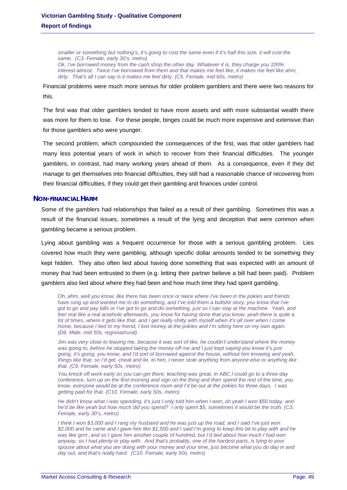*smaller or something but nothing's, it's going to cost the same even if it's half this size, it will cost the same. (C3. Female, early 30's, metro) Ok, I've borrowed money from the cash shop the other day. Whatever it is, they charge you 100% interest almost. Twice I've borrowed from them and that makes me feel like, it makes me feel like ahm, dirty. That's all I can say is it makes me feel dirty. (C5. Female, mid 60s, metro)* 

Financial problems were much more serious for older problem gamblers and there were two reasons for this.

The first was that older gamblers tended to have more assets and with more substantial wealth there was more for them to lose. For these people, binges could be much more expensive and extensive than for those gamblers who were younger.

The second problem, which compounded the consequences of the first, was that older gamblers had many less potential years of work in which to recover from their financial difficulties. The younger gamblers, in contrast, had many working years ahead of them. As a consequence, even if they did manage to get themselves into financial difficulties, they still had a reasonable chance of recovering from their financial difficulties, if they could get their gambling and finances under control.

### **NON-FINANCIAL HARM**

Some of the gamblers had relationships that failed as a result of their gambling. Sometimes this was a result of the financial issues, sometimes a result of the lying and deception that were common when gambling became a serious problem.

Lying about gambling was a frequent occurrence for those with a serious gambling problem. Lies covered how much they were gambling, although specific dollar amounts tended to be something they kept hidden. They also often lied about having done something that was expected with an amount of money that had been entrusted to them (e.g. letting their partner believe a bill had been paid). Problem gamblers also lied about where they had been and how much time they had spent gambling.

*Oh, ahm, well you know, like there has been once or twice where I've been in the pokies and friends*  have rung up and wanted me to do something, and I've told them a bullshit story, you know that I've *got to go and pay bills or I've got to go and do something, just so I can stay at the machine. Yeah, and feel real like a real arsehole afterwards, you know for having done that you know, yeah there is quite a lot of times, where it gets like that, and I get really shitty with myself when it's all over when I come home, because I lied to my friend, I lost money at the pokies and I'm sitting here on my own again. (D6. Male, mid 50s, regional/rural)* 

Jim *was very close to leaving me, because it was sort of like, he couldn't understand where the money was going to, before he stopped taking the money off me and I just kept saying you know it's just going, it's going, you know, and I'd sort of borrowed against the house, without him knowing and yeah, things like that, so I'd get, cheat and lie, to him, I never stole anything from anyone else or anything like that. (C9. Female, early 50s, metro)* 

*You knock off work early so you can get there, teaching was great, in ABC I could go to a three day conference, turn up on the first morning and sign on the thing and then spend the rest of the time, you know, everyone would be at the conference room and I'd be out at the pokies for three days. I was getting paid for that. (C10. Female, early 50s, metro)* 

*He didn't know what I was spending, it's just I only told him when I won, oh yeah I won \$50 today, and he'd be like yeah but how much did you spend? I only spent \$5, sometimes it would be the truth. (C3. Female, early 30's, metro)* 

*I think I won \$3,000 and I rang my husband and he was just up the road, and I said I've just won \$2,000 and he came and I gave him like \$1,500 and I said I'm going to keep this bit to play with and he*  was like grrrr, and so I gave him another couple of hundred, but I'd lied about how much I had won *anyway, so I had plenty to play with. And that's probably, one of the hardest parts, is lying to your spouse about what you are doing with your money and your time, just become what you do day in and day out, and that's really hard. (C10. Female, early 50s, metro)*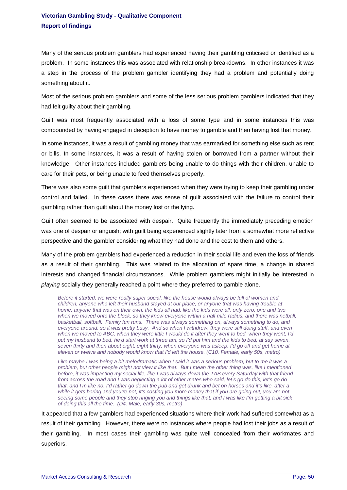Many of the serious problem gamblers had experienced having their gambling criticised or identified as a problem. In some instances this was associated with relationship breakdowns. In other instances it was a step in the process of the problem gambler identifying they had a problem and potentially doing something about it.

Most of the serious problem gamblers and some of the less serious problem gamblers indicated that they had felt guilty about their gambling.

Guilt was most frequently associated with a loss of some type and in some instances this was compounded by having engaged in deception to have money to gamble and then having lost that money.

In some instances, it was a result of gambling money that was earmarked for something else such as rent or bills. In some instances, it was a result of having stolen or borrowed from a partner without their knowledge. Other instances included gamblers being unable to do things with their children, unable to care for their pets, or being unable to feed themselves properly.

There was also some guilt that gamblers experienced when they were trying to keep their gambling under control and failed. In these cases there was sense of guilt associated with the failure to control their gambling rather than guilt about the money lost or the lying.

Guilt often seemed to be associated with despair. Quite frequently the immediately preceding emotion was one of despair or anguish; with guilt being experienced slightly later from a somewhat more reflective perspective and the gambler considering what they had done and the cost to them and others.

Many of the problem gamblers had experienced a reduction in their social life and even the loss of friends as a result of their gambling. This was related to the allocation of spare time, a change in shared interests and changed financial circumstances. While problem gamblers might initially be interested in *playing* socially they generally reached a point where they preferred to gamble alone.

*Before it started, we were really super social, like the house would always be full of women and children, anyone who left their husband stayed at our place, or anyone that was having trouble at home, anyone that was on their own, the kids all had, like the kids were all, only zero, one and two when we moved onto the block, so they knew everyone within a half mile radius, and there was netball, basketball, softball. Family fun runs. There was always something on, always something to do, and everyone around, so it was pretty busy. And so when I withdrew, they were still doing stuff, and even when we moved to ABC, when they were little I would do it after they went to bed, when they went, I'd put my husband to bed, he'd start work at three am, so I'd put him and the kids to bed, at say seven, seven thirty and then about eight, eight thirty, when everyone was asleep, I'd go off and get home at eleven or twelve and nobody would know that I'd left the house. (C10. Female, early 50s, metro)* 

*Like maybe I was being a bit melodramatic when I said it was a serious problem, but to me it was a problem, but other people might not view it like that. But I mean the other thing was, like I mentioned before, it was impacting my social life, like I was always down the TAB every Saturday with that friend from across the road and I was neglecting a lot of other mates who said, let's go do this, let's go do that, and I'm like no, I'd rather go down the pub and get drunk and bet on horses and it's like, after a while it gets boring and you're not, it's costing you more money that if you are going out, you are not seeing some people and they stop ringing you and things like that, and I was like I'm getting a bit sick of doing this all the time. (D4. Male, early 30s, metro)* 

It appeared that a few gamblers had experienced situations where their work had suffered somewhat as a result of their gambling. However, there were no instances where people had lost their jobs as a result of their gambling. In most cases their gambling was quite well concealed from their workmates and superiors.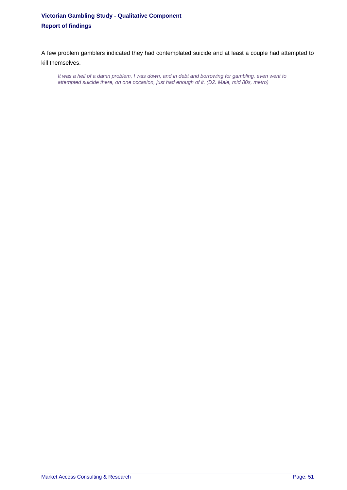A few problem gamblers indicated they had contemplated suicide and at least a couple had attempted to kill themselves.

*It was a hell of a damn problem, I was down, and in debt and borrowing for gambling, even went to attempted suicide there, on one occasion, just had enough of it. (D2. Male, mid 80s, metro)*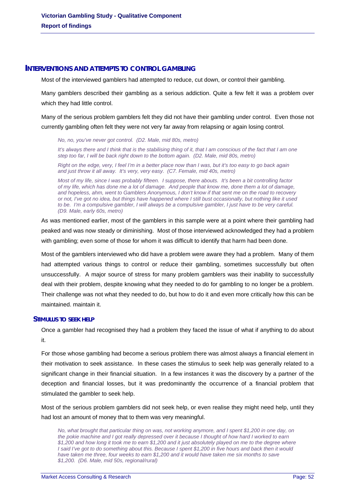### **INTERVENTIONS AND ATTEMPTS TO CONTROL GAMBLING**

Most of the interviewed gamblers had attempted to reduce, cut down, or control their gambling.

Many gamblers described their gambling as a serious addiction. Quite a few felt it was a problem over which they had little control.

Many of the serious problem gamblers felt they did not have their gambling under control. Even those not currently gambling often felt they were not very far away from relapsing or again losing control.

*No, no, you've never got control. (D2. Male, mid 80s, metro)* 

*It's always there and I think that is the stabilising thing of it, that I am conscious of the fact that I am one step too far, I will be back right down to the bottom again. (D2. Male, mid 80s, metro)* 

*Right on the edge, very, I feel I'm in a better place now than I was, but it's too easy to go back again and just throw it all away. It's very, very easy. (C7. Female, mid 40s, metro)* 

*Most of my life, since I was probably fifteen. I suppose, there abouts. It's been a bit controlling factor of my life, which has done me a lot of damage. And people that know me, done them a lot of damage, and hopeless, ahm, went to Gamblers Anonymous, I don't know if that sent me on the road to recovery or not, I've got no idea, but things have happened where I still bust occasionally, but nothing like it used to be. I'm a compulsive gambler, I will always be a compulsive gambler, I just have to be very careful. (D9. Male, early 60s, metro)* 

As was mentioned earlier, most of the gamblers in this sample were at a point where their gambling had peaked and was now steady or diminishing. Most of those interviewed acknowledged they had a problem with gambling; even some of those for whom it was difficult to identify that harm had been done.

Most of the gamblers interviewed who did have a problem were aware they had a problem. Many of them had attempted various things to control or reduce their gambling, sometimes successfully but often unsuccessfully. A major source of stress for many problem gamblers was their inability to successfully deal with their problem, despite knowing what they needed to do for gambling to no longer be a problem. Their challenge was not what they needed to do, but how to do it and even more critically how this can be maintained. maintain it.

#### **STIMULUS TO SEEK HELP**

Once a gambler had recognised they had a problem they faced the issue of what if anything to do about it.

For those whose gambling had become a serious problem there was almost always a financial element in their motivation to seek assistance. In these cases the stimulus to seek help was generally related to a significant change in their financial situation. In a few instances it was the discovery by a partner of the deception and financial losses, but it was predominantly the occurrence of a financial problem that stimulated the gambler to seek help.

Most of the serious problem gamblers did not seek help, or even realise they might need help, until they had lost an amount of money that to them was very meaningful.

*No, what brought that particular thing on was, not working anymore, and I spent \$1,200 in one day, on the pokie machine and I got really depressed over it because I thought of how hard I worked to earn \$1,200 and how long it took me to earn \$1,200 and it just absolutely played on me to the degree where I said I've got to do something about this. Because I spent \$1,200 in five hours and back then it would have taken me three, four weeks to earn \$1,200 and it would have taken me six months to save \$1,200. (D6. Male, mid 50s, regional/rural)*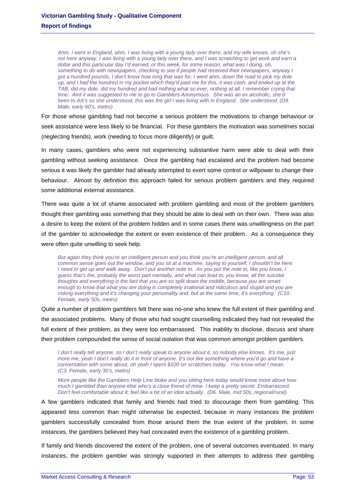*Ahm, I went in England, ahm, I was living with a young lady over there, and my wife knows, oh she's not here anyway, I was living with a young lady over there, and I was scratching to get work and earn a dollar and this particular day I'd earned, or this week, for some reason, what was I doing, oh, something to do with newspapers, checking to see if people had received their newspapers, anyway I got a hundred pounds, I don't know how long that was for, I went ahm, down the road to pick my dole up, and I had the hundred in my pocket which they'd paid me for this, it was cash, and ended up at the TAB, did my dole, did my hundred and had nothing what so ever, nothing at all. I remember crying that time. And it was suggested to me to go to Gamblers Anonymous. She was an ex alcoholic, she'd been to AA's so she understood, this was the girl I was living with in England. She understood. (D9. Male, early 60's, metro)* 

For those whose gambling had not become a serious problem the motivations to change behaviour or seek assistance were less likely to be financial. For these gamblers the motivation was sometimes social (neglecting friends), work (needing to focus more diligently) or guilt.

In many cases, gamblers who were not experiencing substantive harm were able to deal with their gambling without seeking assistance. Once the gambling had escalated and the problem had become serious it was likely the gambler had already attempted to exert some control or willpower to change their behaviour. Almost by definition this approach failed for serious problem gamblers and they required some additional external assistance.

There was quite a lot of shame associated with problem gambling and most of the problem gamblers thought their gambling was something that they should be able to deal with on their own. There was also a desire to keep the extent of the problem hidden and in some cases there was unwillingness on the part of the gambler to acknowledge the extent or even existence of their problem. As a consequence they were often quite unwilling to seek help.

*But again they think you're an intelligent person and you think you're an intelligent person, and all common sense goes out the window, and you sit at a machine, saying to yourself, I shouldn't be here. I* need to get up and walk away. Don't put another note in. As you put the note in, like you know, I *guess that's the, probably the worst part mentally, and what can lead to, you know, all the suicidal thoughts and everything is the fact that you are so split down the middle, because you are smart enough to know that what you are doing is completely irrational and ridiculous and stupid and you are risking everything and it's changing your personality and, but at the same time, it's everything. (C10. Female, early 50s, metro)* 

Quite a number of problem gamblers felt there was no-one who knew the full extent of their gambling and the associated problems. Many of those who had sought counselling indicated they had not revealed the full extent of their problem, as they were too embarrassed. This inability to disclose, discuss and share their problem compounded the sense of social isolation that was common amongst problem gamblers.

*I don't really tell anyone, so I don't really speak to anyone about it, so nobody else knows. It's me, just more me, yeah I don't really do it in front of anyone. It's not like something where you'd go and have a conversation with some about, oh yeah I spent \$100 on scratchies today. You know what I mean. (C3. Female, early 30's, metro)* 

*More people like the Gamblers Help Line bloke and you sitting here today would know more about how much I gambled than anyone else who's a close friend of mine. I keep a pretty secret. Embarrassed. Don't feel comfortable about it; feel like a bit of an idiot actually. (D6. Male, mid 50s, regional/rural)* 

A few gamblers indicated that family and friends had tried to discourage them from gambling. This appeared less common than might otherwise be expected, because in many instances the problem gamblers successfully concealed from those around them the true extent of the problem. In some instances, the gamblers believed they had concealed even the existence of a gambling problem.

If family and friends discovered the extent of the problem, one of several outcomes eventuated. In many instances, the problem gambler was strongly supported in their attempts to address their gambling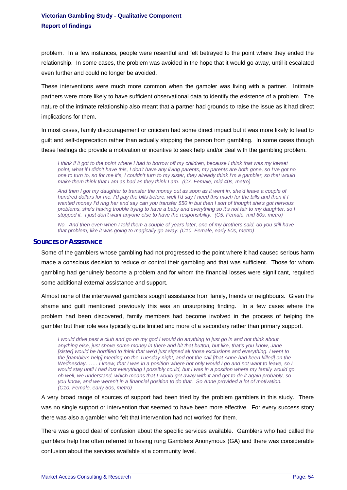problem. In a few instances, people were resentful and felt betrayed to the point where they ended the relationship. In some cases, the problem was avoided in the hope that it would go away, until it escalated even further and could no longer be avoided.

These interventions were much more common when the gambler was living with a partner. Intimate partners were more likely to have sufficient observational data to identify the existence of a problem. The nature of the intimate relationship also meant that a partner had grounds to raise the issue as it had direct implications for them.

In most cases, family discouragement or criticism had some direct impact but it was more likely to lead to guilt and self-deprecation rather than actually stopping the person from gambling. In some cases though these feelings did provide a motivation or incentive to seek help and/or deal with the gambling problem.

*I think if it got to the point where I had to borrow off my children, because I think that was my lowset point, what if I didn't have this, I don't have any living parents, my parents are both gone, so I've got no one to turn to, so for me it's, I couldn't turn to my sister, they already think I'm a gambler, so that would*  make them think that I am as bad as they think I am. (C7. Female, mid 40s, metro)

*And then I got my daughter to transfer the money out as soon as it went in, she'd leave a couple of hundred dollars for me, I'd pay the bills before, well I'd say I need this much for the bills and then if I wanted money I'd ring her and say can you transfer \$50 in but then I sort of thought she's got nervous problems, she's having trouble trying to have a baby and everything so it's not fair to my daughter, so I stopped it. I just don't want anyone else to have the responsibility. (C5. Female, mid 60s, metro)* 

*No. And then even when I told them a couple of years later, one of my brothers said, do you still have that problem, like it was going to magically go away. (C10. Female, early 50s, metro)* 

### **SOURCES OF ASSISTANCE**

Some of the gamblers whose gambling had not progressed to the point where it had caused serious harm made a conscious decision to reduce or control their gambling and that was sufficient. Those for whom gambling had genuinely become a problem and for whom the financial losses were significant, required some additional external assistance and support.

Almost none of the interviewed gamblers sought assistance from family, friends or neighbours. Given the shame and guilt mentioned previously this was an unsurprising finding. In a few cases where the problem had been discovered, family members had become involved in the process of helping the gambler but their role was typically quite limited and more of a secondary rather than primary support.

*I would drive past a club and go oh my god I would do anything to just go in and not think about anything else, just shove some money in there and hit that button, but like, that's you know, Jane [sister] would be horrified to think that we'd just signed all those exclusions and everything. I went to the [gamblers help] meeting on the Tuesday night, and got the call [that Anne had been killed] on the Wednesday……. I knew, that I was in a position where not only would I go and not want to leave, so I would stay until I had lost everything I possibly could, but I was in a position where my family would go oh well, we understand, which means that I would get away with it and get to do it again probably, so you know, and we weren't in a financial position to do that. So Anne provided a lot of motivation. (C10. Female, early 50s, metro)* 

A very broad range of sources of support had been tried by the problem gamblers in this study. There was no single support or intervention that seemed to have been more effective. For every success story there was also a gambler who felt that intervention had not worked for them.

There was a good deal of confusion about the specific services available. Gamblers who had called the gamblers help line often referred to having rung Gamblers Anonymous (GA) and there was considerable confusion about the services available at a community level.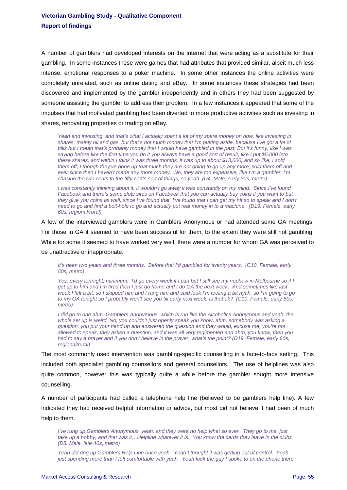A number of gamblers had developed interests on the internet that were acting as a substitute for their gambling. In some instances these were games that had attributes that provided similar, albeit much less intense, emotional responses to a poker machine. In some other instances the online activities were completely unrelated, such as online dating and eBay. In some instances these strategies had been discovered and implemented by the gambler independently and in others they had been suggested by someone assisting the gambler to address their problem. In a few instances it appeared that some of the impulses that had motivated gambling had been diverted to more productive activities such as investing in shares, renovating properties or trading on eBay.

*Yeah and investing, and that's what I actually spent a lot of my spare money on now, like investing in shares, mainly oil and gas, but that's not much money that I'm putting aside, because I've got a lot of bills but I mean that's probably money that I would have gambled in the past. But it's funny, like I was saying before like the first time you do it you always have a good sort of result, like I put \$5,000 into these shares, and within I think it was three months, it was up to about \$13,000, and so like, I sold them off, I though they've gone up that much they are not going to go up any more, sold them off and ever since then I haven't made any more money. No, they are too expensive, like I'm a gambler, I'm chasing the two cents to the fifty cents sort of things, so yeah. (D4. Male, early 30s, metro)* 

*I* was constantly thinking about it, it wouldn't go away it was constantly on my mind. Since I've found *Facebook and there's some slots sites on Facebook that you can actually buy coins if you want to but they give you coins as well, since I've found that, I've found that I can get my hit so to speak and I don't need to go and find a bolt-hole to go and actually put real money in to a machine. (D19. Female, early 60s, regional/rural)* 

A few of the interviewed gamblers were in Gamblers Anonymous or had attended some GA meetings. For those in GA it seemed to have been successful for them, to the extent they were still not gambling. While for some it seemed to have worked very well, there were a number for whom GA was perceived to be unattractive or inappropriate.

*It's been two years and three months. Before that I'd gambled for twenty years. (C10. Female, early 50s, metro)* 

*Yes, every fortnight, minimum. I'd go every week if I can but I still see my nephew in Melbourne so if I get up to him and I'm tired then I just go home and I do GA the next week. And sometimes like last week I felt a bit, so I skipped him and I rang him and said look I'm feeling a bit nyah, so I'm going to go to my GA tonight so I probably won't see you till early next week, is that ok? (C10. Female, early 50s, metro)* 

*I did go to one ahm, Gamblers Anonymous, which is run like the Alcoholics Anonymous and yeah, the whole set up is weird. No, you couldn't just openly speak you know, ahm, somebody was asking a question, you put your hand up and answered the question and they would, excuse me, you're not allowed to speak, they asked a question, and it was all very regimented and ahm, you know, then you had to say a prayer and if you don't believe in the prayer, what's the point? (D19. Female, early 60s, regional/rural)* 

The most commonly used intervention was gambling-specific counselling in a face-to-face setting. This included both specialist gambling counsellors and general counsellors. The use of helplines was also quite common, however this was typically quite a while before the gambler sought more intensive counselling.

A number of participants had called a telephone help line (believed to be gamblers help line). A few indicated they had received helpful information or advice, but most did not believe it had been of much help to them.

*I've rung up Gamblers Anonymous, yeah, and they were no help what so ever. They go to me, just take up a hobby, and that was it…Helpline whatever it is. You know the cards they leave in the clubs (D8. Male, late 40s, metro)* 

*Yeah did ring up Gamblers Help Line once yeah. Yeah I thought it was getting out of control. Yeah, just spending more than I felt comfortable with yeah. Yeah look the guy I spoke to on the phone there*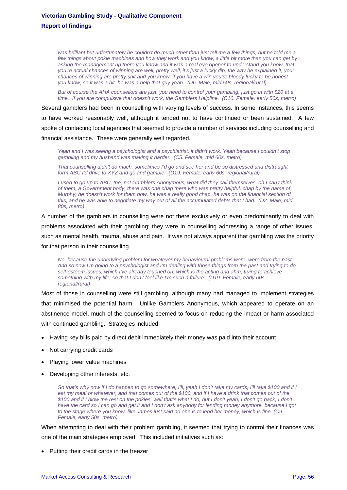was brilliant but unfortunately he couldn't do much other than just tell me a few things, but he told me a *few things about pokie machines and how they work and you know, a little bit more than you can get by asking the management up there you know and it was a real eye opener to understand you know, that you're actual chances of winning are well, pretty well, it's just a lucky dip, the way he explained it, your chances of winning are pretty shit and you know, if you have a win you're bloody lucky to be honest you know, so it was a bit, he was a help that guy yeah. (D6. Male, mid 50s, regional/rural)* 

*But of course the AHA counsellors are just, you need to control your gambling, just go in with \$20 at a time. If you are compulsive that doesn't work, the Gamblers Helpline. (C10. Female, early 50s, metro)* 

Several gamblers had been in counselling with varying levels of success. In some instances, this seems to have worked reasonably well, although it tended not to have continued or been sustained. A few spoke of contacting local agencies that seemed to provide a number of services including counselling and financial assistance. These were generally well regarded.

*Yeah and I was seeing a psychologist and a psychiatrist, it didn't work. Yeah because I couldn't stop gambling and my husband was making it harder. (C5. Female, mid 60s, metro)* 

*That counselling didn't do much, sometimes I'd go and see her and be so distressed and distraught form ABC I'd drive to XYZ and go and gamble. (D19. Female, early 60s, regional/rural)* 

*I used to go up to ABC, the, not Gamblers Anonymous, what did they call themselves, oh I can't think of them, a Government body, there was one chap there who was pretty helpful, chap by the name of Murphy, he doesn't work for them now, he was a really good chap, he was on the financial section of* this, and he was able to negotiate my way out of all the accumulated debts that I had. (D2. Male, mid *80s, metro)* 

A number of the gamblers in counselling were not there exclusively or even predominantly to deal with problems associated with their gambling; they were in counselling addressing a range of other issues, such as mental health, trauma, abuse and pain. It was not always apparent that gambling was the priority for that person in their counselling.

*No, because the underlying problem for whatever my behavioural problems were, were from the past. And so now I'm going to a psychologist and I'm dealing with those things from the past and trying to do*  self-esteem issues, which I've already touched on, which is the acting and ahm, trying to achieve *something with my life, so that I don't feel like I'm such a failure. (D19. Female, early 60s, regional/rural)* 

Most of those in counselling were still gambling, although many had managed to implement strategies that minimised the potential harm. Unlike Gamblers Anonymous, which appeared to operate on an abstinence model, much of the counselling seemed to focus on reducing the impact or harm associated with continued gambling. Strategies included:

- Having key bills paid by direct debit immediately their money was paid into their account
- Not carrying credit cards
- Playing lower value machines
- Developing other interests, etc.

*So that's why now if I do happen to go somewhere, I'll, yeah I don't take my cards, I'll take \$100 and if I eat my meal or whatever, and that comes out of the \$100, and if I have a drink that comes out of the \$100 and if I blow the rest on the pokies, well that's what I do, but I don't yeah, I don't go back, I don't have the card so I can go and get it and I don't ask anybody for lending money anymore, because I got to the stage where you know, like James just said no one is to lend her money, which is fine. (C9. Female, early 50s, metro)* 

When attempting to deal with their problem gambling, it seemed that trying to control their finances was one of the main strategies employed. This included initiatives such as:

• Putting their credit cards in the freezer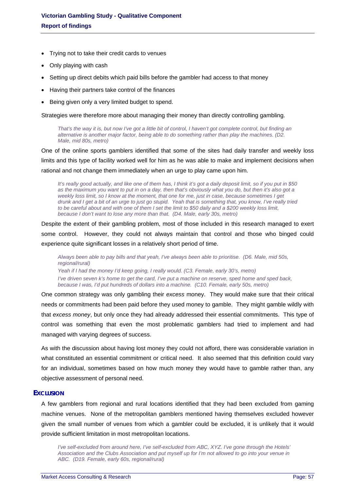- Trying not to take their credit cards to venues
- Only playing with cash
- Setting up direct debits which paid bills before the gambler had access to that money
- Having their partners take control of the finances
- Being given only a very limited budget to spend.

Strategies were therefore more about managing their money than directly controlling gambling.

*That's the way it is, but now I've got a little bit of control, I haven't got complete control, but finding an alternative is another major factor, being able to do something rather than play the machines. (D2. Male, mid 80s, metro)* 

One of the online sports gamblers identified that some of the sites had daily transfer and weekly loss limits and this type of facility worked well for him as he was able to make and implement decisions when rational and not change them immediately when an urge to play came upon him.

*It's really good actually, and like one of them has, I think it's got a daily deposit limit, so if you put in \$50 as the maximum you want to put in on a day, then that's obviously what you do, but then it's also got a weekly loss limit, so I know at the moment, that one for me, just in case, because sometimes I get drunk and I get a bit of an urge to just go stupid. Yeah that is something that, you know, I've really tried to be careful about and with one of them I set the limit to \$50 daily and a \$200 weekly loss limit, because I don't want to lose any more than that. (D4. Male, early 30s, metro)* 

Despite the extent of their gambling problem, most of those included in this research managed to exert some control. However, they could not always maintain that control and those who binged could experience quite significant losses in a relatively short period of time.

*Always been able to pay bills and that yeah, I've always been able to prioritise. (D6. Male, mid 50s, regional/rural) Yeah if I had the money I'd keep going, I really would. (C3. Female, early 30's, metro) I've driven seven k's home to get the card, I've put a machine on reserve, sped home and sped back, because I was, I'd put hundreds of dollars into a machine. (C10. Female, early 50s, metro)* 

One common strategy was only gambling their *excess* money. They would make sure that their critical needs or commitments had been paid before they used money to gamble. They might gamble wildly with that *excess money*, but only once they had already addressed their essential commitments. This type of control was something that even the most problematic gamblers had tried to implement and had managed with varying degrees of success.

As with the discussion about having lost money they could not afford, there was considerable variation in what constituted an essential commitment or critical need. It also seemed that this definition could vary for an individual, sometimes based on how much money they would have to gamble rather than, any objective assessment of personal need.

### **EXCLUSION**

A few gamblers from regional and rural locations identified that they had been excluded from gaming machine venues. None of the metropolitan gamblers mentioned having themselves excluded however given the small number of venues from which a gambler could be excluded, it is unlikely that it would provide sufficient limitation in most metropolitan locations.

*I've self-excluded from around here, I've self-excluded from ABC, XYZ. I've gone through the Hotels' Association and the Clubs Association and put myself up for I'm not allowed to go into your venue in ABC. (D19. Female, early 60s, regional/rural)*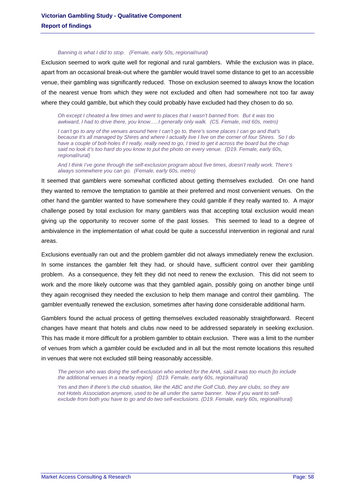#### *Banning is what I did to stop. (Female, early 50s, regional/rural)*

Exclusion seemed to work quite well for regional and rural gamblers. While the exclusion was in place, apart from an occasional break-out where the gambler would travel some distance to get to an accessible venue, their gambling was significantly reduced. Those on exclusion seemed to always know the location of the nearest venue from which they were not excluded and often had somewhere not too far away where they could gamble, but which they could probably have excluded had they chosen to do so.

*Oh except I cheated a few times and went to places that I wasn't banned from. But it was too awkward, I had to drive there, you know…..I generally only walk. (C5. Female, mid 60s, metro)* 

*I can't go to any of the venues around here I can't go to, there's some places I can go and that's because it's all managed by Shires and where I actually live I live on the corner of four Shires. So I do have a couple of bolt-holes if I really, really need to go, I tried to get it across the board but the chap said no look it's too hard do you know to put the photo on every venue. (D19. Female, early 60s, regional/rural)* 

*And I think I've gone through the self-exclusion program about five times, doesn't really work. There's always somewhere you can go. (Female, early 60s, metro)* 

It seemed that gamblers were somewhat conflicted about getting themselves excluded. On one hand they wanted to remove the temptation to gamble at their preferred and most convenient venues. On the other hand the gambler wanted to have somewhere they could gamble if they really wanted to. A major challenge posed by total exclusion for many gamblers was that accepting total exclusion would mean giving up the opportunity to recover some of the past losses. This seemed to lead to a degree of ambivalence in the implementation of what could be quite a successful intervention in regional and rural areas.

Exclusions eventually ran out and the problem gambler did not always immediately renew the exclusion. In some instances the gambler felt they had, or should have, sufficient control over their gambling problem. As a consequence, they felt they did not need to renew the exclusion. This did not seem to work and the more likely outcome was that they gambled again, possibly going on another binge until they again recognised they needed the exclusion to help them manage and control their gambling. The gambler eventually renewed the exclusion, sometimes after having done considerable additional harm.

Gamblers found the actual process of getting themselves excluded reasonably straightforward. Recent changes have meant that hotels and clubs now need to be addressed separately in seeking exclusion. This has made it more difficult for a problem gambler to obtain exclusion. There was a limit to the number of venues from which a gambler could be excluded and in all but the most remote locations this resulted in venues that were not excluded still being reasonably accessible.

*The person who was doing the self-exclusion who worked for the AHA, said it was too much [to include the additional venues in a nearby region]. (D19. Female, early 60s, regional/rural)* 

*Yes and then if there's the club situation, like the ABC and the Golf Club, they are clubs, so they are not Hotels Association anymore, used to be all under the same banner. Now if you want to selfexclude from both you have to go and do two self-exclusions. (D19. Female, early 60s, regional/rural)*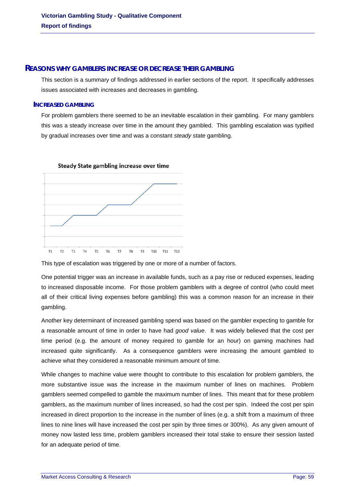### **REASONS WHY GAMBLERS INCREASE OR DECREASE THEIR GAMBLING**

This section is a summary of findings addressed in earlier sections of the report. It specifically addresses issues associated with increases and decreases in gambling.

### **INCREASED GAMBLING**

For problem gamblers there seemed to be an inevitable escalation in their gambling. For many gamblers this was a steady increase over time in the amount they gambled. This gambling escalation was typified by gradual increases over time and was a constant *steady state* gambling.



## Steady State gambling increase over time

This type of escalation was triggered by one or more of a number of factors.

One potential trigger was an increase in available funds, such as a pay rise or reduced expenses, leading to increased disposable income. For those problem gamblers with a degree of control (who could meet all of their critical living expenses before gambling) this was a common reason for an increase in their gambling.

Another key determinant of increased gambling spend was based on the gambler expecting to gamble for a reasonable amount of time in order to have had *good value*. It was widely believed that the cost per time period (e.g. the amount of money required to gamble for an hour) on gaming machines had increased quite significantly. As a consequence gamblers were increasing the amount gambled to achieve what they considered a reasonable minimum amount of time.

While changes to machine value were thought to contribute to this escalation for problem gamblers, the more substantive issue was the increase in the maximum number of lines on machines. Problem gamblers seemed compelled to gamble the maximum number of lines. This meant that for these problem gamblers, as the maximum number of lines increased, so had the cost per spin. Indeed the cost per spin increased in direct proportion to the increase in the number of lines (e.g. a shift from a maximum of three lines to nine lines will have increased the cost per spin by three times or 300%). As any given amount of money now lasted less time, problem gamblers increased their total stake to ensure their session lasted for an adequate period of time.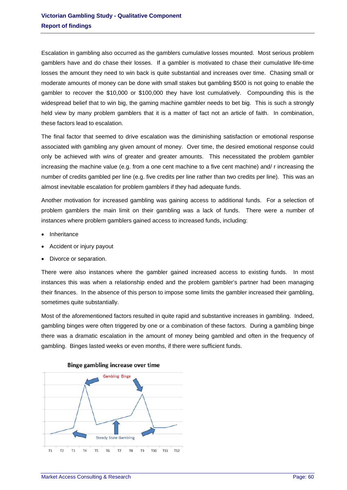Escalation in gambling also occurred as the gamblers cumulative losses mounted. Most serious problem gamblers have and do chase their losses. If a gambler is motivated to chase their cumulative life-time losses the amount they need to win back is quite substantial and increases over time. Chasing small or moderate amounts of money can be done with small stakes but gambling \$500 is not going to enable the gambler to recover the \$10,000 or \$100,000 they have lost cumulatively. Compounding this is the widespread belief that to win big, the gaming machine gambler needs to bet big. This is such a strongly held view by many problem gamblers that it is a matter of fact not an article of faith. In combination, these factors lead to escalation.

The final factor that seemed to drive escalation was the diminishing satisfaction or emotional response associated with gambling any given amount of money. Over time, the desired emotional response could only be achieved with wins of greater and greater amounts. This necessitated the problem gambler increasing the machine value (e.g. from a one cent machine to a five cent machine) and/ r increasing the number of credits gambled per line (e.g. five credits per line rather than two credits per line). This was an almost inevitable escalation for problem gamblers if they had adequate funds.

Another motivation for increased gambling was gaining access to additional funds. For a selection of problem gamblers the main limit on their gambling was a lack of funds. There were a number of instances where problem gamblers gained access to increased funds, including:

- Inheritance
- Accident or injury payout
- Divorce or separation.

There were also instances where the gambler gained increased access to existing funds. In most instances this was when a relationship ended and the problem gambler's partner had been managing their finances. In the absence of this person to impose some limits the gambler increased their gambling, sometimes quite substantially.

Most of the aforementioned factors resulted in quite rapid and substantive increases in gambling. Indeed, gambling binges were often triggered by one or a combination of these factors. During a gambling binge there was a dramatic escalation in the amount of money being gambled and often in the frequency of gambling. Binges lasted weeks or even months, if there were sufficient funds.



### Binge gambling increase over time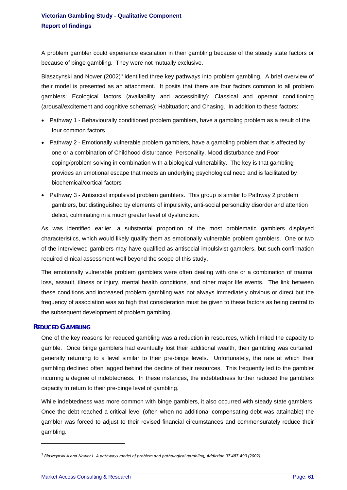A problem gambler could experience escalation in their gambling because of the steady state factors or because of binge gambling. They were not mutually exclusive.

Blaszcynski and Nower (2002)<sup>[3](#page-26-0)</sup> identified three key pathways into problem gambling. A brief overview of their model is presented as an attachment. It posits that there are four factors common to all problem gamblers: Ecological factors (availability and accessibility); Classical and operant conditioning (arousal/excitement and cognitive schemas); Habituation; and Chasing. In addition to these factors:

- Pathway 1 Behaviourally conditioned problem gamblers, have a gambling problem as a result of the four common factors
- Pathway 2 Emotionally vulnerable problem gamblers, have a gambling problem that is affected by one or a combination of Childhood disturbance, Personality, Mood disturbance and Poor coping/problem solving in combination with a biological vulnerability. The key is that gambling provides an emotional escape that meets an underlying psychological need and is facilitated by biochemical/cortical factors
- Pathway 3 Antisocial impulsivist problem gamblers. This group is similar to Pathway 2 problem gamblers, but distinguished by elements of impulsivity, anti-social personality disorder and attention deficit, culminating in a much greater level of dysfunction.

As was identified earlier, a substantial proportion of the most problematic gamblers displayed characteristics, which would likely qualify them as emotionally vulnerable problem gamblers. One or two of the interviewed gamblers may have qualified as antisocial impulsivist gamblers, but such confirmation required clinical assessment well beyond the scope of this study.

The emotionally vulnerable problem gamblers were often dealing with one or a combination of trauma, loss, assault, illness or injury, mental health conditions, and other major life events. The link between these conditions and increased problem gambling was not always immediately obvious or direct but the frequency of association was so high that consideration must be given to these factors as being central to the subsequent development of problem gambling.

### **REDUCED GAMBLING**

1

One of the key reasons for reduced gambling was a reduction in resources, which limited the capacity to gamble. Once binge gamblers had eventually lost their additional wealth, their gambling was curtailed, generally returning to a level similar to their pre-binge levels. Unfortunately, the rate at which their gambling declined often lagged behind the decline of their resources. This frequently led to the gambler incurring a degree of indebtedness. In these instances, the indebtedness further reduced the gamblers capacity to return to their pre-binge level of gambling.

While indebtedness was more common with binge gamblers, it also occurred with steady state gamblers. Once the debt reached a critical level (often when no additional compensating debt was attainable) the gambler was forced to adjust to their revised financial circumstances and commensurately reduce their gambling.

<span id="page-61-0"></span> $^3$  Blaszcynski A and Nower L. A pathways model of problem and pathological gambling, Addiction 97 487-499 (2002).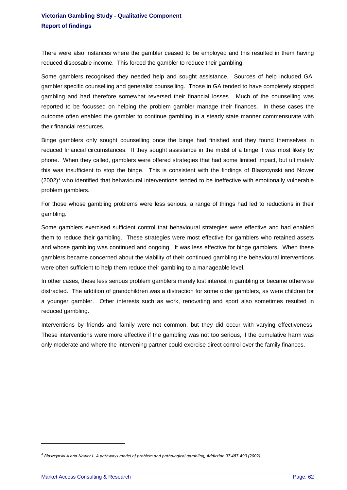There were also instances where the gambler ceased to be employed and this resulted in them having reduced disposable income. This forced the gambler to reduce their gambling.

Some gamblers recognised they needed help and sought assistance. Sources of help included GA, gambler specific counselling and generalist counselling. Those in GA tended to have completely stopped gambling and had therefore somewhat reversed their financial losses. Much of the counselling was reported to be focussed on helping the problem gambler manage their finances. In these cases the outcome often enabled the gambler to continue gambling in a steady state manner commensurate with their financial resources.

Binge gamblers only sought counselling once the binge had finished and they found themselves in reduced financial circumstances. If they sought assistance in the midst of a binge it was most likely by phone. When they called, gamblers were offered strategies that had some limited impact, but ultimately this was insufficient to stop the binge. This is consistent with the findings of Blaszcynski and Nower (2002)<sup>[4](#page-61-0)</sup> who identified that behavioural interventions tended to be ineffective with emotionally vulnerable problem gamblers.

For those whose gambling problems were less serious, a range of things had led to reductions in their gambling.

Some gamblers exercised sufficient control that behavioural strategies were effective and had enabled them to reduce their gambling. These strategies were most effective for gamblers who retained assets and whose gambling was continued and ongoing. It was less effective for binge gamblers. When these gamblers became concerned about the viability of their continued gambling the behavioural interventions were often sufficient to help them reduce their gambling to a manageable level.

In other cases, these less serious problem gamblers merely lost interest in gambling or became otherwise distracted. The addition of grandchildren was a distraction for some older gamblers, as were children for a younger gambler. Other interests such as work, renovating and sport also sometimes resulted in reduced gambling.

Interventions by friends and family were not common, but they did occur with varying effectiveness. These interventions were more effective if the gambling was not too serious, if the cumulative harm was only moderate and where the intervening partner could exercise direct control over the family finances.

1

<span id="page-62-0"></span> $4$  Blaszcynski A and Nower L. A pathways model of problem and pathological gambling, Addiction 97 487-499 (2002).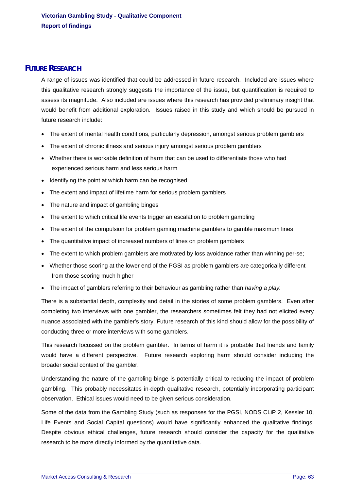## **FUTURE RESEARCH**

A range of issues was identified that could be addressed in future research. Included are issues where this qualitative research strongly suggests the importance of the issue, but quantification is required to assess its magnitude. Also included are issues where this research has provided preliminary insight that would benefit from additional exploration. Issues raised in this study and which should be pursued in future research include:

- The extent of mental health conditions, particularly depression, amongst serious problem gamblers
- The extent of chronic illness and serious injury amongst serious problem gamblers
- Whether there is workable definition of harm that can be used to differentiate those who had experienced serious harm and less serious harm
- Identifying the point at which harm can be recognised
- The extent and impact of lifetime harm for serious problem gamblers
- The nature and impact of gambling binges
- The extent to which critical life events trigger an escalation to problem gambling
- The extent of the compulsion for problem gaming machine gamblers to gamble maximum lines
- The quantitative impact of increased numbers of lines on problem gamblers
- The extent to which problem gamblers are motivated by loss avoidance rather than winning per-se;
- Whether those scoring at the lower end of the PGSI as problem gamblers are categorically different from those scoring much higher
- The impact of gamblers referring to their behaviour as gambling rather than *having a play.*

There is a substantial depth, complexity and detail in the stories of some problem gamblers. Even after completing two interviews with one gambler, the researchers sometimes felt they had not elicited every nuance associated with the gambler's story. Future research of this kind should allow for the possibility of conducting three or more interviews with some gamblers.

This research focussed on the problem gambler. In terms of harm it is probable that friends and family would have a different perspective. Future research exploring harm should consider including the broader social context of the gambler.

Understanding the nature of the gambling binge is potentially critical to reducing the impact of problem gambling. This probably necessitates in-depth qualitative research, potentially incorporating participant observation. Ethical issues would need to be given serious consideration.

Some of the data from the Gambling Study (such as responses for the PGSI, NODS CLiP 2, Kessler 10, Life Events and Social Capital questions) would have significantly enhanced the qualitative findings. Despite obvious ethical challenges, future research should consider the capacity for the qualitative research to be more directly informed by the quantitative data.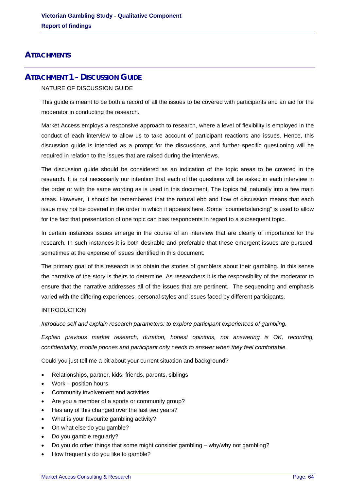## **ATTACHMENTS**

## **ATTACHMENT 1 - DISCUSSION GUIDE**

### NATURE OF DISCUSSION GUIDE

This guide is meant to be both a record of all the issues to be covered with participants and an aid for the moderator in conducting the research.

Market Access employs a responsive approach to research, where a level of flexibility is employed in the conduct of each interview to allow us to take account of participant reactions and issues. Hence, this discussion guide is intended as a prompt for the discussions, and further specific questioning will be required in relation to the issues that are raised during the interviews.

The discussion guide should be considered as an indication of the topic areas to be covered in the research. It is not necessarily our intention that each of the questions will be asked in each interview in the order or with the same wording as is used in this document. The topics fall naturally into a few main areas. However, it should be remembered that the natural ebb and flow of discussion means that each issue may not be covered in the order in which it appears here. Some "counterbalancing" is used to allow for the fact that presentation of one topic can bias respondents in regard to a subsequent topic.

In certain instances issues emerge in the course of an interview that are clearly of importance for the research. In such instances it is both desirable and preferable that these emergent issues are pursued, sometimes at the expense of issues identified in this document.

The primary goal of this research is to obtain the stories of gamblers about their gambling. In this sense the narrative of the story is theirs to determine. As researchers it is the responsibility of the moderator to ensure that the narrative addresses all of the issues that are pertinent. The sequencing and emphasis varied with the differing experiences, personal styles and issues faced by different participants.

### INTRODUCTION

*Introduce self and explain research parameters: to explore participant experiences of gambling.* 

*Explain previous market research, duration, honest opinions, not answering is OK, recording, confidentiality, mobile phones and participant only needs to answer when they feel comfortable.* 

Could you just tell me a bit about your current situation and background?

- Relationships, partner, kids, friends, parents, siblings
- Work position hours
- Community involvement and activities
- Are you a member of a sports or community group?
- Has any of this changed over the last two years?
- What is your favourite gambling activity?
- On what else do you gamble?
- Do you gamble regularly?
- Do you do other things that some might consider gambling why/why not gambling?
- How frequently do you like to gamble?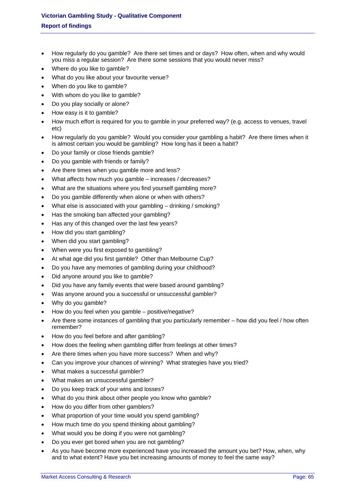- How regularly do you gamble? Are there set times and or days? How often, when and why would you miss a regular session? Are there some sessions that you would never miss?
- Where do you like to gamble?
- What do you like about your favourite venue?
- When do you like to gamble?
- With whom do you like to gamble?
- Do you play socially or alone?
- How easy is it to gamble?
- How much effort is required for you to gamble in your preferred way? (e.g. access to venues, travel etc)
- How regularly do you gamble? Would you consider your gambling a habit? Are there times when it is almost certain you would be gambling? How long has it been a habit?
- Do your family or close friends gamble?
- Do you gamble with friends or family?
- Are there times when you gamble more and less?
- What affects how much you gamble increases / decreases?
- What are the situations where you find yourself gambling more?
- Do you gamble differently when alone or when with others?
- What else is associated with your gambling drinking / smoking?
- Has the smoking ban affected your gambling?
- Has any of this changed over the last few years?
- How did you start gambling?
- When did you start gambling?
- When were you first exposed to gambling?
- At what age did you first gamble? Other than Melbourne Cup?
- Do you have any memories of gambling during your childhood?
- Did anyone around you like to gamble?
- Did you have any family events that were based around gambling?
- Was anyone around you a successful or unsuccessful gambler?
- Why do you gamble?
- How do you feel when you gamble positive/negative?
- Are there some instances of gambling that you particularly remember how did you feel / how often remember?
- How do you feel before and after gambling?
- How does the feeling when gambling differ from feelings at other times?
- Are there times when you have more success? When and why?
- Can you improve your chances of winning? What strategies have you tried?
- What makes a successful gambler?
- What makes an unsuccessful gambler?
- Do you keep track of your wins and losses?
- What do you think about other people you know who gamble?
- How do you differ from other gamblers?
- What proportion of your time would you spend gambling?
- How much time do you spend thinking about gambling?
- What would you be doing if you were not gambling?
- Do you ever get bored when you are not gambling?
- As you have become more experienced have you increased the amount you bet? How, when, why and to what extent? Have you bet increasing amounts of money to feel the same way?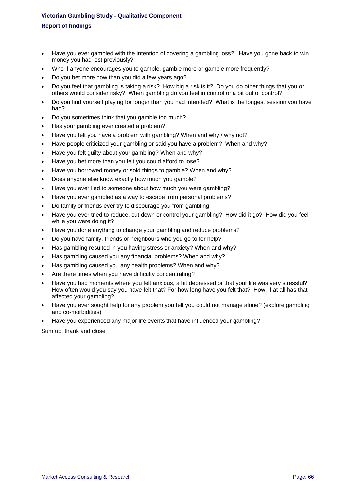- Have you ever gambled with the intention of covering a gambling loss? Have you gone back to win money you had lost previously?
- Who if anyone encourages you to gamble, gamble more or gamble more frequently?
- Do you bet more now than you did a few years ago?
- Do you feel that gambling is taking a risk? How big a risk is it? Do you do other things that you or others would consider risky? When gambling do you feel in control or a bit out of control?
- Do you find yourself playing for longer than you had intended? What is the longest session you have had?
- Do you sometimes think that you gamble too much?
- Has your gambling ever created a problem?
- Have you felt you have a problem with gambling? When and why / why not?
- Have people criticized your gambling or said you have a problem? When and why?
- Have you felt guilty about your gambling? When and why?
- Have you bet more than you felt you could afford to lose?
- Have you borrowed money or sold things to gamble? When and why?
- Does anyone else know exactly how much you gamble?
- Have you ever lied to someone about how much you were gambling?
- Have you ever gambled as a way to escape from personal problems?
- Do family or friends ever try to discourage you from gambling
- Have you ever tried to reduce, cut down or control your gambling? How did it go? How did you feel while you were doing it?
- Have you done anything to change your gambling and reduce problems?
- Do you have family, friends or neighbours who you go to for help?
- Has gambling resulted in you having stress or anxiety? When and why?
- Has gambling caused you any financial problems? When and why?
- Has gambling caused you any health problems? When and why?
- Are there times when you have difficulty concentrating?
- Have you had moments where you felt anxious, a bit depressed or that your life was very stressful? How often would you say you have felt that? For how long have you felt that? How, if at all has that affected your gambling?
- Have you ever sought help for any problem you felt you could not manage alone? (explore gambling and co-morbidities)
- Have you experienced any major life events that have influenced your gambling?

Sum up, thank and close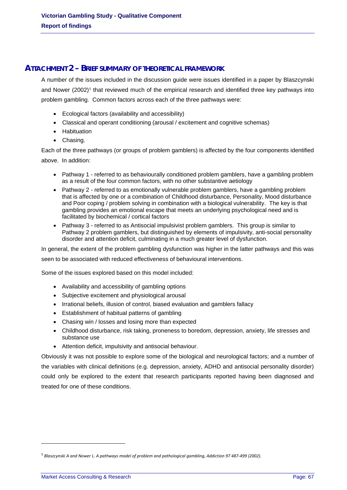## **ATTACHMENT 2 – BRIEF SUMMARY OF THEORETICAL FRAMEWORK**

A number of the issues included in the discussion guide were issues identified in a paper by Blaszcynski and Nower (2002)<sup>[5](#page-62-0)</sup> that reviewed much of the empirical research and identified three key pathways into problem gambling. Common factors across each of the three pathways were:

- Ecological factors (availability and accessibility)
- Classical and operant conditioning (arousal / excitement and cognitive schemas)
- Habituation
- Chasing.

Each of the three pathways (or groups of problem gamblers) is affected by the four components identified above. In addition:

- Pathway 1 referred to as behaviourally conditioned problem gamblers, have a gambling problem as a result of the four common factors, with no other substantive aetiology
- Pathway 2 referred to as emotionally vulnerable problem gamblers, have a gambling problem that is affected by one or a combination of Childhood disturbance, Personality, Mood disturbance and Poor coping / problem solving in combination with a biological vulnerability. The key is that gambling provides an emotional escape that meets an underlying psychological need and is facilitated by biochemical / cortical factors
- Pathway 3 referred to as Antisocial impulsivist problem gamblers. This group is similar to Pathway 2 problem gamblers, but distinguished by elements of impulsivity, anti-social personality disorder and attention deficit, culminating in a much greater level of dysfunction.

In general, the extent of the problem gambling dysfunction was higher in the latter pathways and this was seen to be associated with reduced effectiveness of behavioural interventions.

Some of the issues explored based on this model included:

- Availability and accessibility of gambling options
- Subjective excitement and physiological arousal
- Irrational beliefs, illusion of control, biased evaluation and gamblers fallacy
- Establishment of habitual patterns of gambling
- Chasing win / losses and losing more than expected
- Childhood disturbance, risk taking, proneness to boredom, depression, anxiety, life stresses and substance use
- Attention deficit, impulsivity and antisocial behaviour.

Obviously it was not possible to explore some of the biological and neurological factors; and a number of the variables with clinical definitions (e.g. depression, anxiety, ADHD and antisocial personality disorder) could only be explored to the extent that research participants reported having been diagnosed and treated for one of these conditions.

1

 $5$  Blaszcynski A and Nower L. A pathways model of problem and pathological gambling, Addiction 97 487-499 (2002).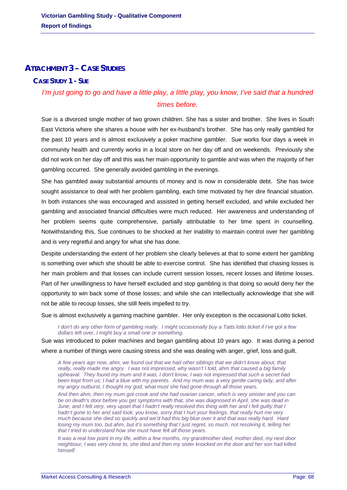## **ATTACHMENT 3 – CASE STUDIES**

## **CASE STUDY 1 - SUE**

# *I'm just going to go and have a little play, a little play, you know, I've said that a hundred times before.*

Sue is a divorced single mother of two grown children. She has a sister and brother. She lives in South East Victoria where she shares a house with her ex-husband's brother. She has only really gambled for the past 10 years and is almost exclusively a poker machine gambler. Sue works four days a week in community health and currently works in a local store on her day off and on weekends. Previously she did not work on her day off and this was her main opportunity to gamble and was when the majority of her gambling occurred. She generally avoided gambling in the evenings.

She has gambled away substantial amounts of money and is now in considerable debt. She has twice sought assistance to deal with her problem gambling, each time motivated by her dire financial situation. In both instances she was encouraged and assisted in getting herself excluded, and while excluded her gambling and associated financial difficulties were much reduced. Her awareness and understanding of her problem seems quite comprehensive, partially attributable to her time spent in counselling. Notwithstanding this, Sue continues to be shocked at her inability to maintain control over her gambling and is very regretful and angry for what she has done.

Despite understanding the extent of her problem she clearly believes at that to some extent her gambling is something over which she should be able to exercise control. She has identified that chasing losses is her main problem and that losses can include current session losses, recent losses and lifetime losses. Part of her unwillingness to have herself excluded and stop gambling is that doing so would deny her the opportunity to win back some of those losses; and while she can intellectually acknowledge that she will not be able to recoup losses, she still feels impelled to try.

Sue is almost exclusively a gaming machine gambler. Her only exception is the occasional Lotto ticket.

*I don't do any other form of gambling really. I might occasionally buy a Tatts lotto ticket if I've got a few dollars left over, I might buy a small one or something.* 

Sue was introduced to poker machines and began gambling about 10 years ago. It was during a period where a number of things were causing stress and she was dealing with anger, grief, loss and guilt.

*A few years ago now, ahm, we found out that we had other siblings that we didn't know about, that really, really made me angry. I was not impressed, why wasn't I told, ahm that caused a big family upheaval. They found my mum and it was, I don't know, I was not impressed that such a secret had been kept from us; I had a blue with my parents. And my mum was a very gentle caring lady, and after my angry outburst, I thought my god, what must she had gone through all those years.* 

*And then ahm, then my mum got crook and she had ovarian cancer, which is very sinister and you can be on death's door before you get symptoms with that, she was diagnosed in April, she was dead in June, and I felt very, very upset that I hadn't really resolved this thing with her and I felt guilty that I hadn't gone to her and said look, you know, sorry that I hurt your feelings, that really hurt me very much because she died so quickly and we'd had this big blue over it and that was really hard. Hard losing my mum too, but ahm, but it's something that I just regret, so much, not resolving it, telling her that I tried to understand how she must have felt all those years.* 

*It was a real low point in my life, within a few months, my grandmother died, mother died, my next door neighbour, I was very close to, she died and then my sister knocked on the door and her son had killed himself.*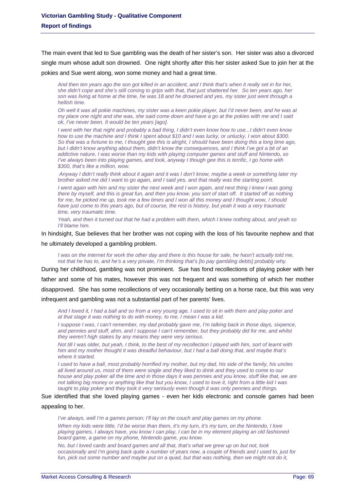The main event that led to Sue gambling was the death of her sister's son. Her sister was also a divorced single mum whose adult son drowned. One night shortly after this her sister asked Sue to join her at the pokies and Sue went along, won some money and had a great time.

*And then ten years ago the son got killed in an accident, and I think that's when it really set in for her, she didn't cope and she's still coming to grips with that, that just shattered her. So ten years ago, her son was living at home at the time, he was 18 and he drowned and yes, my sister just went through a hellish time.* 

*Oh well it was all pokie machines, my sister was a keen pokie player, but I'd never been, and he was at my place one night and she was, she said come down and have a go at the pokies with me and I said ok, I've never been. It would be ten years [ago].* 

*I went with her that night and probably a bad thing, I didn't even know how to use...I didn't even know how to use the machine and I think I spent about \$10 and I was lucky, or unlucky, I won about \$300. So that was a fortune to me, I thought gee this is alright, I should have been doing this a long time ago, but I didn't know anything about them, didn't know the consequences, and I think I've got a bit of an addictive nature, I was worse than my kids with playing computer games and stuff and Nintendo, so I've always been into playing games, and look, anyway I though gee this is terrific, I go home with \$300, that's like a million, wow.* 

 *Anyway I didn't really think about it again and it was I don't know, maybe a week or something later my brother asked me did I want to go again, and I said yes, and that really was the starting point.* 

*I* went again with him and my sister the next week and *I* won again, and next thing *I* knew *I* was going *there by myself, and this is great fun, and then you know, you sort of start off. It started off as nothing for me, he picked me up, took me a few times and I won all this money and I thought wow, I should have just come to this years ago, but of course, the rest is history, but yeah it was a very traumatic time, very traumatic time.* 

*Yeah, and then it turned out that he had a problem with them, which I knew nothing about, and yeah so I'll blame him.* 

In hindsight, Sue believes that her brother was not coping with the loss of his favourite nephew and that he ultimately developed a gambling problem.

*I* was on the internet for work the other day and there is this house for sale, he hasn't actually told me, *not that he has to, and he's a very private, I'm thinking that's [to pay gambling debts] probably why.* 

During her childhood, gambling was not prominent. Sue has fond recollections of playing poker with her father and some of his mates, however this was not frequent and was something of which her mother disapproved. She has some recollections of very occasionally betting on a horse race, but this was very infrequent and gambling was not a substantial part of her parents' lives.

And I loved it, I had a ball and so from a very young age, I used to sit in with them and play poker and *at that stage it was nothing to do with money, to me, I mean I was a kid.* 

*I suppose I was, I can't remember, my dad probably gave me, I'm talking back in those days, sixpence, and pennies and stuff, ahm, and I suppose I can't remember, but they probably did for me, and whilst they weren't high stakes by any means they were very serious.* 

*Not till I was older, but yeah, I think, to the best of my recollection I played with him, sort of learnt with him and my mother thought it was dreadful behaviour, but I had a ball doing that, and maybe that's where it started.* 

*I used to have a ball, most probably horrified my mother, but my dad, his side of the family, his uncles all lived around us, most of them were single and they liked to drink and they used to come to our house and play poker all the time and in those days it was pennies and you know, stuff like that, we are not talking big money or anything like that but you know, I used to love it, right from a little kid I was taught to play poker and they took it very seriously even though it was only pennies and things.* 

### Sue identified that she loved playing games - even her kids electronic and console games had been appealing to her.

*I've always, well I'm a games person; I'll lay on the couch and play games on my phone.* 

*When my kids were little, I'd be worse than them, it's my turn, it's my turn, on the Nintendo, I love playing games, I always have, you know I can play, I can be in my element playing an old fashioned board game, a game on my phone, Nintendo game, you know.* 

*No, but I loved cards and board games and all that, that's what we grew up on but not, look occasionally and I'm going back quite a number of years now, a couple of friends and I used to, just for fun, pick out some number and maybe put on a quad, but that was nothing, then we might not do it,*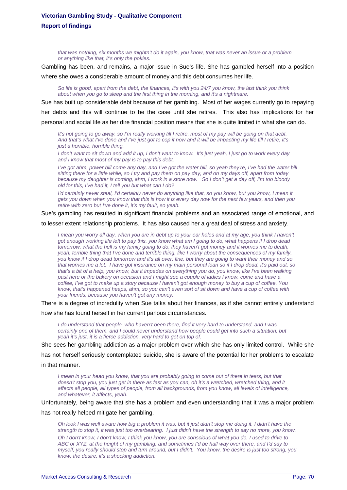*that was nothing, six months we mightn't do it again, you know, that was never an issue or a problem or anything like that, it's only the pokies.* 

Gambling has been, and remains, a major issue in Sue's life. She has gambled herself into a position where she owes a considerable amount of money and this debt consumes her life.

*So life is good, apart from the debt, the finances, it's with you 24/7 you know, the last think you think about when you go to sleep and the first thing in the morning, and it's a nightmare.* 

Sue has built up considerable debt because of her gambling. Most of her wages currently go to repaying

her debts and this will continue to be the case until she retires. This also has implications for her

personal and social life as her dire financial position means that she is quite limited in what she can do.

*It's not going to go away, so I'm really working till I retire, most of my pay will be going on that debt. And that's what I've done and I've just got to cop it now and it will be impacting my life till I retire, it's just a horrible, horrible thing.* 

*I don't want to sit down and add it up, I don't want to know. It's just yeah, I just go to work every day and I know that most of my pay is to pay this debt.* 

*I've got ahm, power bill come any day, and I've got the water bill, so yeah they're, I've had the water bill sitting there for a little while, so I try and pay them on pay day, and on my days off, apart from today because my daughter is coming, ahm, I work in a store now. So I don't get a day off, I'm too bloody old for this, I've had it, I tell you but what can I do?* 

*I'd certainly never steal, I'd certainly never do anything like that, so you know, but you know, I mean it gets you down when you know that this is how it is every day now for the next few years, and then you retire with zero but I've done it, it's my fault, so yeah.* 

Sue's gambling has resulted in significant financial problems and an associated range of emotional, and

to lesser extent relationship problems. It has also caused her a great deal of stress and anxiety.

*I* mean you worry all day, when you are in debt up to your ear holes and at my age, you think I haven't *got enough working life left to pay this, you know what am I going to do, what happens if I drop dead tomorrow, what the hell is my family going to do, they haven't got money and it worries me to death, yeah, terrible thing that I've done and terrible thing, like I worry about the consequences of my family, you know if I drop dead tomorrow and it's all over, fine, but they are going to want their money and so that worries me a lot. I have got insurance on my main personal loan so if I drop dead, it's paid out, so that's a bit of a help, you know, but it impedes on everything you do, you know, like I've been walking*  past here or the bakery on occasion and I might see a couple of ladies I know, come and have a *coffee, I've got to make up a story because I haven't got enough money to buy a cup of coffee. You know, that's happened heaps, ahm, so you can't even sort of sit down and have a cup of coffee with your friends, because you haven't got any money.* 

There is a degree of incredulity when Sue talks about her finances, as if she cannot entirely understand

how she has found herself in her current parlous circumstances.

*I do understand that people, who haven't been there, find it very hard to understand, and I was certainly one of them, and I could never understand how people could get into such a situation, but yeah it's just, it is a fierce addiction, very hard to get on top of.* 

She sees her gambling addiction as a major problem over which she has only limited control. While she has not herself seriously contemplated suicide, she is aware of the potential for her problems to escalate in that manner.

*I mean in your head you know, that you are probably going to come out of there in tears, but that doesn't stop you, you just get in there as fast as you can, oh it's a wretched, wretched thing, and it affects all people, all types of people, from all backgrounds, from you know, all levels of intelligence, and whatever, it affects, yeah.* 

Unfortunately, being aware that she has a problem and even understanding that it was a major problem

has not really helped mitigate her gambling.

*Oh look I was well aware how big a problem it was, but it just didn't stop me doing it, I didn't have the strength to stop it, it was just too overbearing. I just didn't have the strength to say no more, you know.* 

*Oh I don't know, I don't know, I think you know, you are conscious of what you do, I used to drive to ABC or XYZ, at the height of my gambling, and sometimes I'd be half way over there, and I'd say to myself, you really should stop and turn around, but I didn't. You know, the desire is just too strong, you know, the desire, it's a shocking addiction.*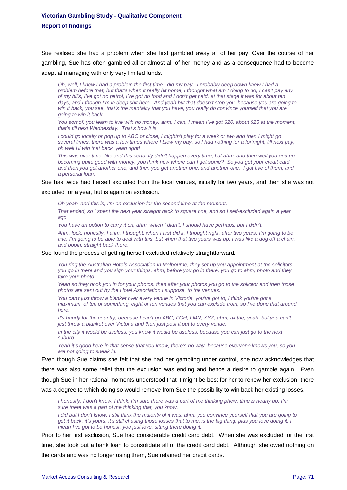Sue realised she had a problem when she first gambled away all of her pay. Over the course of her gambling, Sue has often gambled all or almost all of her money and as a consequence had to become adept at managing with only very limited funds.

*Oh, well, I knew I had a problem the first time I did my pay. I probably deep down knew I had a problem before that, but that's when it really hit home, I thought what am I doing to do, I can't pay any of my bills, I've got no petrol, I've got no food and I don't get paid, at that stage it was for about ten days, and I though I'm in deep shit here. And yeah but that doesn't stop you, because you are going to win it back, you see, that's the mentality that you have, you really do convince yourself that you are going to win it back.* 

*You sort of, you learn to live with no money, ahm, I can, I mean I've got \$20, about \$25 at the moment, that's till next Wednesday. That's how it is.* 

*I could go locally or pop up to ABC or close, I mightn't play for a week or two and then I might go several times, there was a few times where I blew my pay, so I had nothing for a fortnight, till next pay, oh well I'll win that back, yeah right!* 

*This was over time, like and this certainly didn't happen every time, but ahm, and then well you end up becoming quite good with money, you think now where can I get some? So you get your credit card and then you get another one, and then you get another one, and another one. I got five of them, and a personal loan.* 

Sue has twice had herself excluded from the local venues, initially for two years, and then she was not

excluded for a year, but is again on exclusion.

*Oh yeah, and this is, I'm on exclusion for the second time at the moment.* 

*That ended, so I spent the next year straight back to square one, and so I self-excluded again a year ago* 

*You have an option to carry it on, ahm, which I didn't, I should have perhaps, but I didn't.* 

*Ahm, look, honestly, I ahm, I thought, when I first did it, I thought right, after two years, I'm going to be fine, I'm going to be able to deal with this, but when that two years was up, I was like a dog off a chain, and boom, straight back there.* 

#### Sue found the process of getting herself excluded relatively straightforward.

*You ring the Australian Hotels Association in Melbourne, they set up you appointment at the solicitors, you go in there and you sign your things, ahm, before you go in there, you go to ahm, photo and they take your photo.* 

*Yeah so they book you in for your photos, then after your photos you go to the solicitor and then those photos are sent out by the Hotel Association I suppose, to the venues.* 

*You can't just throw a blanket over every venue in Victoria, you've got to, I think you've got a maximum, of ten or something, eight or ten venues that you can exclude from, so I've done that around here.* 

*It's handy for the country, because I can't go ABC, FGH, LMN, XYZ, ahm, all the, yeah, but you can't just throw a blanket over Victoria and then just post it out to every venue.* 

In the city it would be useless, you know it would be useless, because you can just go to the next *suburb.* 

*Yeah it's good here in that sense that you know, there's no way, because everyone knows you, so you are not going to sneak in.* 

Even though Sue claims she felt that she had her gambling under control, she now acknowledges that there was also some relief that the exclusion was ending and hence a desire to gamble again. Even though Sue in her rational moments understood that it might be best for her to renew her exclusion, there was a degree to which doing so would remove from Sue the possibility to win back her existing losses.

*I honestly, I don't know, I think, I'm sure there was a part of me thinking phew, time is nearly up, I'm sure there was a part of me thinking that, you know.* 

*I did but I don't know, I still think the majority of it was, ahm, you convince yourself that you are going to get it back, it's yours, it's still chasing those losses that to me, is the big thing, plus you love doing it, I mean I've got to be honest, you just love, sitting there doing it.* 

Prior to her first exclusion, Sue had considerable credit card debt. When she was excluded for the first time, she took out a bank loan to consolidate all of the credit card debt. Although she owed nothing on the cards and was no longer using them, Sue retained her credit cards.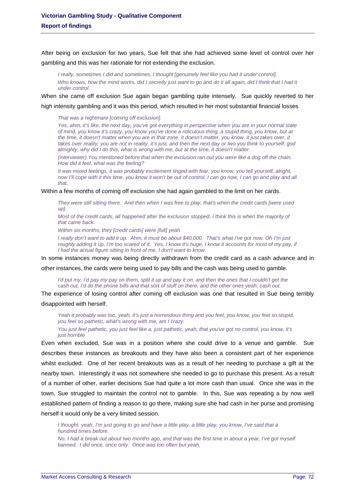After being on exclusion for two years, Sue felt that she had achieved some level of control over her gambling and this was her rationale for not extending the exclusion.

*I really, sometimes I did and sometimes, I thought [genuinely feel like you had it under control]. Who knows, how the mind works, did I secretly just want to go and do it all again, did I think that I had it under control.* 

When she came off exclusion Sue again began gambling quite intensely. Sue quickly reverted to her

high intensity gambling and it was this period, which resulted in her most substantial financial losses

*That was a nightmare [coming off exclusion].* 

*Yes, ahm, it's like, the next day, you've got everything in perspective when you are in your normal state of mind, you know it's crazy, you know you've done a ridiculous thing, a stupid thing, you know, but at the time, it doesn't matter when you are in that zone, it doesn't matter, you know, it just takes over, it takes over reality, you are not in reality, it's just, and then the next day or two you think to yourself, god almighty, why did I do this, what is wrong with me, but at the time, it doesn't matter.* 

*(interviewer) You mentioned before that when the exclusion ran out you were like a dog off the chain. How did it feel, what was the feeling?* 

*It was mixed feelings, it was probably excitement tinged with fear, you know, you tell yourself, alright,*  now I'll cope with it this time, you know it won't be out of control, I can go now, I can go and play and all *that.* 

#### Within a few months of coming off exclusion she had again gambled to the limit on her cards.

*They were still sitting there. And then when I was free to play, that's when the credit cards [were used up].* 

*Most of the credit cards, all happened after the exclusion stopped, I think this is when the majority of that came back.* 

*Within six months, they [credit cards] were [full] yeah.* 

*I really don't want to add it up. Ahm, it must be about \$40,000. That's what I've got now. Oh I'm just*  roughly adding it up, I'm too scared of it. Yes, I know it's huge, I know it accounts for most of my pay, if *I had the actual figure sitting in front of me, I don't want to know.* 

In some instances money was being directly withdrawn from the credit card as a cash advance and in

other instances, the cards were being used to pay bills and the cash was being used to gamble.

*I'd put my, I'd pay my pay on them, split it up and pay it on, and then the ones that I couldn't get the cash out, I'd do the phone bills and that sort of stuff on there, and the other ones yeah, cash out.* 

The experience of losing control after coming off exclusion was one that resulted in Sue being terribly disappointed with herself.

*Yeah it probably was too, yeah, it's just a horrendous thing and you feel, you know, you feel so stupid, you feel so pathetic, what's wrong with me, am I crazy. You just feel pathetic, you just feel like a, just pathetic, yeah, that you've got no control, you know, it's just horrible* 

Even when excluded, Sue was in a position where she could drive to a venue and gamble. Sue describes these instances as breakouts and they have also been a consistent part of her experience whilst excluded. One of her recent breakouts was as a result of her needing to purchase a gift at the nearby town. Interestingly it was not somewhere she needed to go to purchase this present. As a result of a number of other, earlier decisions Sue had quite a lot more cash than usual. Once she was in the town, Sue struggled to maintain the control not to gamble. In this, Sue was repeating a by now well established pattern of finding a reason to go there, making sure she had cash in her purse and promising herself it would only be a very limited session.

*I thought, yeah, I'm just going to go and have a little play, a little play, you know, I've said that a hundred times before.* 

*No, I had a break out about two months ago, and that was the first time in about a year, I've got myself banned. I did once, once only. Once was too often but yeah.*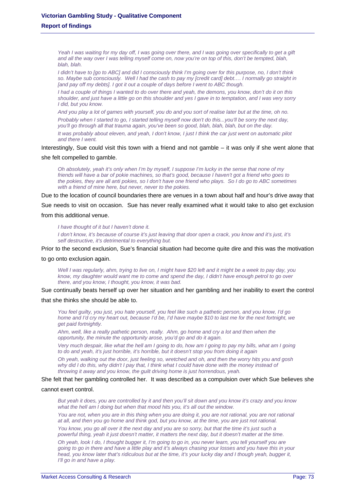*Yeah I was waiting for my day off, I was going over there, and I was going over specifically to get a gift and all the way over I was telling myself come on, now you're on top of this, don't be tempted, blah, blah, blah.* 

*I didn't have to [go to ABC] and did I consciously think I'm going over for this purpose, no, I don't think so. Maybe sub consciously. Well I had the cash to pay my [credit card] debt…. I normally go straight in [and pay off my debts]. I got it out a couple of days before I went to ABC though.* 

*I had a couple of things I wanted to do over there and yeah, the demons, you know, don't do it on this shoulder, and just have a little go on this shoulder and yes I gave in to temptation, and I was very sorry I did, but you know.* 

*And you play a lot of games with yourself, you do and you sort of realise later but at the time, oh no. Probably when I started to go, I started telling myself now don't do this...you'll be sorry the next day, you'll go through all that trauma again, you've been so good, blah, blah, blah, but on the day. It was probably about eleven, and yeah, I don't know, I just I think the car just went on automatic pilot and there I went.* 

Interestingly, Sue could visit this town with a friend and not gamble – it was only if she went alone that

### she felt compelled to gamble.

*Oh absolutely, yeah it's only when I'm by myself, I suppose I'm lucky in the sense that none of my friends will have a bar of pokie machines, so that's good, because I haven't got a friend who goes to the pokies, they are all anti pokies, so I don't have one friend who plays. So I do go to ABC sometimes with a friend of mine here, but never, never to the pokies.* 

Due to the location of council boundaries there are venues in a town about half and hour's drive away that

Sue needs to visit on occasion. Sue has never really examined what it would take to also get exclusion

from this additional venue.

*I have thought of it but I haven't done it.* 

*I don't know, it's because of course it's just leaving that door open a crack, you know and it's just, it's self destructive, it's detrimental to everything but.* 

Prior to the second exclusion, Sue's financial situation had become quite dire and this was the motivation

to go onto exclusion again.

*Well I was regularly, ahm, trying to live on, I might have \$20 left and it might be a week to pay day, you know, my daughter would want me to come and spend the day, I didn't have enough petrol to go over there, and you know, I thought, you know, it was bad.* 

Sue continually beats herself up over her situation and her gambling and her inability to exert the control

### that she thinks she should be able to.

*You feel guilty, you just, you hate yourself, you feel like such a pathetic person, and you know, I'd go home and I'd cry my heart out, because I'd be, I'd have maybe \$10 to last me for the next fortnight, we get paid fortnightly.* 

*Ahm, well, like a really pathetic person, really. Ahm, go home and cry a lot and then when the opportunity, the minute the opportunity arose, you'd go and do it again.* 

*Very much despair, like what the hell am I going to do, how am I going to pay my bills, what am I going to do and yeah, it's just horrible, it's horrible, but it doesn't stop you from doing it again* 

*Oh yeah, walking out the door, just feeling so, wretched and oh, and then the worry hits you and gosh why did I do this, why didn't I pay that, I think what I could have done with the money instead of throwing it away and you know, the guilt driving home is just horrendous, yeah.* 

### She felt that her gambling controlled her. It was described as a compulsion over which Sue believes she

#### cannot exert control.

*But yeah it does, you are controlled by it and then you'll sit down and you know it's crazy and you know what the hell am I doing but when that mood hits you, it's all out the window.* 

*You are not, when you are in this thing when you are doing it, you are not rational, you are not rational at all, and then you go home and think god, but you know, at the time, you are just not rational.* 

*You know, you go all over it the next day and you are so sorry, but that the time it's just such a powerful thing, yeah it just doesn't matter, it matters the next day, but it doesn't matter at the time.* 

*Oh yeah, look I do, I thought bugger it, I'm going to go in, you never learn, you tell yourself you are going to go in there and have a little play and it's always chasing your losses and you have this in your head, you know later that's ridiculous but at the time, it's your lucky day and I though yeah, bugger it, I'll go in and have a play.*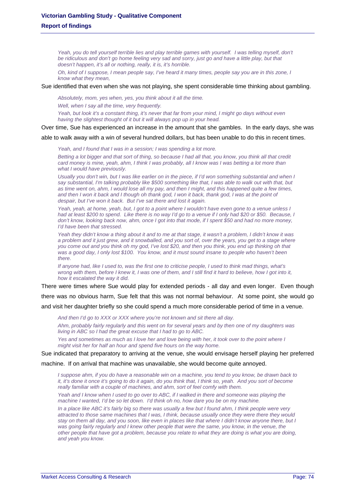Yeah, you do tell yourself terrible lies and play terrible games with yourself. I was telling myself, don't *be ridiculous and don't go home feeling very sad and sorry, just go and have a little play, but that doesn't happen, it's all or nothing, really, it is, it's horrible.* 

*Oh, kind of I suppose, I mean people say, I've heard it many times, people say you are in this zone, I know what they mean,* 

Sue identified that even when she was not playing, she spent considerable time thinking about gambling.

*Absolutely, mom, yes when, yes, you think about it all the time.* 

*Well, when I say all the time, very frequently.* 

*Yeah, but look it's a constant thing, it's never that far from your mind, I might go days without even having the slightest thought of it but it will always pop up in your head.* 

Over time, Sue has experienced an increase in the amount that she gambles. In the early days, she was

able to walk away with a win of several hundred dollars, but has been unable to do this in recent times.

*Yeah, and I found that I was in a session; I was spending a lot more.* 

*Betting a lot bigger and that sort of thing, so because I had all that, you know, you think all that credit card money is mine, yeah, ahm, I think I was probably, all I know was I was betting a lot more than what I would have previously.* 

*Usually you don't win, but I was like earlier on in the piece, if I'd won something substantial and when I say substantial, I'm talking probably like \$500 something like that, I was able to walk out with that, but as time went on, ahm, I would lose all my pay, and then I might, and this happened quite a few times,*  and then I won it back and I though oh thank god, I won it back, thank god, I was at the point of *despair, but I've won it back. But I've sat there and lost it again.* 

*Yeah, yeah, at home, yeah, but, I got to a point where I wouldn't have even gone to a venue unless I had at least \$200 to spend. Like there is no way I'd go to a venue if I only had \$20 or \$50. Because, I don't know, looking back now, ahm, once I got into that mode, if I spent \$50 and had no more money, I'd have been that stressed.* 

*Yeah they didn't know a thing about it and to me at that stage, it wasn't a problem, I didn't know it was a problem and it just grew, and it snowballed, and you sort of, over the years, you get to a stage where you come out and you think oh my god, I've lost \$20, and then you think, you end up thinking oh that was a good day, I only lost \$100. You know, and it must sound insane to people who haven't been there.* 

*If anyone had, like I used to, was the first one to criticise people, I used to think mad things, what's wrong with them, before I knew it, I was one of them, and I still find it hard to believe, how I got into it, how it escalated the way it did.* 

There were times where Sue would play for extended periods - all day and even longer. Even though there was no obvious harm, Sue felt that this was not normal behaviour. At some point, she would go and visit her daughter briefly so she could spend a much more considerable period of time in a venue.

*And then I'd go to XXX or XXX where you're not known and sit there all day.* 

*Ahm, probably fairly regularly and this went on for several years and by then one of my daughters was living in ABC so I had the great excuse that I had to go to ABC.* 

*Yes and sometimes as much as I love her and love being with her, it took over to the point where I might visit her for half an hour and spend five hours on the way home.* 

Sue indicated that preparatory to arriving at the venue, she would envisage herself playing her preferred

machine. If on arrival that machine was unavailable, she would become quite annoyed.

*I suppose ahm, if you do have a reasonable win on a machine, you tend to you know, be drawn back to it, it's done it once it's going to do it again, do you think that, I think so, yeah. And you sort of become really familiar with a couple of machines, and ahm, sort of feel comfy with them.* 

*Yeah and I know when I used to go over to ABC, if I walked in there and someone was playing the machine I wanted, I'd be so let down. I'd think oh no, how dare you be on my machine.* 

*In a place like ABC it's fairly big so there was usually a few but I found ahm, I think people were very attracted to those same machines that I was, I think, because usually once they were there they would stay on them all day, and you soon, like even in places like that where I didn't know anyone there, but I was going fairly regularly and I knew other people that were the same, you know, in the venue, the other people that have got a problem, because you relate to what they are doing is what you are doing, and yeah you know.*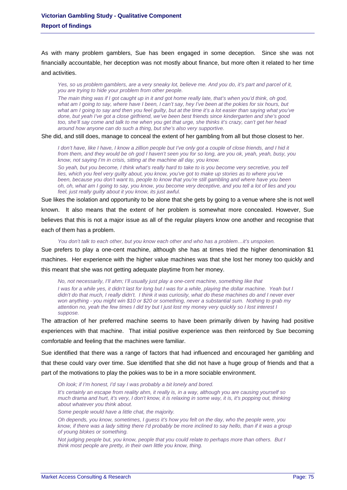As with many problem gamblers, Sue has been engaged in some deception. Since she was not financially accountable, her deception was not mostly about finance, but more often it related to her time and activities.

*Yes, so us problem gamblers, are a very sneaky lot, believe me. And you do, it's part and parcel of it, you are trying to hide your problem from other people.* 

*The main thing was if I got caught up in it and got home really late, that's when you'd think, oh god, what am I going to say, where have I been, I can't say, hey I've been at the pokies for six hours, but what am I going to say and then you feel guilty, but at the time it's a lot easier than saying what you've done, but yeah I've got a close girlfriend, we've been best friends since kindergarten and she's good too, she'll say come and talk to me when you get that urge, she thinks it's crazy, can't get her head around how anyone can do such a thing, but she's also very supportive.* 

She did, and still does, manage to conceal the extent of her gambling from all but those closest to her.

*I don't have, like I have, I know a zillion people but I've only got a couple of close friends, and I hid it from them, and they would be oh god I haven't seen you for so long, are you ok, yeah, yeah, busy, you know, not saying I'm in crisis, sitting at the machine all day, you know.* 

*So yeah, but you become, I think what's really hard to take to is you become very secretive, you tell*  lies, which you feel very guilty about, you know, you've got to make up stories as to where you've *been, because you don't want to, people to know that you're still gambling and where have you been oh, oh, what am I going to say, you know, you become very deceptive, and you tell a lot of lies and you feel, just really guilty about it you know, its just awful.* 

Sue likes the isolation and opportunity to be alone that she gets by going to a venue where she is not well known. It also means that the extent of her problem is somewhat more concealed. However, Sue believes that this is not a major issue as all of the regular players know one another and recognise that each of them has a problem.

*You don't talk to each other, but you know each other and who has a problem…it's unspoken.* 

Sue prefers to play a one-cent machine, although she has at times tried the higher denomination \$1 machines. Her experience with the higher value machines was that she lost her money too quickly and this meant that she was not getting adequate playtime from her money.

*No, not necessarily, I'll ahm; I'll usually just play a one-cent machine, something like that* 

*I was for a while yes, it didn't last for long but I was for a while, playing the dollar machine. Yeah but I didn't do that much, I really didn't. I think it was curiosity, what do these machines do and I never ever won anything - you might win \$10 or \$20 or something, never a substantial sum. Nothing to grab my attention no, yeah the few times I did try but I just lost my money very quickly so I lost interest I suppose.* 

The attraction of her preferred machine seems to have been primarily driven by having had positive experiences with that machine. That initial positive experience was then reinforced by Sue becoming comfortable and feeling that the machines were familiar.

Sue identified that there was a range of factors that had influenced and encouraged her gambling and that these could vary over time. Sue identified that she did not have a huge group of friends and that a part of the motivations to play the pokies was to be in a more sociable environment.

*Oh look; if I'm honest, I'd say I was probably a bit lonely and bored.* 

*It's certainly an escape from reality ahm, it really is, in a way, although you are causing yourself so much drama and hurt, it's very, I don't know, it is relaxing in some way, it is, it's popping out, thinking about whatever you think about.* 

*Some people would have a little chat, the majority.* 

*Oh depends, you know, sometimes, I guess it's how you felt on the day, who the people were, you know, if there was a lady sitting there I'd probably be more inclined to say hello, than if it was a group of young blokes or something.* 

*Not judging people but, you know, people that you could relate to perhaps more than others. But I think most people are pretty, in their own little you know, thing.*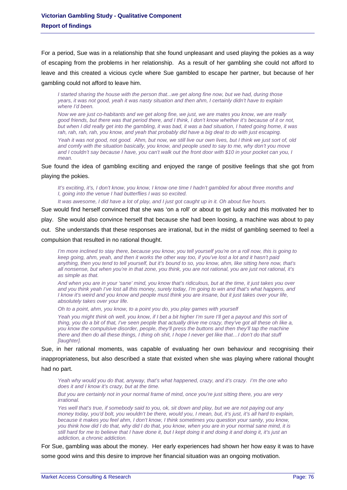For a period, Sue was in a relationship that she found unpleasant and used playing the pokies as a way of escaping from the problems in her relationship. As a result of her gambling she could not afford to leave and this created a vicious cycle where Sue gambled to escape her partner, but because of her gambling could not afford to leave him.

*I started sharing the house with the person that...we get along fine now, but we had, during those years, it was not good, yeah it was nasty situation and then ahm, I certainly didn't have to explain where I'd been.* 

*Now we are just co-habitants and we get along fine, we just, we are mates you know, we are really good friends, but there was that period there, and I think, I don't know whether it's because of it or not, but when I did really get into the gambling, it was bad, it was a bad situation, I hated going home, it was*  rah, rah, rah, rah, you know, and yeah that probably did have a big deal to do with just escaping.

*Yeah it was not good, not good. Ahm, but now, we still live our own lives, but I think we just sort of, old and comfy with the situation basically, you know, and people used to say to me, why don't you move and I couldn't say because I have, you can't walk out the front door with \$10 in your pocket can you, I mean.* 

Sue found the idea of gambling exciting and enjoyed the range of positive feelings that she got from playing the pokies.

*It's exciting, it's, I don't know, you know, I know one time I hadn't gambled for about three months and I, going into the venue I had butterflies I was so excited.* 

*It was awesome, I did have a lot of play, and I just got caught up in it. Oh about five hours.* 

Sue would find herself convinced that she was 'on a roll' or about to get lucky and this motivated her to

play. She would also convince herself that because she had been loosing, a machine was about to pay

out. She understands that these responses are irrational, but in the midst of gambling seemed to feel a

compulsion that resulted in no rational thought.

*I'm more inclined to stay there, because you know, you tell yourself you're on a roll now, this is going to keep going, ahm, yeah, and then it works the other way too, if you've lost a lot and it hasn't paid anything, then you tend to tell yourself, but it's bound to so, you know, ahm, like sitting here now, that's all nonsense, but when you're in that zone, you think, you are not rational, you are just not rational, it's as simple as that.* 

*And when you are in your 'sane' mind, you know that's ridiculous, but at the time, it just takes you over and you think yeah I've lost all this money, surely today, I'm going to win and that's what happens, and I know it's weird and you know and people must think you are insane, but it just takes over your life, absolutely takes over your life.* 

*Oh to a point, ahm, you know, to a point you do, you play games with yourself* 

Yeah you might think oh well, you know, if I bet a bit higher I'm sure I'll get a payout and this sort of *thing, you do a bit of that, I've seen people that actually drive me crazy, they've got all these oh like a, you know the compulsive disorder, people, they'll press the buttons and then they'll tap the machine there and then do all these things, I thing oh shit, I hope I never get like that…I don't do that stuff [laughter].* 

Sue, in her rational moments, was capable of evaluating her own behaviour and recognising their inappropriateness, but also described a state that existed when she was playing where rational thought had no part.

*Yeah why would you do that, anyway, that's what happened, crazy, and it's crazy. I'm the one who does it and I know it's crazy, but at the time.* 

*But you are certainly not in your normal frame of mind, once you're just sitting there, you are very irrational.* 

*Yes well that's true, if somebody said to you, ok, sit down and play, but we are not paying out any money today, you'd bolt, you wouldn't be there, would you, I mean, but, it's just, it's all hard to explain, because it makes you feel ahm, I don't know, I think sometimes you question your sanity, you know, you think how did I do that, why did I do that, you know, when you are in your normal sane mind, it is still hard for me to believe that I have done it, but I kept doing it and doing it and doing it, it's just an addiction, a chronic addiction.* 

For Sue, gambling was about the money. Her early experiences had shown her how easy it was to have some good wins and this desire to improve her financial situation was an ongoing motivation.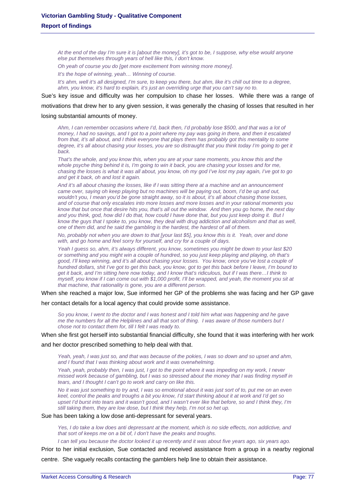*At the end of the day I'm sure it is [about the money], it's got to be, I suppose, why else would anyone else put themselves through years of hell like this, I don't know.* 

*Oh yeah of course you do [get more excitement from winning more money].* 

*It's the hope of winning, yeah… Winning of course.* 

*It's ahm, well it's all designed, I'm sure, to keep you there, but ahm, like it's chill out time to a degree, ahm, you know, it's hard to explain, it's just an overriding urge that you can't say no to.* 

Sue's key issue and difficulty was her compulsion to chase her losses. While there was a range of

motivations that drew her to any given session, it was generally the chasing of losses that resulted in her

### losing substantial amounts of money.

*Ahm, I can remember occasions where I'd, back then, I'd probably lose \$500, and that was a lot of money, I had no savings, and I got to a point where my pay was going in there, and then it escalated from that, it's all about, and I think everyone that plays them has probably got this mentality to some degree, it's all about chasing your losses, you are so distraught that you think today I'm going to get it back.* 

*That's the whole, and you know this, when you are at your sane moments, you know this and the whole psyche thing behind it is, I'm going to win it back, you are chasing your losses and for me, chasing the losses is what it was all about, you know, oh my god I've lost my pay again, I've got to go and get it back, oh and lost it again.* 

*And it's all about chasing the losses, like if I was sitting there at a machine and an announcement came over, saying oh keep playing but no machines will be paying out, boom, I'd be up and out, wouldn't you, I mean you'd be gone straight away, so it is about, it's all about chasing those losses, and of course that only escalates into more losses and more losses and in your rational moments you know that but once that desire hits you, that's all out the window. And then you go home, the next day and you think, god, how did I do that, how could I have done that, but you just keep doing it. But I know the guys that I spoke to, you know, they deal with drug addiction and alcoholism and that as well, one of them did, and he said the gambling is the hardest, the hardest of all of them.* 

*No, probably not when you are down to that [your last \$5], you know this is it. Yeah, over and done with, and go home and feel sorry for yourself, and cry for a couple of days.* 

*Yeah I guess so, ahm, it's always different, you know, sometimes you might be down to your last \$20 or something and you might win a couple of hundred, so you just keep playing and playing, oh that's good, I'll keep winning, and it's all about chasing your losses. You know, once you've lost a couple of hundred dollars, shit I've got to get this back, you know, got to get this back before I leave, I'm bound to get it back, and I'm sitting here now today, and I know that's ridiculous, but if I was there…I think to myself, you know if I can come out with \$1,000 profit, I'll be wrapped, and yeah, the moment you sit at that machine, that rationality is gone, you are a different person.* 

When she reached a major low, Sue informed her GP of the problems she was facing and her GP gave

her contact details for a local agency that could provide some assistance.

*So you know, I went to the doctor and I was honest and I told him what was happening and he gave me the numbers for all the Helplines and all that sort of thing. I was aware of those numbers but I chose not to contact them for, till I felt I was ready to.* 

When she first got herself into substantial financial difficulty, she found that it was interfering with her work and her doctor prescribed something to help deal with that.

*Yeah, yeah, I was just so, and that was because of the pokies, I was so down and so upset and ahm, and I found that I was thinking about work and it was overwhelming.* 

*Yeah, yeah, probably then, I was just, I got to the point where it was impeding on my work, I never missed work because of gambling, but I was so stressed about the money that I was finding myself in tears, and I thought I can't go to work and carry on like this.* 

*No it was just something to try and, I was so emotional about it was just sort of to, put me on an even keel, control the peaks and troughs a bit you know, I'd start thinking about it at work and I'd get so upset I'd burst into tears and it wasn't good, and I wasn't ever like that before, so and I think they, I'm still taking them, they are low dose, but I think they help, I'm not so het up.* 

Sue has been taking a low dose anti-depressant for several years.

*Yes, I do take a low does anti depressant at the moment, which is no side effects, non addictive, and that sort of keeps me on a bit of, I don't have the peaks and troughs.* 

*I* can tell you because the doctor looked it up recently and it was about five years ago, six years ago.

Prior to her initial exclusion, Sue contacted and received assistance from a group in a nearby regional centre. She vaguely recalls contacting the gamblers help line to obtain their assistance.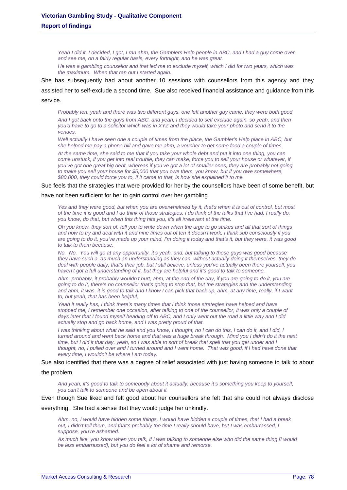*Yeah I did it, I decided, I got, I ran ahm, the Gamblers Help people in ABC, and I had a guy come over and see me, on a fairly regular basis, every fortnight, and he was great.* 

*He was a gambling counsellor and that led me to exclude myself, which I did for two years, which was the maximum. When that ran out I started again.* 

She has subsequently had about another 10 sessions with counsellors from this agency and they assisted her to self-exclude a second time. Sue also received financial assistance and guidance from this service.

*Probably ten, yeah and there was two different guys, one left another guy came, they were both good And I got back onto the guys from ABC, and yeah, I decided to self exclude again, so yeah, and then you'd have to go to a solicitor which was in XYZ and they would take your photo and send it to the venues.* 

*Well actually I have seen one a couple of times from the place, the Gambler's Help place in ABC, but she helped me pay a phone bill and gave me ahm, a voucher to get some food a couple of times.* 

*At the same time, she said to me that if you take your whole debt and put it into one thing, you can come unstuck, if you get into real trouble, they can make, force you to sell your house or whatever, if you've got one great big debt, whereas if you've got a lot of smaller ones, they are probably not going to make you sell your house for \$5,000 that you owe them, you know, but if you owe somewhere, \$80,000, they could force you to, if it came to that, is how she explained it to me.* 

Sue feels that the strategies that were provided for her by the counsellors have been of some benefit, but

### have not been sufficient for her to gain control over her gambling.

Yes and they were good, but when you are overwhelmed by it, that's when it is out of control, but most *of the time it is good and I do think of those strategies, I do think of the talks that I've had, I really do, you know, do that, but when this thing hits you, it's all irrelevant at the time.* 

*Oh you know, they sort of, tell you to write down when the urge to go strikes and all that sort of things and how to try and deal with it and nine times out of ten it doesn't work, I think sub consciously if you are going to do it, you've made up your mind, I'm doing it today and that's it, but they were, it was good to talk to them because.* 

*No. No. You will go at any opportunity, it's yeah, and, but talking to those guys was good because they have such a, as much an understanding as they can, without actually doing it themselves, they do deal with people daily, that's their job, but I still believe, unless you've actually been there yourself, you haven't got a full understanding of it, but they are helpful and it's good to talk to someone.* 

*Ahm, probably, it probably wouldn't hurt, ahm, at the end of the day, if you are going to do it, you are going to do it, there's no counsellor that's going to stop that, but the strategies and the understanding*  and ahm, it was, it is good to talk and I know I can pick that back up, ahm, at any time, really, if I want *to, but yeah, that has been helpful,* 

*Yeah it really has, I think there's many times that I think those strategies have helped and have stopped me, I remember one occasion, after talking to one of the counsellor, it was only a couple of days later that I found myself heading off to ABC, and I only went out the road a little way and I did actually stop and go back home, and I was pretty proud of that.* 

*I was thinking about what he said and you know, I thought, no I can do this, I can do it, and I did, I turned around and went back home and that was a huge break through. Mind you I didn't do it the next time, but I did it that day, yeah, so I was able to sort of break that spell that you get under and I thought, no, I pulled over and I turned around and I went home. That was good, if I had have done that every time, I wouldn't be where I am today.* 

# Sue also identified that there was a degree of relief associated with just having someone to talk to about

### the problem.

*And yeah, it's good to talk to somebody about it actually, because it's something you keep to yourself, you can't talk to someone and be open about it* 

Even though Sue liked and felt good about her counsellors she felt that she could not always disclose

#### everything. She had a sense that they would judge her unkindly.

*Ahm, no, I would have hidden some things, I would have hidden a couple of times, that I had a break*  out, I didn't tell them, and that's probably the time I really should have, but I was embarrassed, I *suppose, you're ashamed.* 

*As much like, you know when you talk, if I was talking to someone else who did the same thing [I would be less embarrassed], but you do feel a lot of shame and remorse.*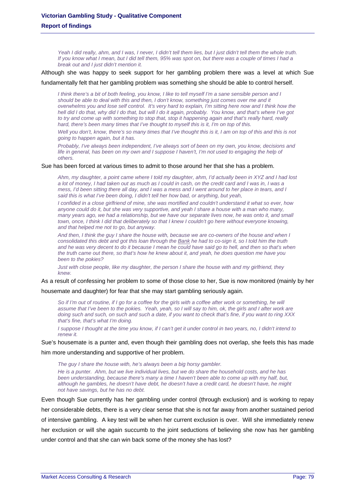*Yeah I did really, ahm, and I was, I never, I didn't tell them lies, but I just didn't tell them the whole truth. If you know what I mean, but I did tell them, 95% was spot on, but there was a couple of times I had a break out and I just didn't mention it.* 

Although she was happy to seek support for her gambling problem there was a level at which Sue

fundamentally felt that her gambling problem was something she should be able to control herself.

*I think there's a bit of both feeling, you know, I like to tell myself I'm a sane sensible person and I should be able to deal with this and then, I don't know, something just comes over me and it overwhelms you and lose self control. It's very hard to explain, I'm sitting here now and I think how the hell did I do that, why did I do that, but will I do it again, probably. You know, and that's where I've got*  to try and come up with something to stop that, stop it happening again and that's really hard, really *hard, there's been many times that I've thought to myself this is it, I'm on top of this.* 

*Well you don't, know, there's so many times that I've thought this is it, I am on top of this and this is not going to happen again, but it has.* 

*Probably, I've always been independent, I've always sort of been on my own, you know, decisions and life in general, has been on my own and I suppose I haven't, I'm not used to engaging the help of others.* 

Sue has been forced at various times to admit to those around her that she has a problem.

*Ahm, my daughter, a point came where I told my daughter, ahm, I'd actually been in XYZ and I had lost a lot of money, I had taken out as much as I could in cash, on the credit card and I was in, I was a mess, I'd been sitting there all day, and I was a mess and I went around to her place in tears, and I said this is what I've been doing, I didn't tell her how bad, or anything, but yeah,* 

*I confided in a close girlfriend of mine, she was mortified and couldn't understand it what so ever, how anyone could do it, but she was very supportive, and yeah I share a house with a man who many, many years ago, we had a relationship, but we have our separate lives now, he was onto it, and small town, once, I think I did that deliberately so that I knew I couldn't go here without everyone knowing, and that helped me not to go, but anyway.* 

*And then, I think the guy I share the house with, because we are co-owners of the house and when I consolidated this debt and got this loan through the Bank he had to co-sign it, so I told him the truth*  and he was very decent to do it because I mean he could have said go to hell, and then so that's when *the truth came out there, so that's how he knew about it, and yeah, he does question me have you been to the pokies?* 

*Just with close people, like my daughter, the person I share the house with and my girlfriend, they knew.* 

As a result of confessing her problem to some of those close to her, Sue is now monitored (mainly by her

housemate and daughter) for fear that she may start gambling seriously again.

So if I'm out of routine, if I go for a coffee for the girls with a coffee after work or something, he will *assume that I've been to the pokies. Yeah, yeah, so I will say to him, ok, the girls and I after work are doing such and such, on such and such a date, if you want to check that's fine, if you want to ring XXX that's fine, that's what I'm doing.* 

*I suppose I thought at the time you know, if I can't get it under control in two years, no, I didn't intend to renew it.* 

Sue's housemate is a punter and, even though their gambling does not overlap, she feels this has made

him more understanding and supportive of her problem.

*The guy I share the house with, he's always been a big horsy gambler. He is a punter. Ahm, but we live individual lives, but we do share the household costs, and he has been understanding, because there's many a time I haven't been able to come up with my half, but, although he gambles, he doesn't have debt, he doesn't have a credit card, he doesn't have, he might not have savings, but he has no debt.* 

Even though Sue currently has her gambling under control (through exclusion) and is working to repay her considerable debts, there is a very clear sense that she is not far away from another sustained period of intensive gambling. A key test will be when her current exclusion is over. Will she immediately renew her exclusion or will she again succumb to the joint seductions of believing she now has her gambling under control and that she can win back some of the money she has lost?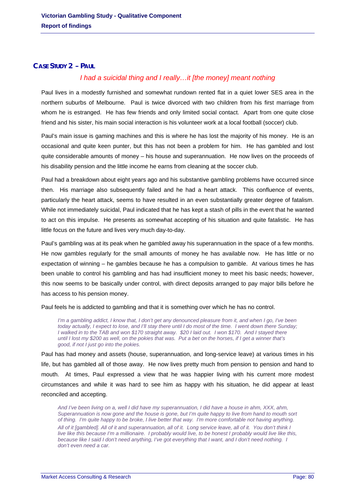# **CASE STUDY 2 – PAUL**

# *I had a suicidal thing and I really…it [the money] meant nothing*

Paul lives in a modestly furnished and somewhat rundown rented flat in a quiet lower SES area in the northern suburbs of Melbourne. Paul is twice divorced with two children from his first marriage from whom he is estranged. He has few friends and only limited social contact. Apart from one quite close friend and his sister, his main social interaction is his volunteer work at a local football (soccer) club.

Paul's main issue is gaming machines and this is where he has lost the majority of his money. He is an occasional and quite keen punter, but this has not been a problem for him. He has gambled and lost quite considerable amounts of money – his house and superannuation. He now lives on the proceeds of his disability pension and the little income he earns from cleaning at the soccer club.

Paul had a breakdown about eight years ago and his substantive gambling problems have occurred since then. His marriage also subsequently failed and he had a heart attack. This confluence of events, particularly the heart attack, seems to have resulted in an even substantially greater degree of fatalism. While not immediately suicidal, Paul indicated that he has kept a stash of pills in the event that he wanted to act on this impulse. He presents as somewhat accepting of his situation and quite fatalistic. He has little focus on the future and lives very much day-to-day.

Paul's gambling was at its peak when he gambled away his superannuation in the space of a few months. He now gambles regularly for the small amounts of money he has available now. He has little or no expectation of winning – he gambles because he has a compulsion to gamble. At various times he has been unable to control his gambling and has had insufficient money to meet his basic needs; however, this now seems to be basically under control, with direct deposits arranged to pay major bills before he has access to his pension money.

Paul feels he is addicted to gambling and that it is something over which he has no control.

*I'm a gambling addict, I know that, I don't get any denounced pleasure from it, and when I go, I've been today actually, I expect to lose, and I'll stay there until I do most of the time. I went down there Sunday; I walked in to the TAB and won \$170 straight away. \$20 I laid out. I won \$170. And I stayed there until I lost my \$200 as well, on the pokies that was. Put a bet on the horses, if I get a winner that's good, if not I just go into the pokies.* 

Paul has had money and assets (house, superannuation, and long-service leave) at various times in his life, but has gambled all of those away. He now lives pretty much from pension to pension and hand to mouth. At times, Paul expressed a view that he was happier living with his current more modest circumstances and while it was hard to see him as happy with his situation, he did appear at least reconciled and accepting.

*And I've been living on a, well I did have my superannuation, I did have a house in ahm, XXX, ahm, Superannuation is now gone and the house is gone, but I'm quite happy to live from hand to mouth sort of thing. I'm quite happy to be broke, I live better that way. I'm more comfortable not having anything. All of it [gambled]. All of it and superannuation, all of it. Long service leave, all of it. You don't think I live like this because I'm a millionaire. I probably would live, to be honest I probably would live like this, because like I said I don't need anything, I've got everything that I want, and I don't need nothing. I don't even need a car.*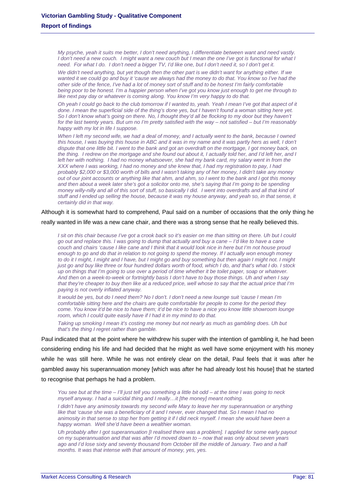*My psyche, yeah it suits me better, I don't need anything, I differentiate between want and need vastly. I don't need a new couch. I might want a new couch but I mean the one I've got is functional for what I need. For what I do. I don't need a bigger TV, I'd like one, but I don't need it, so I don't get it.* 

*We didn't need anything, but yet though then the other part is we didn't want for anything either. If we wanted it we could go and buy it 'cause we always had the money to do that. You know so I've had the other side of the fence, I've had a lot of money sort of stuff and to be honest I'm fairly comfortable being poor to be honest. I'm a happier person when I've got you know just enough to get me through to like next pay day or whatever is coming along. You know I'm very happy to do that.* 

*Oh yeah I could go back to the club tomorrow if I wanted to, yeah. Yeah I mean I've got that aspect of it done. I mean the superficial side of the thing's done yes, but I haven't found a woman sitting here yet.*  So I don't know what's going on there. No, I thought they'd all be flocking to my door but they haven't *for the last twenty years. But um no I'm pretty satisfied with the way – not satisfied – but I'm reasonably happy with my lot in life I suppose.* 

When I left my second wife, we had a deal of money, and I actually went to the bank, because I owned *this house, I was buying this house in ABC and it was in my name and it was partly hers as well, I don't dispute that one little bit. I went to the bank and got an overdraft on the mortgage, I got money back, on the thing. I redrew on the mortgage and she found out about it, I actually told her, and I'd left her, and I left her with nothing. I had no money whatsoever, she had my bank card, my salary went in from the XXX where I was working, I had no money and she knew that, I had my registration to pay, I had probably \$2,000 or \$3,000 worth of bills and I wasn't taking any of her money, I didn't take any money out of our joint accounts or anything like that ahm, and ahm, so I went to the bank and I got this money and then about a week later she's got a solicitor onto me, she's saying that I'm going to be spending money willy-nilly and all of this sort of stuff, so basically I did. I went into overdrafts and all that kind of stuff and I ended up selling the house, because it was my house anyway, and yeah so, in that sense, it certainly did in that way.* 

# Although it is somewhat hard to comprehend, Paul said on a number of occasions that the only thing he

really wanted in life was a new cane chair, and there was a strong sense that he really believed this.

*I sit on this chair because I've got a crook back so it's easier on me than sitting on there. Uh but I could go out and replace this. I was going to dump that actually and buy a cane – I'd like to have a cane couch and chairs 'cause I like cane and I think that it would look nice in here but I'm not house proud enough to go and do that in relation to not going to spend the money. If I actually won enough money*  to do it I might, I might and I have, but I might go and buy something but then again I might not. I might *just go and buy like three or four hundred dollars worth of food, which I do, and that's what I do. I stock up on things that I'm going to use over a period of time whether it be toilet paper, soap or whatever. And then on a week-to-week or fortnightly basis I don't have to buy those things. Uh and when I say that they're cheaper to buy then like at a reduced price, well whose to say that the actual price that I'm paying is not overly inflated anyway.* 

*It would be yes, but do I need them? No I don't. I don't need a new lounge suit 'cause I mean I'm comfortable sitting here and the chairs are quite comfortable for people to come for the period they come. You know it'd be nice to have them; it'd be nice to have a nice you know little showroom lounge room, which I could quite easily have if I had it in my mind to do that.* 

*Taking up smoking I mean it's costing me money but not nearly as much as gambling does. Uh but that's the thing I regret rather than gamble.* 

Paul indicated that at the point where he withdrew his super with the intention of gambling it, he had been considering ending his life and had decided that he might as well have some enjoyment with his money while he was still here. While he was not entirely clear on the detail, Paul feels that it was after he gambled away his superannuation money [which was after he had already lost his house] that he started to recognise that perhaps he had a problem.

*You see but at the time – I'll just tell you something a little bit odd – at the time I was going to neck myself anyway. I had a suicidal thing and I really…it [the money] meant nothing.* 

*I didn't have any animosity towards my second wife Mary to leave her my superannuation or anything like that 'cause she was a beneficiary of it and I never, ever changed that. So I mean I had no animosity in that sense to stop her from getting it if I did neck myself. I mean she would have been a happy woman. Well she'd have been a wealthier woman.* 

*Uh probably after I got superannuation [I realised there was a problem]. I applied for some early payout on my superannuation and that was after I'd moved down to – now that was only about seven years*  ago and I'd lose sixty and seventy thousand from October till the middle of January. Two and a half *months. It was that intense with that amount of money, yes, yes.*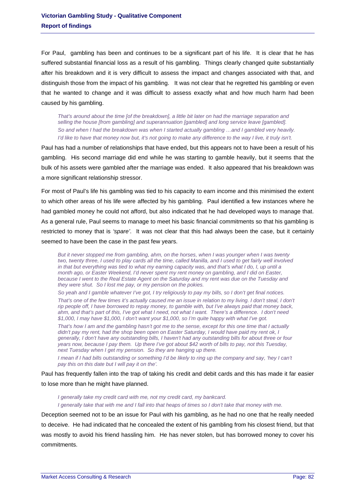For Paul, gambling has been and continues to be a significant part of his life. It is clear that he has suffered substantial financial loss as a result of his gambling. Things clearly changed quite substantially after his breakdown and it is very difficult to assess the impact and changes associated with that, and distinguish those from the impact of his gambling. It was not clear that he regretted his gambling or even that he wanted to change and it was difficult to assess exactly what and how much harm had been caused by his gambling.

*That's around about the time [of the breakdown], a little bit later on had the marriage separation and selling the house [from gambling] and superannuation [gambled] and long service leave [gambled]. So and when I had the breakdown was when I started actually gambling …and I gambled very heavily. I'd like to have that money now but, it's not going to make any difference to the way I live, it truly isn't.* 

Paul has had a number of relationships that have ended, but this appears not to have been a result of his gambling. His second marriage did end while he was starting to gamble heavily, but it seems that the bulk of his assets were gambled after the marriage was ended. It also appeared that his breakdown was a more significant relationship stressor.

For most of Paul's life his gambling was tied to his capacity to earn income and this minimised the extent to which other areas of his life were affected by his gambling. Paul identified a few instances where he had gambled money he could not afford, but also indicated that he had developed ways to manage that. As a general rule, Paul seems to manage to meet his basic financial commitments so that his gambling is restricted to money that is *'spare'*. It was not clear that this had always been the case, but it certainly seemed to have been the case in the past few years.

*But it never stopped me from gambling, ahm, on the horses, when I was younger when I was twenty two, twenty three, I used to play cards all the time, called Manilla, and I used to get fairly well involved in that but everything was tied to what my earning capacity was, and that's what I do, I, up until a month ago, or Easter Weekend, I'd never spent my rent money on gambling, and I did on Easter, because I went to the Real Estate Agent on the Saturday and my rent was due on the Tuesday and they were shut. So I lost me pay, or my pension on the pokies.* 

*So yeah and I gamble whatever I've got, I try religiously to pay my bills, so I don't get final notices.* 

*That's one of the few times it's actually caused me an issue in relation to my living. I don't steal, I don't rip people off, I have borrowed to repay money, to gamble with, but I've always paid that money back, ahm, and that's part of this, I've got what I need, not what I want. There's a difference. I don't need \$1,000, I may have \$1,000, I don't want your \$1,000, so I'm quite happy with what I've got.* 

*That's how I am and the gambling hasn't got me to the sense, except for this one time that I actually didn't pay my rent, had the shop been open on Easter Saturday, I would have paid my rent ok, I generally, I don't have any outstanding bills, I haven't had any outstanding bills for about three or four years now, because I pay them. Up there I've got about \$42 worth of bills to pay, not this Tuesday, next Tuesday when I get my pension. So they are hanging up there.* 

*I* mean if I had bills outstanding or something I'd be likely to ring up the company and say, 'hey I can't *pay this on this date but I will pay it on the'.* 

Paul has frequently fallen into the trap of taking his credit and debit cards and this has made it far easier to lose more than he might have planned.

*I generally take my credit card with me, not my credit card, my bankcard. I generally take that with me and I fall into that heaps of times so I don't take that money with me.* 

Deception seemed not to be an issue for Paul with his gambling, as he had no one that he really needed to deceive. He had indicated that he concealed the extent of his gambling from his closest friend, but that was mostly to avoid his friend hassling him. He has never stolen, but has borrowed money to cover his commitments.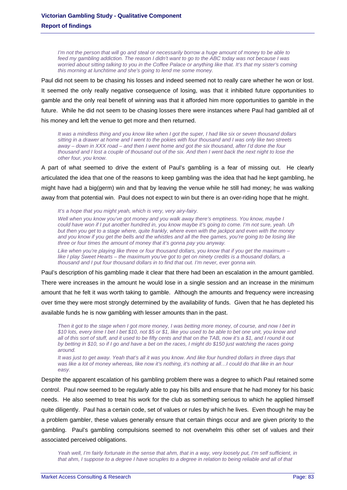*I'm not the person that will go and steal or necessarily borrow a huge amount of money to be able to feed my gambling addiction. The reason I didn't want to go to the ABC today was not because I was*  worried about sitting talking to you in the Coffee Palace or anything like that. It's that my sister's coming *this morning at lunchtime and she's going to lend me some money.* 

Paul did not seem to be chasing his losses and indeed seemed not to really care whether he won or lost. It seemed the only really negative consequence of losing, was that it inhibited future opportunities to gamble and the only real benefit of winning was that it afforded him more opportunities to gamble in the future. While he did not seem to be chasing losses there were instances where Paul had gambled all of his money and left the venue to get more and then returned.

*It was a mindless thing and you know like when I got the super, I had like six or seven thousand dollars sitting in a drawer at home and I went to the pokies with four thousand and I was only like two streets away – down in XXX road – and then I went home and got the six thousand, after I'd done the four thousand and I lost a couple of thousand out of the six. And then I went back the next night to lose the other four, you know.* 

A part of what seemed to drive the extent of Paul's gambling is a fear of missing out. He clearly articulated the idea that one of the reasons to keep gambling was the idea that had he kept gambling, he might have had a big(germ) win and that by leaving the venue while he still had money; he was walking away from that potential win. Paul does not expect to win but there is an over-riding hope that he might.

*It's a hope that you might yeah, which is very, very airy-fairy.* 

*Well when you know you've got money and you walk away there's emptiness. You know, maybe I could have won if I put another hundred in, you know maybe it's going to come. I'm not sure, yeah. Uh but then you get to a stage where, quite frankly, where even with the jackpot and even with the money and you know if you get the bells and the whistles and all the free games, you're going to be losing like three or four times the amount of money that it's gonna pay you anyway.* 

*Like when you're playing like three or four thousand dollars, you know that if you get the maximum – like I play Sweet Hearts – the maximum you've got to get on ninety credits is a thousand dollars, a thousand and I put four thousand dollars in to find that out. I'm never, ever gonna win.* 

Paul's description of his gambling made it clear that there had been an escalation in the amount gambled. There were increases in the amount he would lose in a single session and an increase in the minimum amount that he felt it was worth taking to gamble. Although the amounts and frequency were increasing over time they were most strongly determined by the availability of funds. Given that he has depleted his available funds he is now gambling with lesser amounts than in the past.

*Then it got to the stage when I got more money, I was betting more money, of course, and now I bet in \$10 lots, every time I bet I bet \$10, not \$5 or \$1, like you used to be able to bet one unit, you know and all of this sort of stuff, and it used to be fifty cents and that on the TAB, now it's a \$1, and I round it out by betting in \$10, so if I go and have a bet on the races, I might do \$150 just watching the races going around.* 

*It was just to get away. Yeah that's all it was you know. And like four hundred dollars in three days that was like a lot of money whereas, like now it's nothing, it's nothing at all…I could do that like in an hour easy.* 

Despite the apparent escalation of his gambling problem there was a degree to which Paul retained some control. Paul now seemed to be regularly able to pay his bills and ensure that he had money for his basic needs. He also seemed to treat his work for the club as something serious to which he applied himself quite diligently. Paul has a certain code, set of values or rules by which he lives. Even though he may be a problem gambler, these values generally ensure that certain things occur and are given priority to the gambling. Paul's gambling compulsions seemed to not overwhelm this other set of values and their associated perceived obligations.

*Yeah well, I'm fairly fortunate in the sense that ahm, that in a way, very loosely put, I'm self sufficient, in that ahm, I suppose to a degree I have scruples to a degree in relation to being reliable and all of that*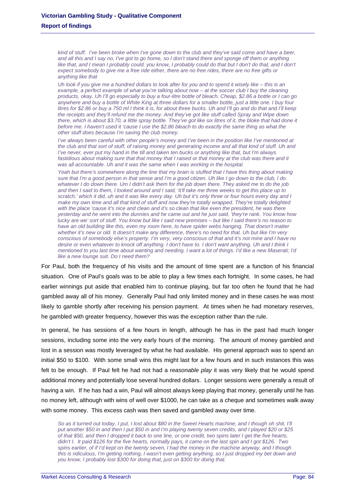*kind of stuff. I've been broke when I've gone down to the club and they've said come and have a beer, and all this and I say no, I've got to go home, so I don't stand there and sponge off them or anything like that, and I mean I probably could, you know, I probably could do that but I don't do that, and I don't expect somebody to give me a free ride either, there are no free rides, there are no free gifts or anything like that* 

*Uh look if you give me a hundred dollars to look after for you and to spend it wisely like – this is an example, a perfect example of what you're talking about now – at the soccer club I buy the cleaning products, okay. Uh I'll go especially to buy a four-litre bottle of bleach. Cheap, \$2.86 a bottle or I can go anywhere and buy a bottle of White King at three dollars for a smaller bottle, just a little one. I buy four litres for \$2.86 or buy a 750 ml I think it is, for about three bucks. Uh and I'll go and do that and I'll keep the receipts and they'll refund me the money. And they've got like stuff called Spray and Wipe down there, which is about \$3.70, a little spray bottle. They've got like six litres of it, the bloke that had done it before me. I haven't used it 'cause I use the \$2.86 bleach to do exactly the same thing as what the other stuff does because I'm saving the club money.* 

*I've always been careful with other people's money and I've been in the position like I've mentioned at the club and that sort of stuff, of raising money and generating income and all that kind of stuff. Uh and I've never, ever put my hand in the till and taken ten bucks or anything like that, but I'm always*  fastidious about making sure that that money that I raised or that money at the club was there and it *was all accountable. Uh and it was the same when I was working in the hospital.* 

Yeah but there's somewhere along the line that my brain is stuffed that I have this thing about making *sure that I'm a good person in that sense and I'm a good citizen. Uh like I go down to the club, I do whatever I do down there. Um I didn't ask them for the job down there. They asked me to do the job and then I said to them, I looked around and I said, 'it'll take me three weeks to get this place up to scratch,' which it did, uh and it was like every day. Uh but it's only three or four hours every day and I make my own time and all that kind of stuff and now they're totally wrapped. They're totally delighted with the place 'cause it's nice and clean and it's so clean that like even the president, he was there yesterday and he went into the dunnies and he came out and he just said, 'they're rank. You know how lucky are we' sort of stuff. You know but like I said new premises – but like I said there's no reason to*  have an old building like this, even my room here, to have spider webs hanging. That doesn't matter *whether it's new or old. It doesn't make any difference, there's no need for that. Uh but like I'm very conscious of somebody else's property. I'm very, very conscious of that and it's not mine and I have no desire or even whatever to knock off anything. I don't have to. I don't want anything. Uh and I think I mentioned to you last time about wanting and needing. I want a lot of things. I'd like a new Maserati; I'd like a new lounge suit. Do I need them?* 

For Paul, both the frequency of his visits and the amount of time spent are a function of his financial situation. One of Paul's goals was to be able to play a few times each fortnight. In some cases, he had earlier winnings put aside that enabled him to continue playing, but far too often he found that he had gambled away all of his money. Generally Paul had only limited money and in these cases he was most likely to gamble shortly after receiving his pension payment. At times when he had monetary reserves, he gambled with greater frequency, however this was the exception rather than the rule.

In general, he has sessions of a few hours in length, although he has in the past had much longer sessions, including some into the very early hours of the morning. The amount of money gambled and lost in a session was mostly leveraged by what he had available. His general approach was to spend an initial \$50 to \$100. With some small wins this might last for a few hours and in such instances this was felt to be enough. If Paul felt he had not had a r*easonable play* it was very likely that he would spend additional money and potentially lose several hundred dollars. Longer sessions were generally a result of having a win. If he has had a win, Paul will almost always keep playing that money, generally until he has no money left, although with wins of well over \$1000, he can take as a cheque and sometimes walk away with some money. This excess cash was then saved and gambled away over time.

*So as it turned out today, I put, I lost about \$80 in the Sweet Hearts machine, and I though oh shit, I'll put another \$50 in and then I put \$50 in and I'm playing twenty seven credits, and I played \$20 or \$25 of that \$50, and then I dropped it back to one line, or one credit, two spins later I get the five hearts, didn't I. It paid \$126 for the five hearts, normally pays, it came on the last spin and I got \$126. Two spins earlier, of if I'd kept on the twenty seven, I had the money in the machine anyway, and I though this is ridiculous, I'm getting nothing, I wasn't even getting anything, so I just dropped my bet down and you know, I probably lost \$300 for doing that, just on \$300 for doing that.*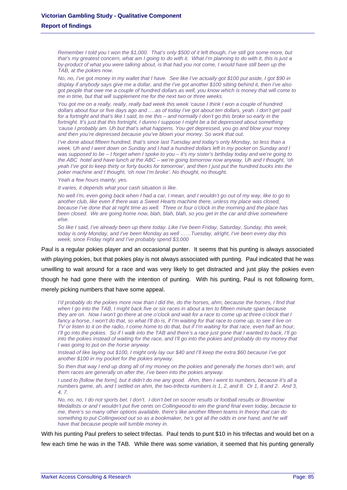*Remember I told you I won the \$1,000. That's only \$500 of it left though, I've still got some more, but that's my greatest concern, what am I going to do with it. What I'm planning to do with it, this is just a by-product of what you were talking about, is that had you not come, I would have still been up the TAB, at the pokies now.* 

*No, no, I've got money in my wallet that I have. See like I've actually got \$100 put aside, I got \$90 in display if anybody says give me a dollar, and the I've got another \$100 sitting behind it, then I've also got people that owe me a couple of hundred dollars as well, you know which is money that will come to me in time, but that will supplement me for the next two or three weeks.* 

*You got me on a really, really, really bad week this week 'cause I think I won a couple of hundred dollars about four or five days ago and ….as of today I've got about ten dollars, yeah. I don't get paid for a fortnight and that's like I said, to me this – and normally I don't go this broke so early in the fortnight. It's just that this fortnight, I dunno I suppose I might be a bit depressed about something 'cause I probably am. Uh but that's what happens. You get depressed, you go and blow your money and then you're depressed because you've blown your money. So work that out.* 

*I've done about fifteen hundred, that's since last Tuesday and today's only Monday, so less than a week. Uh and I went down on Sunday and I had a hundred dollars left in my pocket on Sunday and I was supposed to be – I forget when I spoke to you – it's my sister's birthday today and we're going to the ABC hotel and have lunch at the ABC – we're going tomorrow now anyway. Uh and I thought, 'oh yeah I've got to keep thirty or forty bucks for tomorrow', and then I just put the hundred bucks into the*  poker machine and I thought, 'oh now I'm broke'. No thought, no thought.

#### *Yeah a few hours mainly, yes.*

*It varies, it depends what your cash situation is like.* 

*No well I'm, even going back when I had a car, I mean, and I wouldn't go out of my way, like to go to another club, like even if there was a Sweet Hearts machine there, unless my place was closed, because I've done that at night time as well. Three or four o'clock in the morning and the place has been closed. We are going home now, blah, blah, blah, so you get in the car and drive somewhere else.* 

*So like I said, I've already been up there today. Like I've been Friday, Saturday, Sunday, this week, today is only Monday, and I've been Monday as well ……Tuesday, alright, I've been every day this week, since Friday night and I've probably spend \$3,000* 

Paul is a regular pokies player and an occasional punter. It seems that his punting is always associated with playing pokies, but that pokies play is not always associated with punting. Paul indicated that he was unwilling to wait around for a race and was very likely to get distracted and just play the pokies even though he had gone there with the intention of punting. With his punting, Paul is not following form, merely picking numbers that have some appeal.

*I'd probably do the pokies more now than I did the, do the horses, ahm, because the horses, I find that when I go into the TAB, I might back five or six races in about a ten to fifteen minute span because they are on. Now I won't go there at one o'clock and wait for a race to come up at three o'clock that I*  fancy a horse, I won't do that, so what I'll do is, if I'm waiting for that race to come up, to see it live on *TV or listen to it on the radio, I come home to do that, but if I'm waiting for that race, even half an hour, I'll go into the pokies. So if I walk into the TAB and there's a race just gone that I wanted to back, I'll go into the pokies instead of waiting for the race, and I'll go into the pokies and probably do my money that I was going to put on the horse anyway.* 

*Instead of like laying out \$100, I might only lay our \$40 and I'll keep the extra \$60 because I've got another \$100 in my pocket for the pokies anyway.* 

*So then that way I end up doing all of my money on the pokies and generally the horses don't win, and them races are generally on after the, I've been into the pokies anyway.* 

*I used to [follow the form], but it didn't do me any good. Ahm, then I went to numbers, because it's all a numbers game, ah, and I settled on ahm, the two-trifecta numbers is 1, 2, and 8. Or 1, 8 and 2. And 3, 4, 7.* 

*No, no, no, I do not sports bet. I don't. I don't bet on soccer results or football results or Brownlow Medallists or and I wouldn't put five cents on Collingwood to win the grand final even today, because to me, there's so many other options available, there's like another fifteen teams in theory that can do something to put Collingwood out so as a bookmaker, he's got all the odds in one hand, and he will have that because people will tumble money in.* 

With his punting Paul prefers to select trifectas. Paul tends to punt \$10 in his trifectas and would bet on a few each time he was in the TAB. While there was some variation, it seemed that his punting generally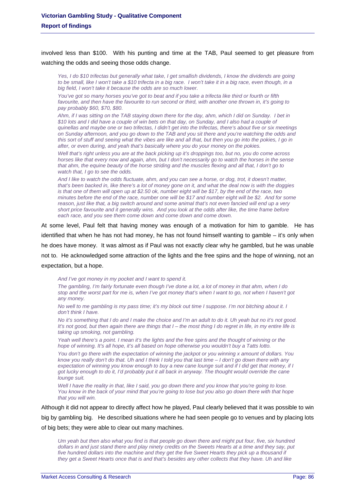involved less than \$100. With his punting and time at the TAB, Paul seemed to get pleasure from watching the odds and seeing those odds change.

*Yes, I do \$10 trifectas but generally what take, I get smallish dividends, I know the dividends are going to be small, like I won't take a \$10 trifecta in a big race. I won't take it in a big race, even though, in a big field, I won't take it because the odds are so much lower.* 

*You've got so many horses you've got to beat and if you take a trifecta like third or fourth or fifth favourite, and then have the favourite to run second or third, with another one thrown in, it's going to pay probably \$60, \$70, \$80.* 

*Ahm, if I was sitting on the TAB staying down there for the day, ahm, which I did on Sunday. I bet in \$10 lots and I did have a couple of win bets on that day, on Sunday, and I also had a couple of quinellas and maybe one or two trifectas, I didn't get into the trifectas, there's about five or six meetings on Sunday afternoon, and you go down to the TAB and you sit there and you're watching the odds and this sort of stuff and seeing what the vibes are like and all that, but then you go into the pokies, I go in after, or even during, and yeah that's basically where you do your money on the pokies.* 

*Well that's right unless you are at the back picking up it's droppings too, but no, you do come across horses like that every now and again, ahm, but I don't necessarily go to watch the horses in the sense that ahm, the equine beauty of the horse striding and the muscles flexing and all that, I don't go to watch that, I go to see the odds.* 

*And I like to watch the odds fluctuate, ahm, and you can see a horse, or dog, trot, it doesn't matter, that's been backed in, like there's a lot of money gone on it, and what the deal now is with the doggies is that one of them will open up at \$2.50 ok, number eight will be \$17, by the end of the race, two minutes before the end of the race, number one will be \$17 and number eight will be \$2. And for some reason, just like that, a big switch around and some animal that's not even fancied will end up a very short price favourite and it generally wins. And you look at the odds after like, the time frame before each race, and you see them come down and come down and come down.* 

At some level, Paul felt that having money was enough of a motivation for him to gamble. He has identified that when he has not had money, he has not found himself wanting to gamble – it's only when he does have money. It was almost as if Paul was not exactly clear why he gambled, but he was unable not to. He acknowledged some attraction of the lights and the free spins and the hope of winning, not an expectation, but a hope.

*And I've got money in my pocket and I want to spend it.* 

*The gambling, I'm fairly fortunate even though I've done a lot, a lot of money in that ahm, when I do stop and the worst part for me is, when I've got money that's when I want to go, not when I haven't got any money.* 

*No well to me gambling is my pass time; it's my block out time I suppose. I'm not bitching about it. I don't think I have.* 

*No it's something that I do and I make the choice and I'm an adult to do it. Uh yeah but no it's not good. It's not good, but then again there are things that I – the most thing I do regret in life, in my entire life is taking up smoking, not gambling.* 

Yeah well there's a point. I mean it's the lights and the free spins and the thought of winning or the *hope of winning. It's all hope, it's all based on hope otherwise you wouldn't buy a Tatts lotto.* 

*You don't go there with the expectation of winning the jackpot or you winning x amount of dollars. You know you really don't do that. Uh and I think I told you that last time – I don't go down there with any expectation of winning you know enough to buy a new cane lounge suit and if I did get that money, if I got lucky enough to do it, I'd probably put it all back in anyway. The thought would override the cane lounge suit.* 

*Well I have the reality in that, like I said, you go down there and you know that you're going to lose. You know in the back of your mind that you're going to lose but you also go down there with that hope that you will win.* 

Although it did not appear to directly affect how he played, Paul clearly believed that it was possible to win big by gambling big. He described situations where he had seen people go to venues and by placing lots of big bets; they were able to clear out many machines.

*Um yeah but then also what you find is that people go down there and might put four, five, six hundred dollars in and just stand there and play ninety credits on the Sweets Hearts at a time and they say, put five hundred dollars into the machine and they get the five Sweet Hearts they pick up a thousand if they get a Sweet Hearts once that is and that's besides any other collects that they have. Uh and like*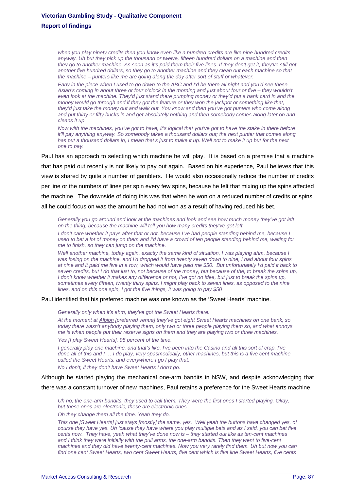*when you play ninety credits then you know even like a hundred credits are like nine hundred credits*  anyway. Uh but they pick up the thousand or twelve, fifteen hundred dollars on a machine and then *they go to another machine. As soon as it's paid them their five lines. If they don't get it, they've still got another five hundred dollars, so they go to another machine and they clean out each machine so that the machine – punters like me are going along the day after sort of stuff or whatever.* 

*Early in the piece when I used to go down to the ABC and I'd be there all night and you'd see these Asian's coming in about three or four o'clock in the morning and just about four or five – they wouldn't even look at the machine. They'd just stand there pumping money or they'd put a bank card in and the money would go through and if they got the feature or they won the jackpot or something like that, they'd just take the money out and walk out. You know and then you've got punters who come along*  and put thirty or fifty bucks in and get absolutely nothing and then somebody comes along later on and *cleans it up.* 

*Now with the machines, you've got to have, it's logical that you've got to have the stake in there before it'll pay anything anyway. So somebody takes a thousand dollars out; the next punter that comes along has put a thousand dollars in, I mean that's just to make it up. Well not to make it up but for the next one to pay.* 

Paul has an approach to selecting which machine he will play. It is based on a premise that a machine that has paid out recently is not likely to pay out again. Based on his experience, Paul believes that this view is shared by quite a number of gamblers. He would also occasionally reduce the number of credits per line or the numbers of lines per spin every few spins, because he felt that mixing up the spins affected the machine. The downside of doing this was that when he won on a reduced number of credits or spins, all he could focus on was the amount he had not won as a result of having reduced his bet.

Generally you go around and look at the machines and look and see how much money they've got left *on the thing, because the machine will tell you how many credits they've got left.* 

*I don't care whether it pays after that or not, because I've had people standing behind me, because I used to bet a lot of money on them and I'd have a crowd of ten people standing behind me, waiting for me to finish, so they can jump on the machine.* 

*Well another machine, today again, exactly the same kind of situation, I was playing ahm, because I was losing on the machine, and I'd dropped it from twenty seven down to nine, I had about four spins at nine and it paid me five in a row, which would have paid me \$50. But unfortunately I'd paid it back to seven credits, but I do that just to, not because of the money, but because of the, to break the spins up, I don't know whether it makes any difference or not, I've got no idea, but just to break the spins up,*  sometimes every fifteen, twenty thirty spins, I might play back to seven lines, as opposed to the nine *lines, and on this one spin, I got the five things, it was going to pay \$50* 

Paul identified that his preferred machine was one known as the 'Sweet Hearts' machine.

*Generally only when it's ahm, they've got the Sweet Hearts there.* 

*At the moment at Albion [preferred venue] they've got eight Sweet Hearts machines on one bank, so today there wasn't anybody playing them, only two or three people playing them so, and what annoys me is when people put their reserve signs on them and they are playing two or three machines. Yes [I play Sweet Hearts], 95 percent of the time.* 

*I generally play one machine, and that's like, I've been into the Casino and all this sort of crap, I've done all of this and I ….I do play, very spasmodically, other machines, but this is a five cent machine called the Sweet Hearts, and everywhere I go I play that.* 

*No I don't, if they don't have Sweet Hearts I don't go.* 

Although he started playing the mechanical one-arm bandits in NSW, and despite acknowledging that there was a constant turnover of new machines, Paul retains a preference for the Sweet Hearts machine.

*Uh no, the one-arm bandits, they used to call them. They were the first ones I started playing. Okay, but these ones are electronic, these are electronic ones.* 

*Oh they change them all the time. Yeah they do.* 

*This one [Sweet Hearts] just stays [mostly] the same, yes. Well yeah the buttons have changed yes, of course they have yes. Uh 'cause they have where you play multiple bets and as I said, you can bet five cents now. They have, yeah what they've done now is – they started out like as ten-cent machines and I think they were initially with the pull arms, the one-arm bandits. Then they went to five-cent machines and they did have twenty-cent machines. Now you very rarely find them. Uh but now you can find one cent Sweet Hearts, two cent Sweet Hearts, five cent which is five line Sweet Hearts, five cents*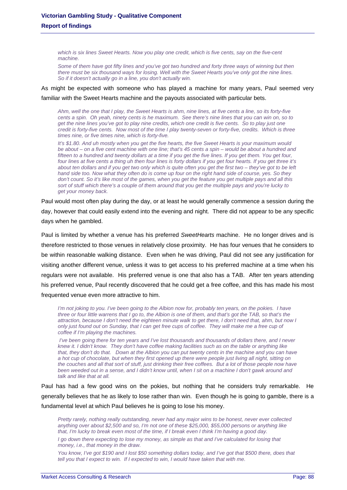*which is six lines Sweet Hearts. Now you play one credit, which is five cents, say on the five-cent machine.* 

*Some of them have got fifty lines and you've got two hundred and forty three ways of winning but then there must be six thousand ways for losing. Well with the Sweet Hearts you've only got the nine lines. So if it doesn't actually go in a line, you don't actually win.* 

As might be expected with someone who has played a machine for many years, Paul seemed very familiar with the Sweet Hearts machine and the payouts associated with particular bets.

*Ahm, well the one that I play, the Sweet Hearts is ahm, nine lines, at five cents a line, so its forty-five cents a spin. Oh yeah, ninety cents is he maximum. See there's nine lines that you can win on, so to get the nine lines you've got to play nine credits, which one credit is five cents. So to play just one credit is forty-five cents. Now most of the time I play twenty-seven or forty-five, credits. Which is three times nine, or five times nine, which is forty-five.* 

*It's \$1.80. And uh mostly when you get the five hearts, the five Sweet Hearts is your maximum would be about – on a five cent machine with one line; that's 45 cents a spin – would be about a hundred and fifteen to a hundred and twenty dollars at a time if you get the five lines. If you get them. You get four, four lines at five cents a thing uh then four lines is forty dollars if you get four hearts. If you get three it's about ten dollars and if you get two only which is quite often you get the first two – they've got to be left hand side too. Now what they often do is come up four on the right hand side of course, yes. So they don't count. So it's like most of the games, when you get the feature you get multiple pays and all this sort of stuff which there's a couple of them around that you get the multiple pays and you're lucky to get your money back.* 

Paul would most often play during the day, or at least he would generally commence a session during the day, however that could easily extend into the evening and night. There did not appear to be any specific days when he gambled.

Paul is limited by whether a venue has his preferred *SweetHearts* machine. He no longer drives and is therefore restricted to those venues in relatively close proximity. He has four venues that he considers to be within reasonable walking distance. Even when he was driving, Paul did not see any justification for visiting another different venue, unless it was to get access to his preferred machine at a time when his regulars were not available. His preferred venue is one that also has a TAB. After ten years attending his preferred venue, Paul recently discovered that he could get a free coffee, and this has made his most frequented venue even more attractive to him.

*I'm not joking to you. I've been going to the Albion now for, probably ten years, on the pokies. I have three or four little warrens that I go to, the Albion is one of them, and that's got the TAB, so that's the attraction, because I don't need the eighteen minute walk to get there, I don't need that, ahm, but now I only just found out on Sunday, that I can get free cups of coffee. They will make me a free cup of coffee if I'm playing the machines.* 

*I've been going there for ten years and I've lost thousands and thousands of dollars there, and I never knew it. I didn't know. They don't have coffee making facilities such as on the table or anything like that, they don't do that. Down at the Albion you can put twenty cents in the machine and you can have a hot cup of chocolate, but when they first opened up there were people just living all night, sitting on the couches and all that sort of stuff, just drinking their free coffees. But a lot of those people now have been weeded out in a sense, and I didn't know until, when I sit on a machine I don't gawk around and talk and like that at all.* 

Paul has had a few good wins on the pokies, but nothing that he considers truly remarkable. He generally believes that he as likely to lose rather than win. Even though he is going to gamble, there is a fundamental level at which Paul believes he is going to lose his money.

*Pretty rarely, nothing really outstanding, never had any major wins to be honest, never ever collected anything over about \$2,500 and so, I'm not one of these \$25,000, \$55,000 persons or anything like that, I'm lucky to break even most of the time, if I break even I think I'm having a good day.* 

*I go down there expecting to lose my money, as simple as that and I've calculated for losing that money, i.e., that money in the draw.* 

*You know, I've got \$190 and I lost \$50 something dollars today, and I've got that \$500 there, does that tell you that I expect to win. If I expected to win, I would have taken that with me.*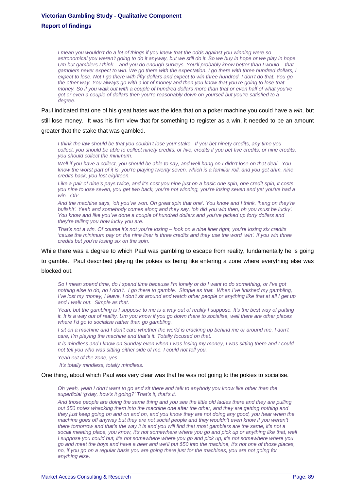*I mean you wouldn't do a lot of things if you knew that the odds against you winning were so astronomical you weren't going to do it anyway, but we still do it. So we buy in hope or we play in hope. Um but gamblers I think – and you do enough surveys. You'll probably know better than I would – that gamblers never expect to win. We go there with the expectation. I go there with three hundred dollars, I expect to lose. Not I go there with fifty dollars and expect to win three hundred. I don't do that. You go the other way. You always go with a lot of money and then you know that you're going to lose that money. So if you walk out with a couple of hundred dollars more than that or even half of what you've got or even a couple of dollars then you're reasonably down on yourself but you're satisfied to a degree.* 

Paul indicated that one of his great hates was the idea that on a poker machine you could have a *win,* but still lose money. It was his firm view that for something to register as a win, it needed to be an amount greater that the stake that was gambled.

*I think the law should be that you couldn't lose your stake. If you bet ninety credits, any time you collect, you should be able to collect ninety credits, or five, credits if you bet five credits, or nine credits, you should collect the minimum.* 

*Well if you have a collect, you should be able to say, and well hang on I didn't lose on that deal. You know the worst part of it is, you're playing twenty seven, which is a familiar roll, and you get ahm, nine credits back, you lost eighteen.* 

*Like a pair of nine's pays twice, and it's cost you nine just on a basic one spin, one credit spin, it costs you nine to lose seven, you get two back, you're not winning, you're losing seven and yet you've had a win. Oh!* 

*And the machine says, 'oh you've won. Oh great spin that one'. You know and I think, 'hang on they're bullshit'. Yeah and somebody comes along and they say, 'oh did you win then, oh you must be lucky'. You know and like you've done a couple of hundred dollars and you've picked up forty dollars and they're telling you how lucky you are.* 

*That's not a win. Of course it's not you're losing – look on a nine liner right, you're losing six credits 'cause the minimum pay on the nine liner is three credits and they use the word 'win'. If you win three credits but you're losing six on the spin.* 

While there was a degree to which Paul was gambling to escape from reality, fundamentally he is going to gamble. Paul described playing the pokies as being like entering a zone where everything else was blocked out.

*So I mean spend time, do I spend time because I'm lonely or do I want to do something, or I've got nothing else to do, no I don't. I go there to gamble. Simple as that. When I've finished my gambling, I've lost my money, I leave, I don't sit around and watch other people or anything like that at all I get up and I walk out. Simple as that.* 

*Yeah, but the gambling is I suppose to me is a way out of reality I suppose. It's the best way of putting it. It is a way out of reality. Um you know if you go down there to socialise, well there are other places where I'd go to socialise rather than go gambling.* 

*I* sit on a machine and *I* don't care whether the world is cracking up behind me or around me, I don't *care, I'm playing the machine and that's it. Totally focused on that.* 

*It is mindless and I know on Sunday even when I was losing my money, I was sitting there and I could not tell you who was sitting either side of me. I could not tell you.* 

*Yeah out of the zone, yes.* 

 *It's totally mindless, totally mindless.* 

#### One thing, about which Paul was very clear was that he was not going to the pokies to socialise.

*Oh yeah, yeah I don't want to go and sit there and talk to anybody you know like other than the superficial 'g'day, how's it going?' That's it, that's it.* 

*And those people are doing the same thing and you see the little old ladies there and they are pulling out \$50 notes whacking them into the machine one after the other, and they are getting nothing and they just keep going on and on and on, and you know they are not doing any good, you hear when the machine goes off anyway but they are not social people and they wouldn't even know if you weren't there tomorrow and that's the way it is and you will find that most gamblers are the same, it's not a*  social meeting place, you know, it's not somewhere where you go and pick up or anything like that, well *I suppose you could but, it's not somewhere where you go and pick up, it's not somewhere where you go and meet the boys and have a beer and we'll put \$50 into the machine, it's not one of those places, no, if you go on a regular basis you are going there just for the machines, you are not going for anything else.*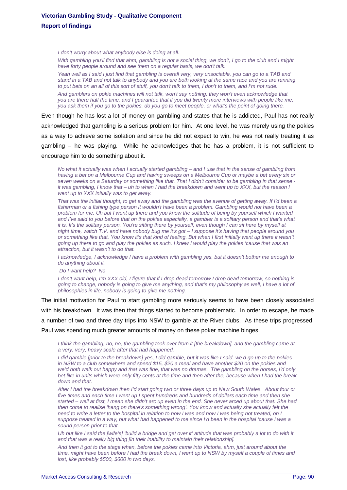*I don't worry about what anybody else is doing at all.* 

*With gambling you'll find that ahm, gambling is not a social thing, we don't, I go to the club and I might have forty people around and see them on a regular basis, we don't talk.* 

*Yeah well as I said I just find that gambling is overall very, very unsociable, you can go to a TAB and stand in a TAB and not talk to anybody and you are both looking at the same race and you are running to put bets on an all of this sort of stuff, you don't talk to them, I don't to them, and I'm not rude.* 

*And gamblers on pokie machines will not talk, won't say nothing, they won't even acknowledge that you are there half the time, and I guarantee that if you did twenty more interviews with people like me, you ask them if you go to the pokies, do you go to meet people, or what's the point of going there.* 

Even though he has lost a lot of money on gambling and states that he is addicted, Paul has not really acknowledged that gambling is a serious problem for him. At one level, he was merely using the pokies as a way to achieve some isolation and since he did not expect to win, he was not really treating it as gambling – he was playing. While he acknowledges that he has a problem, it is not sufficient to encourage him to do something about it.

*No what it actually was when I actually started gambling – and I use that in the sense of gambling from having a bet on a Melbourne Cup and having sweeps on a Melbourne Cup or maybe a bet every six or seven weeks on a Saturday or something like that. That I didn't consider to be gambling in that sense it was gambling, I know that – uh to when I had the breakdown and went up to XXX, but the reason I went up to XXX initially was to get away.* 

*That was the initial thought, to get away and the gambling was the avenue of getting away. If I'd been a fisherman or a fishing type person it wouldn't have been a problem. Gambling would not have been a problem for me. Uh but I went up there and you know the solitude of being by yourself which I wanted and I've said to you before that on the pokies especially, a gambler is a solitary person and that's what it is. It's the solitary person. You're sitting there by yourself, even though I can sit here by myself at night time, watch T.V. and have nobody bug me it's got – I suppose it's having that people around you*  or something like that. You know it's that kind of feeling. But when I first initially went up there it wasn't *going up there to go and play the pokies as such. I knew I would play the pokies 'cause that was an attraction, but it wasn't to do that.* 

*I acknowledge, I acknowledge I have a problem with gambling yes, but it doesn't bother me enough to do anything about it.* 

 *Do I want help? No* 

*I don't want help, I'm XXX old, I figure that if I drop dead tomorrow I drop dead tomorrow, so nothing is going to change, nobody is going to give me anything, and that's my philosophy as well, I have a lot of philosophies in life, nobody is going to give me nothing.* 

The initial motivation for Paul to start gambling more seriously seems to have been closely associated with his breakdown. It was then that things started to become problematic. In order to escape, he made a number of two and three day trips into NSW to gamble at the River clubs. As these trips progressed, Paul was spending much greater amounts of money on these poker machine binges.

*I think the gambling, no, no, the gambling took over from it [the breakdown], and the gambling came at a very, very, heavy scale after that had happened.* 

*I did gamble [prior to the breakdown] yes, I did gamble, but it was like I said, we'd go up to the pokies in NSW to a club somewhere and spend \$15, \$20 a meal and have another \$20 on the pokies and we'd both walk out happy and that was fine, that was no dramas. The gambling on the horses, I'd only bet like in units which were only fifty cents at the time and then after the, because when I had the break down and that.* 

*After I had the breakdown then I'd start going two or three days up to New South Wales. About four or five times and each time I went up I spent hundreds and hundreds of dollars each time and then she started – well at first, I mean she didn't arc up even in the end. She never arced up about that. She had then come to realise 'hang on there's something wrong'. You know and actually she actually felt the need to write a letter to the hospital in relation to how I was and how I was being not treated, oh I suppose treated in a way, but what had happened to me since I'd been in the hospital 'cause I was a sound person prior to that.* 

*Uh but like I said the [wife's] 'build a bridge and get over it' attitude that was probably a lot to do with it and that was a really big thing [in their inability to maintain their relationship].* 

*And then it got to the stage when, before the pokies came into Victoria, ahm, just around about the time, might have been before I had the break down, I went up to NSW by myself a couple of times and lost, like probably \$500, \$600 in two days.*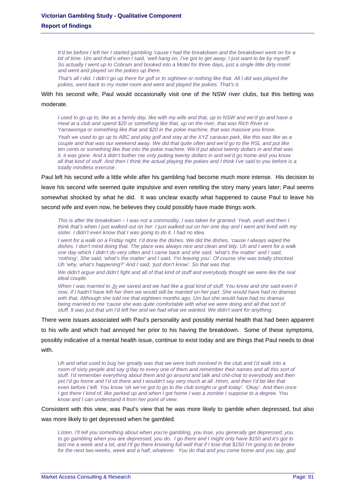*It'd be before I left her I started gambling 'cause I had the breakdown and the breakdown went on for a bit of time. Um and that's when I said, 'well hang on, I've got to get away. I just want to be by myself'. So actually I went up to Cobram and booked into a Motel for three days, just a single little dirty motel and went and played on the pokies up there.* 

*That's all I did. I didn't go up there for golf or to sightsee or nothing like that. All I did was played the* pokies, went back to my motel room and went and played the pokies. That's it.

### With his second wife, Paul would occasionally visit one of the NSW river clubs, but this betting was moderate.

*I* used to go up to, like as a family day, like with my wife and that, up to NSW and we'd go and have a *meal at a club and spend \$20 or something like that, up on the river, that was Rich River or Yarrawonga or something like that and \$20 in the pokie machine, that was massive you know.* 

*Yeah we used to go up to ABC and play golf and stay at the XYZ caravan park, like this was like as a couple and that was our weekend away. We did that quite often and we'd go to the RSL and put like ten cents or something like that into the pokie machine. We'd put about twenty dollars in and that was it, it was gone. And it didn't bother me only putting twenty dollars in and we'd go home and you know all that kind of stuff. And then I think the actual playing the pokies and I think I've said to you before is a totally mindless exercise.* 

Paul left his second wife a little while after his gambling had become much more intense. His decision to leave his second wife seemed quite impulsive and even retelling the story many years later; Paul seems somewhat shocked by what he did. It was unclear exactly what happened to cause Paul to leave his second wife and even now, he believes they could possibly have made things work.

*This is after the breakdown – I was not a commodity, I was taken for granted. Yeah, yeah and then I think that's when I just walked out on her. I just walked out on her one day and I went and lived with my sister. I didn't even know that I was going to do it. I had no idea.* 

*I went for a walk on a Friday night. I'd done the dishes. We did the dishes, 'cause I always wiped the dishes. I don't mind doing that. The place was always nice and clean and tidy. Uh and I went for a walk one day which I didn't do very often and I came back and she said, 'what's the matter' and I said, 'nothing'. She said, 'what's the matter' and I said, 'I'm leaving you'. Of course she was totally shocked. Uh 'why, what's happening?' And I said, 'just don't know'. So that was that.* 

We didn't argue and didn't fight and all of that kind of stuff and everybody thought we were like the real *ideal couple.* 

*When I was married to Jo we saved and we had like a goal kind of stuff. You know and she said even if now, if I hadn't have left her then we would still be married on her part. She would have had no dramas with that. Although she told me that eighteen months ago. Um but she would have had no dramas*  being married to me 'cause she was quite comfortable with what we were doing and all that sort of *stuff. It was just that um I'd left her and we had what we wanted. We didn't want for anything.* 

There were issues associated with Paul's personality and possibly mental health that had been apparent to his wife and which had annoyed her prior to his having the breakdown. Some of these symptoms, possibly indicative of a mental health issue, continue to exist today and are things that Paul needs to deal with.

*Uh and what used to bug her greatly was that we were both involved in the club and I'd walk into a room of sixty people and say g'day to every one of them and remember their names and all this sort of stuff. I'd remember everything about them and go around and talk and chit-chat to everybody and then yet I'd go home and I'd sit there and I wouldn't say very much at all. Hmm, and then I'd be like that even before I left. You know 'oh we've got to go to the club tonight or golf today'. 'Okay'. And then once I got there I kind of, like perked up and when I got home I was a zombie I suppose to a degree. You know and I can understand it from her point of view.* 

Consistent with this view, was Paul's view that he was more likely to gamble when depressed, but also was more likely to get depressed when he gambled.

*Listen, I'll tell you something about when you're gambling, you lose, you generally get depressed, you to go gambling when you are depressed, you do. I go there and I might only have \$150 and it's got to last me a week and a bit, and I'll go there knowing full well that if I lose that \$150 I'm going to be broke for the next two weeks, week and a half, whatever. You do that and you come home and you say, god*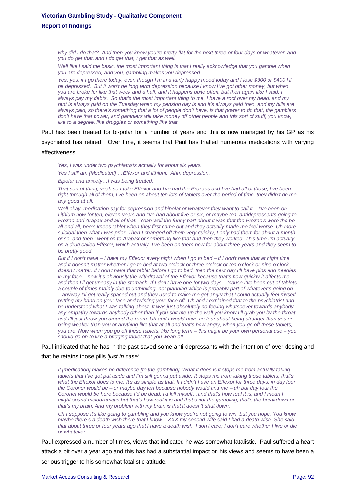*why did I do that? And then you know you're pretty flat for the next three or four days or whatever, and you do get that, and I do get that, I get that as well.* 

*Well like I said the basic, the most important thing is that I really acknowledge that you gamble when you are depressed, and you, gambling makes you depressed.* 

*Yes, yes, if I go there today, even though I'm in a fairly happy mood today and I lose \$300 or \$400 I'll be depressed. But it won't be long term depression because I know I've got other money, but when you are broke for like that week and a half, and it happens quite often, but then again like I said, I always pay my debts. So that's the most important thing to me, I have a roof over my head, and my rent is always paid on the Tuesday when my pension day is and it's always paid then, and my bills are always paid, so there's something that a lot of people don't have, is that power to do that, the gamblers don't have that power, and gamblers will take money off other people and this sort of stuff, you know, like to a degree, like druggies or something like that.* 

Paul has been treated for bi-polar for a number of years and this is now managed by his GP as his psychiatrist has retired. Over time, it seems that Paul has trialled numerous medications with varying effectiveness.

*Yes, I was under two psychiatrists actually for about six years.* 

*Yes I still am [Medicated] …Effexor and lithium. Ahm depression,* 

*Bipolar and anxiety…I was being treated.* 

*That sort of thing, yeah so I take Effexor and I've had the Prozacs and I've had all of those, I've been right through all of them, I've been on about ten lots of tablets over the period of time, they didn't do me any good at all.* 

*Well okay, medication say for depression and bipolar or whatever they want to call it – I've been on Lithium now for ten, eleven years and I've had about five or six, or maybe ten, antidepressants going to Prozac and Arapax and all of that. Yeah well the funny part about it was that the Prozac's were the be all end all, bee's knees tablet when they first came out and they actually made me feel worse. Uh more suicidal then what I was prior. Then I changed off them very quickly, I only had them for about a month or so, and then I went on to Arapax or something like that and then they worked. This time I'm actually on a drug called Effexor, which actually, I've been on them now for about three years and they seem to be pretty good.* 

*But if I don't have – I have my Effexor every night when I go to bed – if I don't have that at night time and it doesn't matter whether I go to bed at two o'clock or three o'clock or ten o'clock or nine o'clock doesn't matter. If I don't have that tablet before I go to bed, then the next day I'll have pins and needles in my face – now it's obviously the withdrawal of the Effexor because that's how quickly it affects me and then I'll get uneasy in the stomach. If I don't have one for two days – 'cause I've been out of tablets a couple of times mainly due to unthinking, not planning which is probably part of whatever's going on – anyway I'll get really spaced out and they used to make me get angry that I could actually feel myself putting my hand on your face and twisting your face off. Uh and I explained that to the psychiatrist and he understood what I was talking about. It was just absolutely no feeling whatsoever towards anybody,*  any empathy towards anybody other than if you shit me up the wall you know I'll grab you by the throat *and I'll just throw you around the room. Uh and I would have no fear about being stronger than you or being weaker than you or anything like that at all and that's how angry, when you go off these tablets, you are. Now when you go off these tablets, like long term – this might be your own personal use – you should go on to like a bridging tablet that you wean off.* 

Paul indicated that he has in the past saved some anti-depressants with the intention of over-dosing and

that he retains those pills *'just in case'.*

*It [medication] makes no difference [to the gambling]. What it does is it stops me from actually taking tablets that I've got put aside and I'm still gonna put aside. It stops me from taking those tablets, that's what the Effexor does to me. It's as simple as that. If I didn't have an Effexor for three days, in day four the Coroner would be – or maybe day ten because nobody would find me – uh but day four the Coroner would be here because I'd be dead, I'd kill myself…and that's how real it is, and I mean I might sound melodramatic but that's how real it is and that's not the gambling, that's the breakdown or that's my brain. And my problem with my brain is that it doesn't shut down.* 

*Uh I suppose it's like going to gambling and you know you're not going to win, but you hope. You know maybe there's a death wish there that I know – XXX my second wife said I had a death wish. She said that about three or four years ago that I have a death wish. I don't care; I don't care whether I live or die or whatever.* 

Paul expressed a number of times, views that indicated he was somewhat fatalistic. Paul suffered a heart attack a bit over a year ago and this has had a substantial impact on his views and seems to have been a serious trigger to his somewhat fatalistic attitude.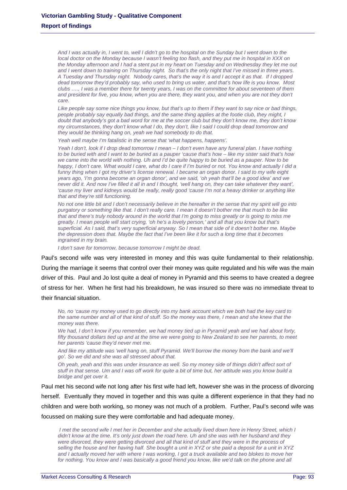*And I was actually in, I went to, well I didn't go to the hospital on the Sunday but I went down to the local doctor on the Monday because I wasn't feeling too flash, and they put me in hospital in XXX on the Monday afternoon and I had a stent put in my heart on Tuesday and on Wednesday they let me out and I went down to training on Thursday night. So that's the only night that I've missed in three years. A Tuesday and Thursday night. Nobody cares, that's the way it is and I accept it as that. If I dropped dead tomorrow they'd probably say, who used to bring us water, and that's how life is you know. Most clubs …., I was a member there for twenty years, I was on the committee for about seventeen of them*  and president for five, you know, when you are there, they want you, and when you are not they don't *care.* 

*Like people say some nice things you know, but that's up to them if they want to say nice or bad things, people probably say equally bad things, and the same thing applies at the footie club, they might, I doubt that anybody's got a bad word for me at the soccer club but they don't know me, they don't know my circumstances, they don't know what I do, they don't, like I said I could drop dead tomorrow and they would be thinking hang on, yeah we had somebody to do that.* 

*Yeah well maybe I'm fatalistic in the sense that 'what happens, happens'.* 

*Yeah I don't, look if I drop dead tomorrow I mean – I don't even have any funeral plan. I have nothing to be buried with and I want to be buried as a pauper 'cause that's how – like my sister said that's how*  we came into the world with nothing. Uh and I'd be quite happy to be buried as a pauper. Now to be *happy, I don't care. What would I care, what do I care if I'm buried or not. You know and actually I did a funny thing when I got my driver's license renewal. I became an organ donor. I said to my wife eight years ago, 'I'm gonna become an organ donor', and we said, 'oh yeah that'll be a good idea' and we never did it. And now I've filled it all in and I thought, 'well hang on, they can take whatever they want', 'cause my liver and kidneys would be really, really good 'cause I'm not a heavy drinker or anything like that and they're still functioning.* 

*No not one little bit and I don't necessarily believe in the hereafter in the sense that my spirit will go into purgatory or something like that. I don't really care. I mean it doesn't bother me that much to be like that and there's truly nobody around in the world that I'm going to miss greatly or is going to miss me greatly. I mean people will start crying, 'oh he's a lovely person,' and all that you know but that's superficial. As I said, that's very superficial anyway. So I mean that side of it doesn't bother me. Maybe the depression does that. Maybe the fact that I've been like it for such a long time that it becomes ingrained in my brain.* 

*I don't save for tomorrow, because tomorrow I might be dead.* 

Paul's second wife was very interested in money and this was quite fundamental to their relationship. During the marriage it seems that control over their money was quite regulated and his wife was the main driver of this. Paul and Jo lost quite a deal of money in Pyramid and this seems to have created a degree of stress for her. When he first had his breakdown, he was insured so there was no immediate threat to their financial situation.

*No, no 'cause my money used to go directly into my bank account which we both had the key card to the same number and all of that kind of stuff. So the money was there, I mean and she knew that the money was there.* 

*We had, I don't know if you remember, we had money tied up in Pyramid yeah and we had about forty, fifty thousand dollars tied up and at the time we were going to New Zealand to see her parents, to meet her parents 'cause they'd never met me.* 

*And like my attitude was 'well hang on, stuff Pyramid. We'll borrow the money from the bank and we'll go'. So we did and she was all stressed about that.* 

*Oh yeah, yeah and this was under insurance as well. So my money side of things didn't affect sort of stuff in that sense. Um and I was off work for quite a bit of time but, her attitude was you know build a bridge and get over it.* 

Paul met his second wife not long after his first wife had left, however she was in the process of divorcing herself. Eventually they moved in together and this was quite a different experience in that they had no children and were both working, so money was not much of a problem. Further, Paul's second wife was focussed on making sure they were comfortable and had adequate money.

 *I met the second wife I met her in December and she actually lived down here in Henry Street, which I didn't know at the time. It's only just down the road here. Uh and she was with her husband and they were divorced, they were getting divorced and all that kind of stuff and they were in the process of selling the house and her having half. She bought a unit in XYZ or she paid a deposit for a unit in XYZ and I actually moved her with where I was working, I got a truck available and two blokes to move her*  for nothing. You know and I was basically a good friend you know, like we'd talk on the phone and all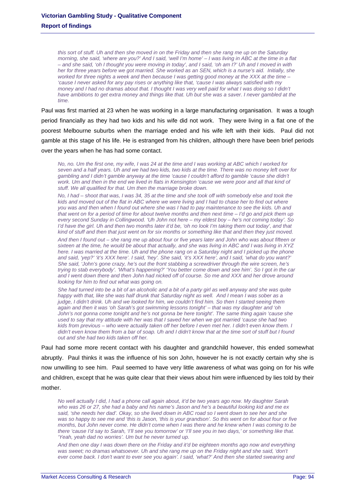*this sort of stuff. Uh and then she moved in on the Friday and then she rang me up on the Saturday morning, she said, 'where are you?' And I said, 'well I'm home' – I was living in ABC at the time in a flat – and she said, 'oh I thought you were moving in today', and I said, 'oh am I?' Uh and I moved in with her for three years before we got married. She worked as an SEN, which is a nurse's aid. Initially, she worked for three nights a week and then because I was getting good money at the XXX at the time – 'cause I never asked for any pay rises or anything like that, 'cause I was always satisfied with my money and I had no dramas about that. I thought I was very well paid for what I was doing so I didn't have ambitions to get extra money and things like that. Uh but she was a saver. I never gambled at the time.* 

Paul was first married at 23 when he was working in a large manufacturing organisation. It was a tough period financially as they had two kids and his wife did not work. They were living in a flat one of the poorest Melbourne suburbs when the marriage ended and his wife left with their kids. Paul did not gamble at this stage of his life. He is estranged from his children, although there have been brief periods over the years when he has had some contact.

*No, no. Um the first one, my wife, I was 24 at the time and I was working at ABC which I worked for seven and a half years. Uh and we had two kids, two kids at the time. There was no money left over for gambling and I didn't gamble anyway at the time 'cause I couldn't afford to gamble 'cause she didn't*  work. Um and then in the end we lived in flats in Kensington 'cause we were poor and all that kind of *stuff. We all qualified for that. Um then the marriage broke down.* 

*No, I had – shoot that was, I was 34, 35 at the time and she took off with somebody else and took the kids and moved out of the flat in ABC where we were living and I had to chase her to find out where you was and then when I found out where she was I had to pay maintenance to see the kids. Uh and that went on for a period of time for about twelve months and then next time – I'd go and pick them up every second Sunday in Collingwood. 'Uh John not here – my eldest boy – he's not coming today'. So I'd have the girl. Uh and then two months later it'd be, 'oh no look I'm taking them out today', and that kind of stuff and then that just went on for six months or something like that and then they just moved.* 

*And then I found out – she rang me up about four or five years later and John who was about fifteen or sixteen at the time, he would be about that actually, and she was living in ABC and I was living in XYZ here. I was married at the time. Uh and the phone rang on a Saturday night and I picked up the phone and said, 'yep?' 'it's XXX here'. I said, 'hey'. She said, 'it's XXX here', and I said, 'what do you want?' She said, 'John's gone crazy, he's out the front stabbing a screwdriver through the wire screen, he's trying to stab everybody'. 'What's happening?' 'You better come down and see him'. So I got in the car and I went down there and then John had nicked off of course. So me and XXX and her drove around looking for him to find out what was going on.* 

*She had turned into be a bit of an alcoholic and a bit of a party girl as well anyway and she was quite*  happy with that, like she was half drunk that Saturday night as well. And I mean I was sober as a *judge, I didn't drink. Uh and we looked for him, we couldn't find him. So then I started seeing them again and then it was 'oh Sarah's got swimming lessons tonight' – that was my daughter and 'oh John's not gonna come tonight and he's not gonna be here tonight'. The same thing again 'cause she used to say that my attitude with her was that I saved her when we got married 'cause she had two kids from previous – who were actually taken off her before I even met her. I didn't even know them. I didn't even know them from a bar of soap. Uh and I didn't know that at the time sort of stuff but I found out and she had two kids taken off her.* 

Paul had some more recent contact with his daughter and grandchild however, this ended somewhat abruptly. Paul thinks it was the influence of his son John, however he is not exactly certain why she is now unwilling to see him. Paul seemed to have very little awareness of what was going on for his wife and children, except that he was quite clear that their views about him were influenced by lies told by their mother.

*No well actually I did, I had a phone call again about, it'd be two years ago now. My daughter Sarah who was 26 or 27, she had a baby and his name's Jason and he's a beautiful looking kid and me ex said, 'she needs her dad'. Okay, so she lived down in ABC road so I went down to see her and she was so happy to see me and 'this is Jason, 'this is your grandson'. So this went on for about four or five months, but John never come. He didn't come when I was there and he knew when I was coming to be there 'cause I'd say to Sarah, 'I'll see you tomorrow' or 'I'll see you in two days,' or something like that. 'Yeah, yeah dad no worries'. Um but he never turned up.* 

*And then one day I was down there on the Friday and it'd be eighteen months ago now and everything*  was sweet; no dramas whatsoever. Uh and she rang me up on the Friday night and she said, 'don't *ever come back. I don't want to ever see you again'. I said, 'what?' And then she started swearing and*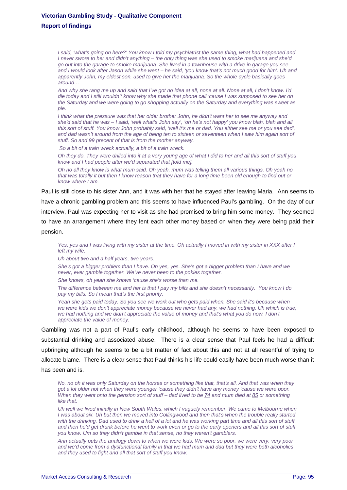*I said, 'what's going on here?' You know I told my psychiatrist the same thing, what had happened and I never swore to her and didn't anything – the only thing was she used to smoke marijuana and she'd go out into the garage to smoke marijuana. She lived in a townhouse with a drive in garage you see and I would look after Jason while she went – he said, 'you know that's not much good for him'. Uh and apparently John, my eldest son, used to give her the marijuana. So the whole cycle basically goes around…* 

*And why she rang me up and said that I've got no idea at all, none at all. None at all, I don't know. I'd die today and I still wouldn't know why she made that phone call 'cause I was supposed to see her on the Saturday and we were going to go shopping actually on the Saturday and everything was sweet as pie.* 

*I think what the pressure was that her older brother John, he didn't want her to see me anyway and she'd said that he was – I said, 'well what's John say', 'oh he's not happy' you know blah, blah and all this sort of stuff. You know John probably said, 'well it's me or dad. You either see me or you see dad',*  and dad wasn't around from the age of being ten to sixteen or seventeen when I saw him again sort of *stuff. So and 99 precent of that is from the mother anyway.* 

 *So a bit of a train wreck actually, a bit of a train wreck.* 

*Oh they do. They were drilled into it at a very young age of what I did to her and all this sort of stuff you know and I had people after we'd separated that [told me].* 

*Oh no all they know is what mum said. Oh yeah, mum was telling them all various things. Oh yeah no that was totally it but then I know reason that they have for a long time been old enough to find out or know where I am.* 

Paul is still close to his sister Ann, and it was with her that he stayed after leaving Maria. Ann seems to have a chronic gambling problem and this seems to have influenced Paul's gambling. On the day of our interview, Paul was expecting her to visit as she had promised to bring him some money. They seemed to have an arrangement where they lent each other money based on when they were being paid their pension.

*Yes, yes and I was living with my sister at the time. Oh actually I moved in with my sister in XXX after I left my wife.* 

*Uh about two and a half years, two years.* 

*She's got a bigger problem than I have. Oh yes, yes. She's got a bigger problem than I have and we never, ever gamble together. We've never been to the pokies together.* 

*She knows, oh yeah she knows 'cause she's worse than me.* 

*The difference between me and her is that I pay my bills and she doesn't necessarily. You know I do pay my bills. So I mean that's the first priority.* 

*Yeah she gets paid today. So you see we work out who gets paid when. She said it's because when we were kids we don't appreciate money because we never had any, we had nothing. Uh which is true, we had nothing and we didn't appreciate the value of money and that's what you do now. I don't appreciate the value of money.* 

Gambling was not a part of Paul's early childhood, although he seems to have been exposed to substantial drinking and associated abuse. There is a clear sense that Paul feels he had a difficult upbringing although he seems to be a bit matter of fact about this and not at all resentful of trying to allocate blame. There is a clear sense that Paul thinks his life could easily have been much worse than it has been and is.

*No, no oh it was only Saturday on the horses or something like that, that's all. And that was when they got a lot older not when they were younger 'cause they didn't have any money 'cause we were poor. When they went onto the pension sort of stuff – dad lived to be 74 and mum died at 85 or something like that.* 

*Uh well we lived initially in New South Wales, which I vaguely remember. We came to Melbourne when I* was about six. Uh but then we moved into Collingwood and then that's when the trouble really started with the drinking. Dad used to drink a hell of a lot and he was working part time and all this sort of stuff and then he'd get drunk before he went to work even or go to the early openers and all this sort of stuff *you know. Um so they didn't gamble in that sense, no they weren't gamblers.* 

*Ann actually puts the analogy down to when we were kids. We were so poor, we were very, very poor and we'd come from a dysfunctional family in that we had mum and dad but they were both alcoholics and they used to fight and all that sort of stuff you know.*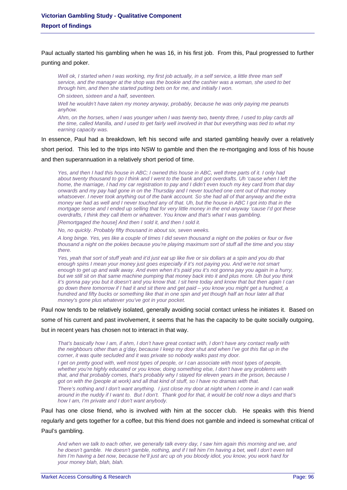Paul actually started his gambling when he was 16, in his first job. From this, Paul progressed to further punting and poker.

*Well ok, I started when I was working, my first job actually, in a self service, a little three man self service, and the manager at the shop was the bookie and the cashier was a woman, she used to bet through him, and then she started putting bets on for me, and initially I won.* 

*Oh sixteen, sixteen and a half, seventeen.* 

*Well he wouldn't have taken my money anyway, probably, because he was only paying me peanuts anyhow.* 

*Ahm, on the horses, when I was younger when I was twenty two, twenty three, I used to play cards all the time, called Manilla, and I used to get fairly well involved in that but everything was tied to what my earning capacity was.* 

In essence, Paul had a breakdown, left his second wife and started gambling heavily over a relatively short period. This led to the trips into NSW to gamble and then the re-mortgaging and loss of his house and then superannuation in a relatively short period of time.

*Yes, and then I had this house in ABC; I owned this house in ABC, well three parts of it. I only had about twenty thousand to go I think and I went to the bank and got overdrafts. Uh 'cause when I left the home, the marriage, I had my car registration to pay and I didn't even touch my key card from that day onwards and my pay had gone in on the Thursday and I never touched one cent out of that money whatsoever. I never took anything out of the bank account. So she had all of that anyway and the extra money we had as well and I never touched any of that. Uh, but the house in ABC I got into that in the mortgage sense and I ended up selling that for very little money in the end anyway 'cause I'd got these overdrafts, I think they call them or whatever. You know and that's what I was gambling.* 

*[Remortgaged the house] And then I sold it, and then I sold it.* 

*No, no quickly. Probably fifty thousand in about six, seven weeks.* 

*A long binge. Yes, yes like a couple of times I did seven thousand a night on the pokies or four or five thousand a night on the pokies because you're playing maximum sort of stuff all the time and you stay there.* 

*Yes, yeah that sort of stuff yeah and it'd just eat up like five or six dollars at a spin and you do that enough spins I mean your money just goes especially if it's not paying you. And we're not smart enough to get up and walk away. And even when it's paid you it's not gonna pay you again in a hurry, but we still sit on that same machine pumping that money back into it and plus more. Uh but you think it's gonna pay you but it doesn't and you know that. I sit here today and know that but then again I can go down there tomorrow if I had it and sit there and get paid – you know you might get a hundred, a hundred and fifty bucks or something like that in one spin and yet though half an hour later all that money's gone plus whatever you've got in your pocket.* 

Paul now tends to be relatively isolated, generally avoiding social contact unless he initiates it. Based on some of his current and past involvement, it seems that he has the capacity to be quite socially outgoing, but in recent years has chosen not to interact in that way.

*That's basically how I am, if ahm, I don't have great contact with, I don't have any contact really with the neighbours other than a g'day, because I keep my door shut and when I've got this flat up in the corner, it was quite secluded and it was private so nobody walks past my door.* 

*I get on pretty good with, well most types of people, or I can associate with most types of people, whether you're highly educated or you know, doing something else, I don't have any problems with that, and that probably comes, that's probably why I stayed for eleven years in the prison, because I got on with the (people at work) and all that kind of stuff, so I have no dramas with that.* 

*There's nothing and I don't want anything. I just close my door at night when I come in and I can walk around in the nuddy if I want to. But I don't. Thank god for that, it would be cold now a days and that's how I am, I'm private and I don't want anybody.* 

Paul has one close friend, who is involved with him at the soccer club. He speaks with this friend regularly and gets together for a coffee, but this friend does not gamble and indeed is somewhat critical of Paul's gambling.

*And when we talk to each other, we generally talk every day, I saw him again this morning and we, and he doesn't gamble. He doesn't gamble, nothing, and if I tell him I'm having a bet, well I don't even tell him I'm having a bet now, because he'll just arc up oh you bloody idiot, you know, you work hard for your money blah, blah, blah.*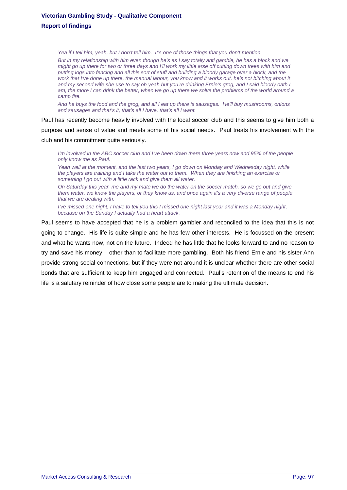*Yea if I tell him, yeah, but I don't tell him. It's one of those things that you don't mention. But in my relationship with him even though he's as I say totally anti gamble, he has a block and we might go up there for two or three days and I'll work my little arse off cutting down trees with him and putting logs into fencing and all this sort of stuff and building a bloody garage over a block, and the work that I've done up there, the manual labour, you know and it works out, he's not bitching about it and my second wife she use to say oh yeah but you're drinking Ernie's grog, and I said bloody oath I am, the more I can drink the better, when we go up there we solve the problems of the world around a camp fire.* 

*And he buys the food and the grog, and all I eat up there is sausages. He'll buy mushrooms, onions and sausages and that's it, that's all I have, that's all I want.* 

Paul has recently become heavily involved with the local soccer club and this seems to give him both a purpose and sense of value and meets some of his social needs. Paul treats his involvement with the club and his commitment quite seriously.

*I'm involved in the ABC soccer club and I've been down there three years now and 95% of the people only know me as Paul.* 

Yeah well at the moment, and the last two years, I go down on Monday and Wednesday night, while *the players are training and I take the water out to them. When they are finishing an exercise or something I go out with a little rack and give them all water.* 

*On Saturday this year, me and my mate we do the water on the soccer match, so we go out and give them water, we know the players, or they know us, and once again it's a very diverse range of people that we are dealing with.* 

*I've missed one night, I have to tell you this I missed one night last year and it was a Monday night, because on the Sunday I actually had a heart attack.* 

Paul seems to have accepted that he is a problem gambler and reconciled to the idea that this is not going to change. His life is quite simple and he has few other interests. He is focussed on the present and what he wants now, not on the future. Indeed he has little that he looks forward to and no reason to try and save his money – other than to facilitate more gambling. Both his friend Ernie and his sister Ann provide strong social connections, but if they were not around it is unclear whether there are other social bonds that are sufficient to keep him engaged and connected. Paul's retention of the means to end his life is a salutary reminder of how close some people are to making the ultimate decision.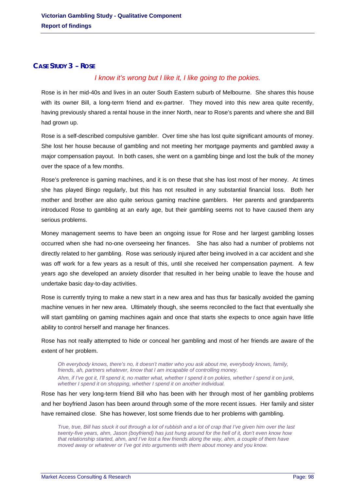# **CASE STUDY 3 – ROSE**

# *I know it's wrong but I like it, I like going to the pokies.*

Rose is in her mid-40s and lives in an outer South Eastern suburb of Melbourne. She shares this house with its owner Bill, a long-term friend and ex-partner. They moved into this new area quite recently, having previously shared a rental house in the inner North, near to Rose's parents and where she and Bill had grown up.

Rose is a self-described compulsive gambler. Over time she has lost quite significant amounts of money. She lost her house because of gambling and not meeting her mortgage payments and gambled away a major compensation payout. In both cases, she went on a gambling binge and lost the bulk of the money over the space of a few months.

Rose's preference is gaming machines, and it is on these that she has lost most of her money. At times she has played Bingo regularly, but this has not resulted in any substantial financial loss. Both her mother and brother are also quite serious gaming machine gamblers. Her parents and grandparents introduced Rose to gambling at an early age, but their gambling seems not to have caused them any serious problems.

Money management seems to have been an ongoing issue for Rose and her largest gambling losses occurred when she had no-one overseeing her finances. She has also had a number of problems not directly related to her gambling. Rose was seriously injured after being involved in a car accident and she was off work for a few years as a result of this, until she received her compensation payment. A few years ago she developed an anxiety disorder that resulted in her being unable to leave the house and undertake basic day-to-day activities.

Rose is currently trying to make a new start in a new area and has thus far basically avoided the gaming machine venues in her new area. Ultimately though, she seems reconciled to the fact that eventually she will start gambling on gaming machines again and once that starts she expects to once again have little ability to control herself and manage her finances.

Rose has not really attempted to hide or conceal her gambling and most of her friends are aware of the extent of her problem.

*Oh everybody knows, there's no, it doesn't matter who you ask about me, everybody knows, family, friends, ah, partners whatever, know that I am incapable of controlling money. Ahm, if I've got it, I'll spend it, no matter what, whether I spend it on pokies, whether I spend it on junk, whether I spend it on shopping, whether I spend it on another individual.* 

Rose has her very long-term friend Bill who has been with her through most of her gambling problems and her boyfriend Jason has been around through some of the more recent issues. Her family and sister have remained close. She has however, lost some friends due to her problems with gambling.

*True, true, Bill has stuck it out through a lot of rubbish and a lot of crap that I've given him over the last twenty-five years, ahm, Jason (boyfriend) has just hung around for the hell of it, don't even know how that relationship started, ahm, and I've lost a few friends along the way, ahm, a couple of them have moved away or whatever or I've got into arguments with them about money and you know.*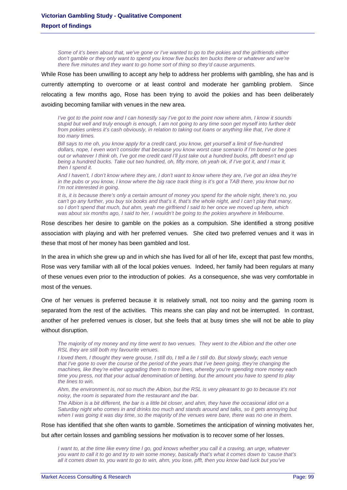*Some of it's been about that, we've gone or I've wanted to go to the pokies and the girlfriends either don't gamble or they only want to spend you know five bucks ten bucks there or whatever and we're there five minutes and they want to go home sort of thing so they'd cause arguments.* 

While Rose has been unwilling to accept any help to address her problems with gambling, she has and is currently attempting to overcome or at least control and moderate her gambling problem. Since relocating a few months ago, Rose has been trying to avoid the pokies and has been deliberately avoiding becoming familiar with venues in the new area.

*I've got to the point now and I can honestly say I've got to the point now where ahm, I know it sounds stupid but well and truly enough is enough, I am not going to any time soon get myself into further debt from pokies unless it's cash obviously, in relation to taking out loans or anything like that, I've done it too many times.* 

*Bill says to me oh, you know apply for a credit card, you know, get yourself a limit of five-hundred dollars, nope, I even won't consider that because you know worst case scenario if I'm bored or he goes out or whatever I think oh, I've got me credit card I'll just take out a hundred bucks, pfft doesn't end up being a hundred bucks. Take out two hundred, oh, fifty more, oh yeah ok, if I've got it, and I max it, then I spend it.* 

*And I haven't, I don't know where they are, I don't want to know where they are, I've got an idea they're in the pubs or you know, I know where the big race track thing is it's got a TAB there, you know but no I'm not interested in going.* 

*It is, it is because there's only a certain amount of money you spend for the whole night, there's no, you can't go any further, you buy six books and that's it, that's the whole night, and I can't play that many, so I don't spend that much, but ahm, yeah me girlfriend I said to her once we moved up here, which was about six months ago, I said to her, I wouldn't be going to the pokies anywhere in Melbourne.* 

Rose describes her desire to gamble on the pokies as a compulsion. She identified a strong positive association with playing and with her preferred venues. She cited two preferred venues and it was in these that most of her money has been gambled and lost.

In the area in which she grew up and in which she has lived for all of her life, except that past few months, Rose was very familiar with all of the local pokies venues. Indeed, her family had been regulars at many of these venues even prior to the introduction of pokies. As a consequence, she was very comfortable in most of the venues.

One of her venues is preferred because it is relatively small, not too noisy and the gaming room is separated from the rest of the activities. This means she can play and not be interrupted. In contrast, another of her preferred venues is closer, but she feels that at busy times she will not be able to play without disruption.

*The majority of my money and my time went to two venues. They went to the Albion and the other one RSL they are still both my favourite venues.* 

*I loved them, I thought they were grouse, I still do, I tell a lie I still do. But slowly slowly, each venue that I've gone to over the course of the period of the years that I've been going, they're changing the machines, like they're either upgrading them to more lines, whereby you're spending more money each time you press, not that your actual denomination of betting, but the amount you have to spend to play the lines to win.* 

*Ahm, the environment is, not so much the Albion, but the RSL is very pleasant to go to because it's not noisy, the room is separated from the restaurant and the bar.* 

*The Albion is a bit different, the bar is a little bit closer, and ahm, they have the occasional idiot on a Saturday night who comes in and drinks too much and stands around and talks, so it gets annoying but when I was going it was day time, so the majority of the venues were bare, there was no one in them.* 

Rose has identified that she often wants to gamble. Sometimes the anticipation of winning motivates her,

but after certain losses and gambling sessions her motivation is to recover some of her losses.

*I want to, at the time like every time I go, god knows whether you call it a craving, an urge, whatever you want to call it to go and try to win some money, basically that's what it comes down to 'cause that's all it comes down to, you want to go to win, ahm, you lose, pfft, then you know bad luck but you've*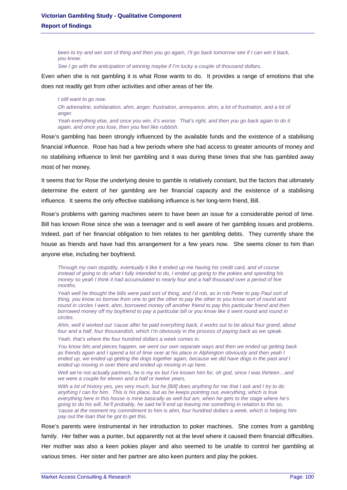*been to try and win sort of thing and then you go again, I'll go back tomorrow see if I can win it back, you know.* 

*See I go with the anticipation of winning maybe if I'm lucky a couple of thousand dollars.* 

Even when she is not gambling it is what Rose wants to do. It provides a range of emotions that she does not readily get from other activities and other areas of her life.

*I still want to go now. Oh adrenaline, exhilaration, ahm, anger, frustration, annoyance, ahm, a lot of frustration, and a lot of anger. Yeah everything else, and once you win, it's worse. That's right, and then you go back again to do it again, and once you lose, then you feel like rubbish.* 

Rose's gambling has been strongly influenced by the available funds and the existence of a stabilising financial influence. Rose has had a few periods where she had access to greater amounts of money and no stabilising influence to limit her gambling and it was during these times that she has gambled away most of her money.

It seems that for Rose the underlying desire to gamble is relatively constant, but the factors that ultimately determine the extent of her gambling are her financial capacity and the existence of a stabilising influence. It seems the only effective stabilising influence is her long-term friend, Bill.

Rose's problems with gaming machines seem to have been an issue for a considerable period of time. Bill has known Rose since she was a teenager and is well aware of her gambling issues and problems. Indeed, part of her financial obligation to him relates to her gambling debts. They currently share the house as friends and have had this arrangement for a few years now. She seems closer to him than anyone else, including her boyfriend.

*Through my own stupidity, eventually it like it ended up me having his credit card, and of course instead of going to do what I fully intended to do, I ended up going to the pokies and spending his money so yeah I think it had accumulated to nearly four and a half thousand over a period of five months.* 

*Yeah well he thought the bills were paid sort of thing, and I'd rob, as in rob Peter to pay Paul sort of thing, you know so borrow from one to get the other to pay the other to you know sort of round and round in circles I went, ahm, borrowed money off another friend to pay this particular friend and then borrowed money off my boyfriend to pay a particular bill or you know like it went round and round in circles.* 

*Ahm, well it worked out 'cause after he paid everything back, it works out to be about four grand, about four and a half, four thousandish, which I'm obviously in the process of paying back as we speak.* 

*Yeah, that's where the four hundred dollars a week comes in.* 

*You know bits and pieces happen, we went our own separate ways and then we ended up getting back as friends again and I spend a lot of time over at his place in Alphington obviously and then yeah I*  ended up, we ended up getting the dogs together again, because we did have dogs in the past and I *ended up moving in over there and ended up moving in up here.* 

Well we're not actually partners, he is my ex but I've known him for, oh god, since I was thirteen...and *we were a couple for eleven and a half or twelve years.* 

*With a lot of history yes, yes very much, but he [Bill] does anything for me that I ask and I try to do*  anything I can for him. This is his place, but as he keeps pointing out, everything, which is true *everything here in this house is mine basically as well but am, when he gets to the stage where he's going to do his will, he'll probably, he said he'll end up leaving me something in relation to this so, 'cause at the moment my commitment to him is ahm, four hundred dollars a week, which is helping him pay out the loan that he got to get this.* 

Rose's parents were instrumental in her introduction to poker machines. She comes from a gambling family. Her father was a punter, but apparently not at the level where it caused them financial difficulties. Her mother was also a keen pokies player and also seemed to be unable to control her gambling at various times. Her sister and her partner are also keen punters and play the pokies.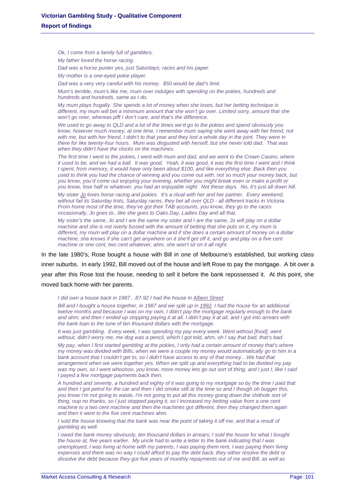*Ok, I come from a family full of gamblers. My father loved the horse racing.* 

*Dad was a horse punter yes, just Saturdays, races and his paper.* 

*My mother is a one-eyed pokie player.* 

*Dad was a very very careful with his money. \$50 would be dad's limit.* 

*Mum's terrible, mum's like me, mum over indulges with spending on the pokies, hundreds and hundreds and hundreds, same as I do.* 

*My mum plays frugally. She spends a lot of money when she loses, but her betting technique is different, my mum will bet a minimum amount that she won't go over. Limited sorry, amount that she won't go over, whereas pfft I don't care, and that's the difference.* 

*We used to go away to QLD and a lot of the times we'd go to the pokies and spend obviously you know, however much money, at one time, I remember mum saying she went away with her friend, not with me, but with her friend, I didn't to that year and they lost a whole day in the joint. They were in there for like twenty-four hours. Mum was disgusted with herself, but she never told dad. That was when they didn't have the clocks on the machines.* 

*The first time I went to the pokies, I went with mum and dad, and we went to the Crown Casino, where it used to be, and we had a ball. It was good. Yeah, it was good, it was the first time I went and I think I spent, from memory, it would have only been about \$100, and like everything else. Back then you used to think you had the chance of winning and you come out with, not so much your money back, but you know, you'd come out enjoying your evening, whether you might break even or make a profit or you know, lose half or whatever, you had an enjoyable night. Not these days. No, it's just all down hill.* 

*My sister Jo loves horse racing and pokies. It's a ritual with her and her partner. Every weekend, without fail its Saturday trots, Saturday races, they bet all over QLD - all different tracks in Victoria. From home most of the time, they've got their TAB accounts, you know, they go to the races occasionally, Jo goes to...like she goes to Oaks Day, Ladies Day and all that.* 

*My sister's the same, Jo and I are the same my sister and I are the same, Jo will play on a dollar machine and she is not overly fussed with the amount of betting that she puts on it, my mum is different, my mum will play on a dollar machine and if she does a certain amount of money on a dollar machine, she knows if she can't get anywhere on it she'll get off it, and go and play on a five cent machine or one cent, two cent whatever, ahm, she won't sit on it all night.* 

In the late 1980's, Rose bought a house with Bill in one of Melbourne's established, but working class inner suburbs. In early 1992, Bill moved out of the house and left Rose to pay the mortgage. A bit over a year after this Rose lost the house, needing to sell it before the bank repossessed it. At this point, she moved back home with her parents.

#### *I did own a house back in 1987…87-92 I had the house in Albion Street*

*Bill and I bought a house together, in 1987 and we split up in 1992. I had the house for an additional twelve months and because I was on my own, I didn't pay the mortgage regularly enough to the bank and ahm, and then I ended up stopping paying it at all. I didn't pay it at all, and I got into arrears with the bank loan to the tune of ten thousand dollars with the mortgage.* 

*It was just gambling. Every week, I was spending my pay every week. Went without [food], went*  without, didn't worry me, me dog was a pencil, which I got told, ahm, oh I say that bad, that's bad.

*My pay, when I first started gambling at the pokies, I only had a certain amount of money that's where my money was divided with Bills, when we were a couple my money would automatically go to him in a bank account that I couldn't get to, so I didn't have access to any of that money…We had that arrangement when we were together yes. When we split up and everything had to be divided my pay was my own, so I went whoohoo, you know, more money lets go out sort of thing, and I just I, like I said I payed a few mortgage payments back then.* 

*A hundred and seventy, a hundred and eighty of it was going to my mortgage so by the time I paid that and then I got petrol for the car and then I did smoke still at the time so and I though oh bugger this, you know I'm not going to waste, I'm not going to put all this money going down the shithole sort of thing, nup no thanks, so I just stopped paying it, so I increased my betting value from a one cent machine to a two cent machine and then the machines got different, then they changed them again and then it went to the five cent machines ahm.* 

*I* sold the house knowing that the bank was near the point of taking it off me, and that a result of *gambling as well.* 

*I owed the bank money obviously, ten thousand dollars in arrears; I sold the house for what I bought the house at, five years earlier. My uncle had to write a letter to the bank indicating that I was unemployed, I was living at home with my parents, I was paying them rent, I was paying them living expenses and there was no way I could afford to pay the debt back, they either resolve the debt or dissolve the debt because they got five years of monthly repayments out of me and Bill, as well as*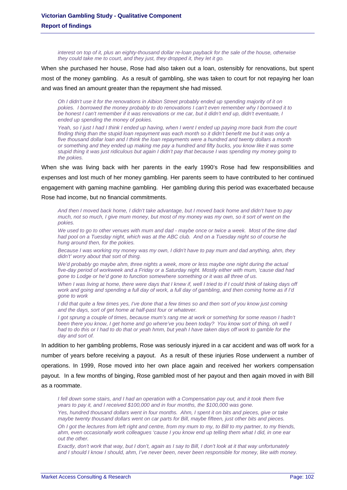*interest on top of it, plus an eighty-thousand dollar re-loan payback for the sale of the house, otherwise they could take me to court, and they just, they dropped it, they let it go.* 

When she purchased her house, Rose had also taken out a loan, ostensibly for renovations, but spent most of the money gambling. As a result of gambling, she was taken to court for not repaying her loan and was fined an amount greater than the repayment she had missed.

*Oh I didn't use it for the renovations in Albion Street probably ended up spending majority of it on pokies. I borrowed the money probably to do renovations I can't even remember why I borrowed it to be honest I can't remember if it was renovations or me car, but it didn't end up, didn't eventuate, I ended up spending the money of pokies.* 

*Yeah, so I just I had I think I ended up having, when I went I ended up paying more back from the court finding thing than the stupid loan repayment was each month so it didn't benefit me but it was only a five thousand dollar loan and I think the loan repayments were a hundred and twenty dollars a month or something and they ended up making me pay a hundred and fifty bucks, you know like it was some stupid thing it was just ridiculous but again I didn't pay that because I was spending my money going to the pokies.* 

When she was living back with her parents in the early 1990's Rose had few responsibilities and expenses and lost much of her money gambling. Her parents seem to have contributed to her continued engagement with gaming machine gambling. Her gambling during this period was exacerbated because Rose had income, but no financial commitments.

*And then I moved back home, I didn't take advantage, but I moved back home and didn't have to pay much, not so much, I give mum money, but most of my money was my own, so it sort of went on the pokies.* 

*We used to go to other venues with mum and dad - maybe once or twice a week. Most of the time dad had pool on a Tuesday night, which was at the ABC club. And on a Tuesday night so of course he hung around then, for the pokies.* 

*Because I was working my money was my own, I didn't have to pay mum and dad anything, ahm, they didn't' worry about that sort of thing.* 

*We'd probably go maybe ahm, three nights a week, more or less maybe one night during the actual five-day period of workweek and a Friday or a Saturday night. Mostly either with mum, 'cause dad had gone to Lodge or he'd gone to function somewhere something or it was all three of us.* 

*When I was living at home, there were days that I knew if, well I tried to if I could think of taking days off work and going and spending a full day of work, a full day of gambling, and then coming home as if I'd gone to work* 

*I did that quite a few times yes, I've done that a few times so and then sort of you know just coming and the days, sort of get home at half-past four or whatever.* 

*I got sprung a couple of times, because mum's rang me at work or something for some reason I hadn't been there you know, I get home and go where've you been today? You know sort of thing, oh well I had to do this or I had to do that or yeah hmm, but yeah I have taken days off work to gamble for the day and sort of.* 

In addition to her gambling problems, Rose was seriously injured in a car accident and was off work for a number of years before receiving a payout. As a result of these injuries Rose underwent a number of operations. In 1999, Rose moved into her own place again and received her workers compensation payout. In a few months of binging, Rose gambled most of her payout and then again moved in with Bill as a roommate.

*I fell down some stairs, and I had an operation with a Compensation pay out, and it took them five years to pay it, and I received \$100,000 and in four months, the \$100,000 was gone.* 

*Yes, hundred thousand dollars went in four months. Ahm, I spent it on bits and pieces, give or take maybe twenty thousand dollars went on car parts for Bill, maybe fifteen, just other bits and pieces.* 

*Oh I got the lectures from left right and centre, from my mum to my, to Bill to my partner, to my friends, ahm, even occasionally work colleagues 'cause I you know end up telling them what I did, in one ear out the other.* 

*Exactly, don't work that way, but I don't, again as I say to Bill, I don't look at it that way unfortunately*  and I should I know I should, ahm, I've never been, never been responsible for money, like with money.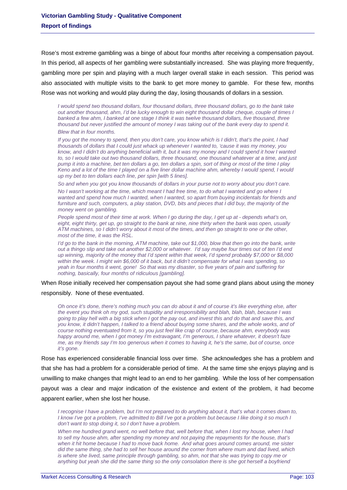Rose's most extreme gambling was a binge of about four months after receiving a compensation payout. In this period, all aspects of her gambling were substantially increased. She was playing more frequently, gambling more per spin and playing with a much larger overall stake in each session. This period was also associated with multiple visits to the bank to get more money to gamble. For these few, months Rose was not working and would play during the day, losing thousands of dollars in a session.

*I would spend two thousand dollars, four thousand dollars, three thousand dollars, go to the bank take out another thousand, ahm, I'd be lucky enough to win eight thousand dollar cheque, couple of times I banked a few ahm, I banked at one stage I think it was twelve thousand dollars, five thousand, three thousand but never justified the amount of money I was taking out of the bank every day to spend it. Blew that in four months.* 

*If you got the money to spend, then you don't care, you know which is I didn't, that's the point, I had thousands of dollars that I could just whack up whenever I wanted to, 'cause it was my money, you know, and I didn't do anything beneficial with it, but it was my money and I could spend it how I wanted to, so I would take out two thousand dollars, three thousand, one thousand whatever at a time, and just pump it into a machine, bet ten dollars a go, ten dollars a spin, sort of thing or most of the time I play Keno and a lot of the time I played on a five liner dollar machine ahm, whereby I would spend, I would up my bet to ten dollars each line, per spin [with 5 lines].* 

*So and when you got you know thousands of dollars in your purse not to worry about you don't care.* 

*No I wasn't working at the time, which meant I had free time, to do what I wanted and go where I wanted and spend how much I wanted, when I wanted, so apart from buying incidentals for friends and furniture and such, computers, a play station, DVD, bits and pieces that I did buy, the majority of the money went on gambling.* 

*People spend most of their time at work. When I go during the day, I get up at - depends what's on, eight, eight thirty, get up, go straight to the bank at nine, nine thirty when the bank was open, usually ATM machines, so I didn't worry about it most of the times, and then go straight to one or the other, most of the time, it was the RSL.* 

*I'd go to the bank in the morning, ATM machine, take out \$1,000, blow that then go into the bank, write out a thingo slip and take out another \$2,000 or whatever. I'd say maybe four times out of ten I'd end up winning, majority of the money that I'd spent within that week, I'd spend probably \$7,000 or \$8,000 within the week. I might win \$6,000 of it back, but it didn't compensate for what I was spending, so yeah in four months it went, gone! So that was my disaster, so five years of pain and suffering for nothing, basically, four months of ridiculous [gambling].* 

When Rose initially received her compensation payout she had some grand plans about using the money responsibly. None of these eventuated.

*Oh once it's done, there's nothing much you can do about it and of course it's like everything else, after the event you think oh my god, such stupidity and irresponsibility and blah, blah, blah, because I was going to play hell with a big stick when I got the pay out, and invest this and do that and save this, and you know, it didn't happen, I talked to a friend about buying some shares, and the whole works, and of course nothing eventuated from it, so you just feel like crap of course, because ahm, everybody was happy around me, when I got money I'm extravagant, I'm generous, I share whatever, it doesn't faze me, as my friends say I'm too generous when it comes to having it, he's the same, but of course, once it's gone.* 

Rose has experienced considerable financial loss over time. She acknowledges she has a problem and that she has had a problem for a considerable period of time. At the same time she enjoys playing and is unwilling to make changes that might lead to an end to her gambling. While the loss of her compensation payout was a clear and major indication of the existence and extent of the problem, it had become apparent earlier, when she lost her house.

*I* recognise *I have a problem, but I'm not prepared to do anything about it, that's what it comes down to, I know I've got a problem, I've admitted to Bill I've got a problem but because I like doing it so much I don't want to stop doing it, so I don't have a problem.* 

*When me hundred grand went, no well before that, well before that, when I lost my house, when I had to sell my house ahm, after spending my money and not paying the repayments for the house, that's when it hit home because I had to move back home. And what goes around comes around, me sister did the same thing, she had to sell her house around the corner from where mum and dad lived, which is where she lived, same principle through gambling, so ahm, not that she was trying to copy me or anything but yeah she did the same thing so the only consolation there is she got herself a boyfriend*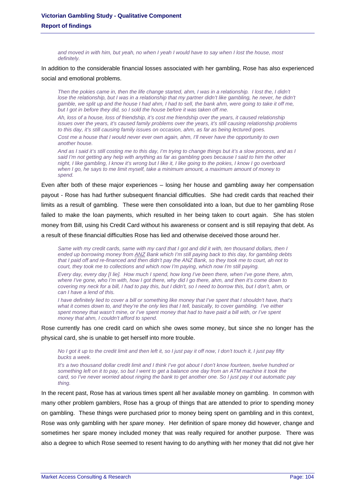*and moved in with him, but yeah, no when I yeah I would have to say when I lost the house, most definitely.* 

# In addition to the considerable financial losses associated with her gambling, Rose has also experienced social and emotional problems.

*Then the pokies came in, then the life change started, ahm, I was in a relationship. I lost the, I didn't lose the relationship, but I was in a relationship that my partner didn't like gambling, he never, he didn't gamble, we split up and the house I had ahm, I had to sell, the bank ahm, were going to take it off me,*  but I got in before they did, so I sold the house before it was taken off me.

*Ah, loss of a house, loss of friendship, it's cost me friendship over the years, it caused relationship issues over the years, it's caused family problems over the years, it's still causing relationship problems to this day, it's still causing family issues on occasion, ahm, as far as being lectured goes.* 

*Cost me a house that I would never ever own again, ahm, I'll never have the opportunity to own another house.* 

And as I said it's still costing me to this day, I'm trying to change things but it's a slow process, and as I *said I'm not getting any help with anything as far as gambling goes because I said to him the other night, I like gambling, I know it's wrong but I like it, I like going to the pokies, I know I go overboard when I go, he says to me limit myself, take a minimum amount, a maximum amount of money to spend.* 

Even after both of these major experiences – losing her house and gambling away her compensation payout - Rose has had further subsequent financial difficulties. She had credit cards that reached their limits as a result of gambling. These were then consolidated into a loan, but due to her gambling Rose failed to make the loan payments, which resulted in her being taken to court again. She has stolen money from Bill, using his Credit Card without his awareness or consent and is still repaying that debt. As a result of these financial difficulties Rose has lied and otherwise deceived those around her.

*Same with my credit cards, same with my card that I got and did it with, ten thousand dollars, then I ended up borrowing money from ANZ Bank which I'm still paying back to this day, for gambling debts that I paid off and re-financed and then didn't pay the ANZ Bank, so they took me to court, ah not to court, they took me to collections and which now I'm paying, which now I'm still paying.* 

*Every day, every day [I lie]. How much I spend, how long I've been there, when I've gone there, ahm, where I've gone, who I'm with, how I got there, why did I go there, ahm, and then it's come down to covering my neck for a bill, I had to pay this, but I didn't, so I need to borrow this, but I don't, ahm, or can I have a lend of this.* 

*I have definitely lied to cover a bill or something like money that I've spent that I shouldn't have, that's*  what it comes down to, and they're the only lies that I tell, basically, to cover gambling. I've either *spent money that wasn't mine, or I've spent money that had to have paid a bill with, or I've spent money that ahm, I couldn't afford to spend.* 

Rose currently has one credit card on which she owes some money, but since she no longer has the physical card, she is unable to get herself into more trouble.

*No I got it up to the credit limit and then left it, so I just pay it off now, I don't touch it, I just pay fifty bucks a week.* 

*It's a two thousand dollar credit limit and I think I've got about I don't know fourteen, twelve hundred or something left on it to pay, so but I went to get a balance one day from an ATM machine it took the card, so I've never worried about ringing the bank to get another one. So I just pay it out automatic pay thing.* 

In the recent past, Rose has at various times spent all her available money on gambling. In common with many other problem gamblers, Rose has a group of things that are attended to prior to spending money on gambling. These things were purchased prior to money being spent on gambling and in this context, Rose was only gambling with her *spare* money. Her definition of spare money did however, change and sometimes her spare money included money that was really required for another purpose. There was also a degree to which Rose seemed to resent having to do anything with her money that did not give her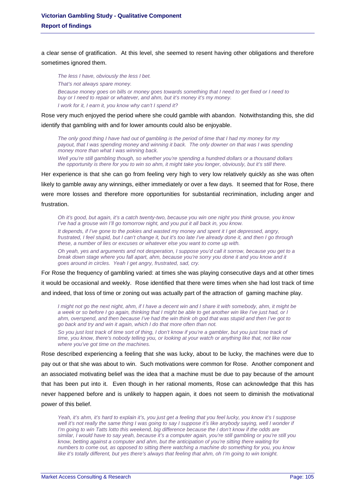a clear sense of gratification. At this level, she seemed to resent having other obligations and therefore sometimes ignored them.

*The less I have, obviously the less I bet. That's not always spare money. Because money goes on bills or money goes towards something that I need to get fixed or I need to buy or I need to repair or whatever, and ahm, but it's money it's my money. I work for it, I earn it, you know why can't I spend it?* 

Rose very much enjoyed the period where she could gamble with abandon. Notwithstanding this, she did identify that gambling with and for lower amounts could also be enjoyable.

*The only good thing I have had out of gambling is the period of time that I had my money for my payout, that I was spending money and winning it back. The only downer on that was I was spending money more than what I was winning back.* 

*Well you're still gambling though, so whether you're spending a hundred dollars or a thousand dollars the opportunity is there for you to win so ahm, it might take you longer, obviously, but it's still there.* 

Her experience is that she can go from feeling very high to very low relatively quickly as she was often likely to gamble away any winnings, either immediately or over a few days. It seemed that for Rose, there were more losses and therefore more opportunities for substantial recrimination, including anger and frustration.

*Oh it's good, but again, it's a catch twenty-two, because you win one night you think grouse, you know I've had a grouse win I'll go tomorrow night, and you put it all back in, you know.* 

*It depends, if I've gone to the pokies and wasted my money and spent it I get depressed, angry, frustrated, I feel stupid, but I can't change it, but it's too late I've already done it, and then I go through these, a number of lies or excuses or whatever else you want to come up with.* 

*Oh yeah, yes and arguments and not desperation, I suppose you'd call it sorrow, because you get to a break down stage where you fall apart, ahm, because you're sorry you done it and you know and it goes around in circles. Yeah I get angry, frustrated, sad, cry.* 

For Rose the frequency of gambling varied: at times she was playing consecutive days and at other times it would be occasional and weekly. Rose identified that there were times when she had lost track of time and indeed, that loss of time or zoning out was actually part of the attraction of gaming machine play.

*I might not go the next night, ahm, if I have a decent win and I share it with somebody, ahm, it might be a week or so before I go again, thinking that I might be able to get another win like I've just had, or I ahm, overspend, and then because I've had the win think oh god that was stupid and then I've got to go back and try and win it again, which I do that more often than not.* 

So you just lost track of time sort of thing, I don't know if you're a gambler, but you just lose track of *time, you know, there's nobody telling you, or looking at your watch or anything like that, not like now where you've got time on the machines.* 

Rose described experiencing a feeling that she was lucky, about to be lucky, the machines were due to pay out or that she was about to win. Such motivations were common for Rose. Another component and an associated motivating belief was the idea that a machine must be due to pay because of the amount that has been put into it. Even though in her rational moments, Rose can acknowledge that this has never happened before and is unlikely to happen again, it does not seem to diminish the motivational power of this belief.

*Yeah, it's ahm, it's hard to explain it's, you just get a feeling that you feel lucky, you know it's I suppose*  well it's not really the same thing I was going to say I suppose it's like anybody saying, well I wonder if *I'm going to win Tatts lotto this weekend, big difference because the I don't know if the odds are similar, I would have to say yeah, because it's a computer again, you're still gambling or you're still you know, betting against a computer and ahm, but the anticipation of you're sitting there waiting for numbers to come out, as opposed to sitting there watching a machine do something for you, you know like it's totally different, but yes there's always that feeling that ahm, oh I'm going to win tonight.*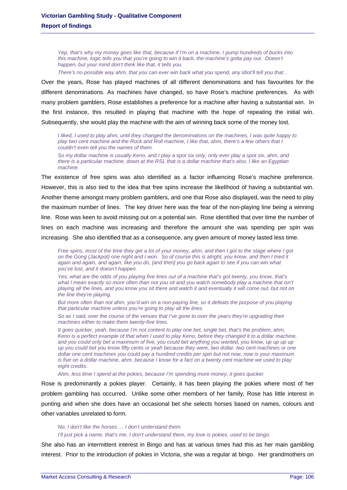*Yep, that's why my money goes like that, because if I'm on a machine, I pump hundreds of bucks into this machine, logic tells you that you're going to win it back, the machine's gotta pay out. Doesn't happen, but your mind don't think like that, it tells you.* 

*There's no possible way ahm, that you can ever win back what you spend, any idiot'll tell you that. .* 

Over the years, Rose has played machines of all different denominations and has favourites for the different denominations. As machines have changed, so have Rose's machine preferences. As with many problem gamblers, Rose establishes a preference for a machine after having a substantial win. In the first instance, this resulted in playing that machine with the hope of repeating the initial win. Subsequently, she would play the machine with the aim of winning back some of the money lost.

*I liked, I used to play ahm, until they changed the denominations on the machines, I was quite happy to play two cent machine and the Rock and Roll machine, I like that, ahm, there's a few others that I couldn't even tell you the names of them.* 

*So my dollar machine is usually Keno, and I play a spot six only, only ever play a spot six, ahm, and there is a particular machine, down at the RSL that is a dollar machine that's also, I like an Egyptian machine.* 

The existence of free spins was also identified as a factor influencing Rose's machine preference. However, this is also tied to the idea that free spins increase the likelihood of having a substantial win. Another theme amongst many problem gamblers, and one that Rose also displayed, was the need to play the maximum number of lines. The key driver here was the fear of the non-playing line being a winning line. Rose was keen to avoid missing out on a potential win. Rose identified that over time the number of lines on each machine was increasing and therefore the amount she was spending per spin was increasing. She also identified that as a consequence, any given amount of money lasted less time.

*Free spins, most of the time they get a lot of your money, ahm, and then I got to the stage where I got on the Gong (Jackpot) one night and I won. So of course this is alright, you know, and then I tried it again and again, and again, like you do, [and then] you go back again to see if you can win what you've lost, and it doesn't happen.* 

Yes, what are the odds of you playing five lines out of a machine that's got twenty, you know, that's what I mean exactly so more often than not you sit and you watch somebody play a machine that isn't *playing all the lines, and you know you sit there and watch it and eventually it will come out, but not on the line they're playing.* 

*But more often than not ahm, you'd win on a non-paying line, so it defeats the purpose of you playing that particular machine unless you're going to play all the lines.* 

*So as I said, over the course of the venues that I've gone to over the years they're upgrading their machines either to make them twenty-five lines.* 

*It goes quicker, yeah, because I'm not content to play one bet, single bet, that's the problem, ahm, Keno is a perfect example of that when I used to play Keno, before they changed it to a dollar machine,*  and you could only bet a maximum of five, you could bet anything you wanted, you know, up up up up *up you could bet you know fifty cents or yeah because they were, two dollar, two cent machines or one dollar one cent machines you could pay a hundred credits per spin but not now, now is your maximum is five on a dollar machine, ahm, because I know for a fact on a twenty cent machine we used to play eight credits.* 

*Ahm, less time I spend at the pokies, because I'm spending more money, it goes quicker.* 

Rose is predominantly a pokies player. Certainly, it has been playing the pokies where most of her problem gambling has occurred. Unlike some other members of her family, Rose has little interest in punting and when she does have an occasional bet she selects horses based on names, colours and other variables unrelated to form.

### *No, I don't like the horses … I don't understand them. I'll just pick a name, that's me, I don't understand them, my love is pokies, used to be bingo.*

She also has an intermittent interest in Bingo and has at various times had this as her main gambling interest. Prior to the introduction of pokies in Victoria, she was a regular at bingo. Her grandmothers on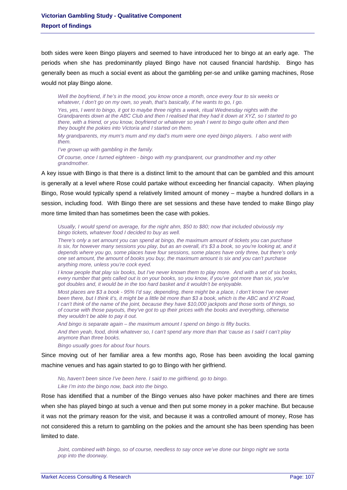both sides were keen Bingo players and seemed to have introduced her to bingo at an early age. The periods when she has predominantly played Bingo have not caused financial hardship. Bingo has generally been as much a social event as about the gambling per-se and unlike gaming machines, Rose would not play Bingo alone.

*Well the boyfriend, if he's in the mood, you know once a month, once every four to six weeks or whatever, I don't go on my own, so yeah, that's basically, if he wants to go, I go.* 

Yes, yes, I went to bingo, it got to maybe three nights a week, ritual Wednesday nights with the *Grandparents down at the ABC Club and then I realised that they had it down at XYZ, so I started to go there, with a friend, or you know, boyfriend or whatever so yeah I went to bingo quite often and then they bought the pokies into Victoria and I started on them.* 

*My grandparents, my mum's mum and my dad's mum were one eyed bingo players. I also went with them.* 

*I've grown up with gambling in the family.* 

*Of course, once I turned eighteen - bingo with my grandparent, our grandmother and my other grandmother.* 

A key issue with Bingo is that there is a distinct limit to the amount that can be gambled and this amount is generally at a level where Rose could partake without exceeding her financial capacity. When playing Bingo, Rose would typically spend a relatively limited amount of money – maybe a hundred dollars in a session, including food. With Bingo there are set sessions and these have tended to make Bingo play more time limited than has sometimes been the case with pokies.

*Usually, I would spend on average, for the night ahm, \$50 to \$80; now that included obviously my bingo tickets, whatever food I decided to buy as well.* 

*There's only a set amount you can spend at bingo, the maximum amount of tickets you can purchase is six, for however many sessions you play, but as an overall, it's \$3 a book, so you're looking at, and it depends where you go, some places have four sessions, some places have only three, but there's only one set amount, the amount of books you buy, the maximum amount is six and you can't purchase anything more, unless you're cock eyed.* 

*I know people that play six books, but I've never known them to play more. And with a set of six books, every number that gets called out is on your books, so you know, if you've got more than six, you've got doubles and, it would be in the too hard basket and it wouldn't be enjoyable.* 

*Most places are \$3 a book - 95% I'd say, depending, there might be a place, I don't know I've never been there, but I think it's, it might be a little bit more than \$3 a book, which is the ABC and XYZ Road, I can't think of the name of the joint, because they have \$10,000 jackpots and those sorts of things, so of course with those payouts, they've got to up their prices with the books and everything, otherwise they wouldn't be able to pay it out.* 

*And bingo is separate again – the maximum amount I spend on bingo is fifty bucks. And then yeah, food, drink whatever so, I can't spend any more than that 'cause as I said I can't play anymore than three books.* 

*Bingo usually goes for about four hours.* 

Since moving out of her familiar area a few months ago, Rose has been avoiding the local gaming machine venues and has again started to go to Bingo with her girlfriend.

*No, haven't been since I've been here. I said to me girlfriend, go to bingo. Like I'm into the bingo now, back into the bingo.* 

Rose has identified that a number of the Bingo venues also have poker machines and there are times when she has played bingo at such a venue and then put some money in a poker machine. But because it was not the primary reason for the visit, and because it was a controlled amount of money, Rose has not considered this a return to gambling on the pokies and the amount she has been spending has been limited to date.

*Joint, combined with bingo, so of course, needless to say once we've done our bingo night we sorta pop into the doorway.*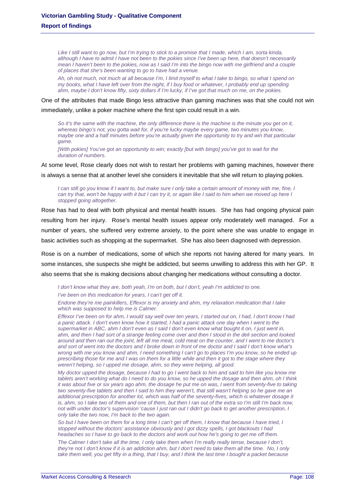Like I still want to go now, but I'm trying to stick to a promise that I made, which I am, sorta kinda, *although I have to admit I have not been to the pokies since I've been up here, that doesn't necessarily mean I haven't been to the pokies, now as I said I'm into the bingo now with me girlfriend and a couple of places that she's been wanting to go to have had a venue.* 

*Ah, oh not much, not much at all because I'm, I limit myself to what I take to bingo, so what I spend on my books, what I have left over from the night, if I buy food or whatever, I probably end up spending ahm, maybe I don't know fifty, sixty dollars if I'm lucky, if I've got that much on me, on the pokies.* 

One of the attributes that made Bingo less attractive than gaming machines was that she could not win

immediately, unlike a poker machine where the first spin could result in a win.

*So it's the same with the machine, the only difference there is the machine is the minute you get on it, whereas bingo's not, you gotta wait for, if you're lucky maybe every game, two minutes you know, maybe one and a half minutes before you're actually given the opportunity to try and win that particular game.* 

*[With pokies] You've got an opportunity to win; exactly [but with bingo] you've got to wait for the duration of numbers.* 

At some level, Rose clearly does not wish to restart her problems with gaming machines, however there is always a sense that at another level she considers it inevitable that she will return to playing pokies.

*I can still go you know if I want to, but make sure I only take a certain amount of money with me, fine, I can try that, won't be happy with it but I can try it, or again like I said to him when we moved up here I stopped going altogether.* 

Rose has had to deal with both physical and mental health issues. She has had ongoing physical pain resulting from her injury. Rose's mental health issues appear only moderately well managed. For a number of years, she suffered very extreme anxiety, to the point where she was unable to engage in basic activities such as shopping at the supermarket. She has also been diagnosed with depression.

Rose is on a number of medications, some of which she reports not having altered for many years. In some instances, she suspects she might be addicted, but seems unwilling to address this with her GP. It also seems that she is making decisions about changing her medications without consulting a doctor.

*I don't know what they are, both yeah, I'm on both, but I don't, yeah I'm addicted to one. I've been on this medication for years, I can't get off it.* 

*Endone they're me painkillers, Effexor is my anxiety and ahm, my relaxation medication that I take which was supposed to help me is Calmer.* 

*Effexor I've been on for ahm, I would say well over ten years, I started out on, I had, I don't know I had a panic attack. I don't even know how it started, I had a panic attack one day when I went to the supermarket in ABC, ahm I don't even as I said I don't even know what bought it on, I just went in, ahm, and then I had sort of a strange feeling come over and then I stood in the deli section and looked around and then ran out the joint, left all me meat, cold meat on the counter, and I went to me doctor's and sort of went into the doctors and I broke down in front of me doctor and I said I don't know what's wrong with me you know and ahm, I need something I can't go to places I'm you know, so he ended up prescribing those for me and I was on them for a little while and then it got to the stage where they weren't helping, so I upped me dosage, ahm, so they were helping, all good.* 

*My doctor upped the dosage, because I had to go I went back to him and said to him like you know me tablets aren't working what do I need to do you know, so he upped the dosage and then ahm, oh I think it was about five or six years ago ahm, the dosage he put me on was, I went from seventy-five to taking two seventy-five tablets and then I said to him they weren't, that still wasn't helping so he gave me an additional prescription for another lot, which was half of the seventy-fives, which is whatever dosage it is, ahm, so I take two of them and one of them, but then I ran out of the extra so I'm still I'm back now, not with under doctor's supervision 'cause I just ran out I didn't go back to get another prescription, I only take the two now, I'm back to the two again.* 

*So but I have been on them for a long time I can't get off them, I know that because I have tried, I stopped without the doctors' assistance obviously and I got dizzy spells, I got blackouts I had headaches so I have to go back to the doctors and work out how he's going to get me off them.* 

*The Calmer I don't take all the time, I only take them when I'm really really tense, because I don't, they're not I don't know if it is an addiction ahm, but I don't need to take them all the time. No, I only take them well, you get fifty in a thing, that I buy, and I think the last time I bought a packet because*